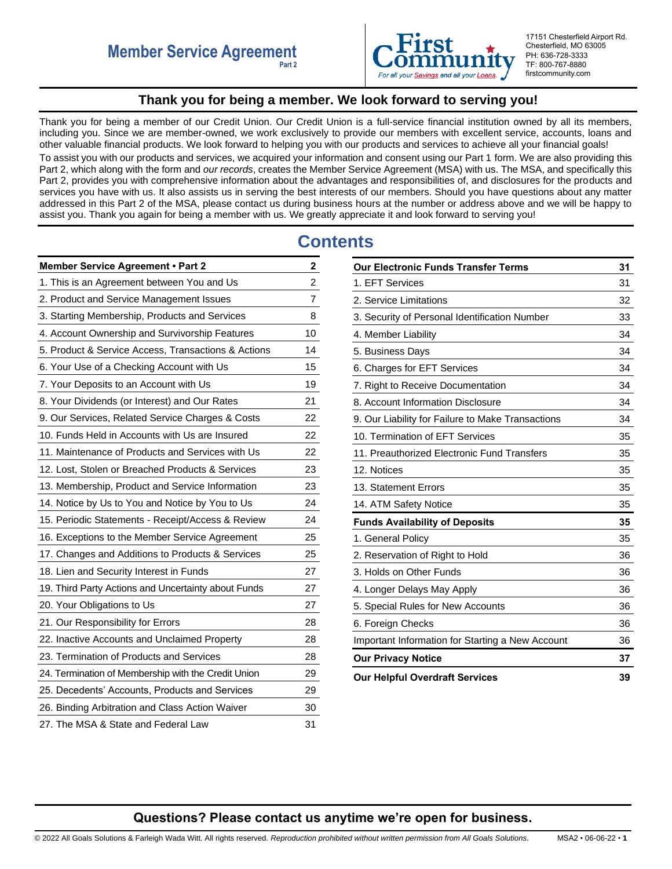

17151 Chesterfield Airport Rd. Chesterfield, MO 63005 PH: 636-728-3333 TF: 800-767-8880 firstcommunity.com

# **Thank you for being a member. We look forward to serving you!**

<span id="page-0-0"></span>Thank you for being a member of our Credit Union. Our Credit Union is a full-service financial institution owned by all its members, including you. Since we are member-owned, we work exclusively to provide our members with excellent service, accounts, loans and other valuable financial products. We look forward to helping you with our products and services to achieve all your financial goals! To assist you with our products and services, we acquired your information and consent using our Part 1 form. We are also providing this Part 2, which along with the form and *our records*, creates the Member Service Agreement (MSA) with us. The MSA, and specifically this Part 2, provides you with comprehensive information about the advantages and responsibilities of, and disclosures for the products and services you have with us. It also assists us in serving the best interests of our members. Should you have questions about any matter addressed in this Part 2 of the MSA, please contact us during business hours at the number or address above and we will be happy to assist you. Thank you again for being a member with us. We greatly appreciate it and look forward to serving you!

# **Contents**

| <b>Member Service Agreement • Part 2</b>            | $\mathbf{2}$   |
|-----------------------------------------------------|----------------|
| 1. This is an Agreement between You and Us          | $\overline{2}$ |
| 2. Product and Service Management Issues            | 7              |
| 3. Starting Membership, Products and Services       | 8              |
| 4. Account Ownership and Survivorship Features      | 10             |
| 5. Product & Service Access, Transactions & Actions | 14             |
| 6. Your Use of a Checking Account with Us           | 15             |
| 7. Your Deposits to an Account with Us              | 19             |
| 8. Your Dividends (or Interest) and Our Rates       | 21             |
| 9. Our Services, Related Service Charges & Costs    | 22             |
| 10. Funds Held in Accounts with Us are Insured      | 22             |
| 11. Maintenance of Products and Services with Us    | 22             |
| 12. Lost, Stolen or Breached Products & Services    | 23             |
| 13. Membership, Product and Service Information     | 23             |
| 14. Notice by Us to You and Notice by You to Us     | 24             |
| 15. Periodic Statements - Receipt/Access & Review   | 24             |
| 16. Exceptions to the Member Service Agreement      | 25             |
| 17. Changes and Additions to Products & Services    | 25             |
| 18. Lien and Security Interest in Funds             | 27             |
| 19. Third Party Actions and Uncertainty about Funds | 27             |
| 20. Your Obligations to Us                          | 27             |
| 21. Our Responsibility for Errors                   | 28             |
| 22. Inactive Accounts and Unclaimed Property        | 28             |
| 23. Termination of Products and Services            | 28             |
| 24. Termination of Membership with the Credit Union | 29             |
| 25. Decedents' Accounts, Products and Services      | 29             |
| 26. Binding Arbitration and Class Action Waiver     | 30             |
| 27. The MSA & State and Federal Law                 | 31             |

| <b>Our Electronic Funds Transfer Terms</b>        |    |  |
|---------------------------------------------------|----|--|
| 1. EFT Services                                   | 31 |  |
| 2. Service Limitations                            | 32 |  |
| 3. Security of Personal Identification Number     | 33 |  |
| 4. Member Liability                               | 34 |  |
| 5. Business Days                                  | 34 |  |
| 6. Charges for EFT Services                       | 34 |  |
| 7. Right to Receive Documentation                 | 34 |  |
| 8. Account Information Disclosure                 | 34 |  |
| 9. Our Liability for Failure to Make Transactions | 34 |  |
| 10. Termination of EFT Services                   | 35 |  |
| 11. Preauthorized Electronic Fund Transfers       | 35 |  |
| 12. Notices                                       | 35 |  |
| 13. Statement Errors                              | 35 |  |
| 14. ATM Safety Notice                             | 35 |  |
| <b>Funds Availability of Deposits</b>             | 35 |  |
| 1. General Policy                                 | 35 |  |
| 2. Reservation of Right to Hold                   | 36 |  |
| 3. Holds on Other Funds                           | 36 |  |
| 4. Longer Delays May Apply                        | 36 |  |
| 5. Special Rules for New Accounts                 | 36 |  |
| 6. Foreign Checks                                 | 36 |  |
| Important Information for Starting a New Account  | 36 |  |
| <b>Our Privacy Notice</b>                         | 37 |  |
| <b>Our Helpful Overdraft Services</b>             | 39 |  |

# **Questions? Please contact us anytime we're open for business.**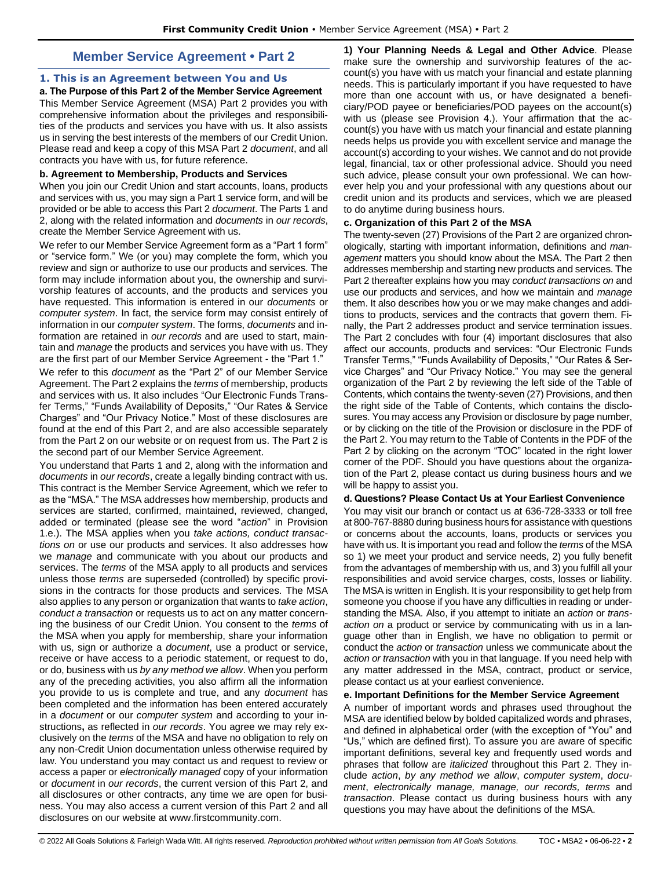# **Member Service Agreement • Part 2**

# <span id="page-1-1"></span><span id="page-1-0"></span>**1. This is an Agreement between You and Us**

**a. The Purpose of this Part 2 of the Member Service Agreement**  This Member Service Agreement (MSA) Part 2 provides you with comprehensive information about the privileges and responsibilities of the products and services you have with us. It also assists us in serving the best interests of the members of our Credit Union. Please read and keep a copy of this MSA Part 2 *document*, and all contracts you have with us, for future reference.

# **b. Agreement to Membership, Products and Services**

When you join our Credit Union and start accounts, loans, products and services with us, you may sign a Part 1 service form, and will be provided or be able to access this Part 2 *document*. The Parts 1 and 2, along with the related information and *documents* in *our records*, create the Member Service Agreement with us.

We refer to our Member Service Agreement form as a "Part 1 form" or "service form." We (or you) may complete the form, which you review and sign or authorize to use our products and services. The form may include information about you, the ownership and survivorship features of accounts, and the products and services you have requested. This information is entered in our *documents* or *computer system*. In fact, the service form may consist entirely of information in our *computer system*. The forms, *documents* and information are retained in *our records* and are used to start, maintain and *manage* the products and services you have with us. They are the first part of our Member Service Agreement - the "Part 1."

We refer to this *document* as the "Part 2" of our Member Service Agreement. The Part 2 explains the *terms* of membership, products and services with us. It also includes "Our Electronic Funds Transfer Terms," "Funds Availability of Deposits," "Our Rates & Service Charges" and "Our Privacy Notice." Most of these disclosures are found at the end of this Part 2, and are also accessible separately from the Part 2 on our website or on request from us. The Part 2 is the second part of our Member Service Agreement.

You understand that Parts 1 and 2, along with the information and *documents* in *our records*, create a legally binding contract with us. This contract is the Member Service Agreement, which we refer to as the "MSA." The MSA addresses how membership, products and services are started, confirmed, maintained, reviewed, changed, added or terminated (please see the word "*action*" in Provision 1.e.). The MSA applies when you *take actions, conduct transactions on* or use our products and services. It also addresses how we *manage* and communicate with you about our products and services. The *terms* of the MSA apply to all products and services unless those *terms* are superseded (controlled) by specific provisions in the contracts for those products and services. The MSA also applies to any person or organization that wants to *take action*, *conduct a transaction* or requests us to act on any matter concerning the business of our Credit Union. You consent to the *terms* of the MSA when you apply for membership, share your information with us, sign or authorize a *document*, use a product or service, receive or have access to a periodic statement, or request to do, or do, business with us *by any method we allow*. When you perform any of the preceding activities, you also affirm all the information you provide to us is complete and true, and any *document* has been completed and the information has been entered accurately in a *document* or our *computer system* and according to your instructions**,** as reflected in *our records*. You agree we may rely exclusively on the *terms* of the MSA and have no obligation to rely on any non-Credit Union documentation unless otherwise required by law. You understand you may contact us and request to review or access a paper or *electronically managed* copy of your information or *document* in *our records*, the current version of this Part 2, and all disclosures or other contracts, any time we are open for business. You may also access a current version of this Part 2 and all disclosures on our website at www.firstcommunity.com.

**1) Your Planning Needs & Legal and Other Advice**. Please make sure the ownership and survivorship features of the account(s) you have with us match your financial and estate planning needs. This is particularly important if you have requested to have more than one account with us, or have designated a beneficiary/POD payee or beneficiaries/POD payees on the account(s) with us (please see Provision 4.). Your affirmation that the account(s) you have with us match your financial and estate planning needs helps us provide you with excellent service and manage the account(s) according to your wishes. We cannot and do not provide legal, financial, tax or other professional advice. Should you need such advice, please consult your own professional. We can however help you and your professional with any questions about our credit union and its products and services, which we are pleased to do anytime during business hours.

## **c. Organization of this Part 2 of the MSA**

The twenty-seven (27) Provisions of the Part 2 are organized chronologically, starting with important information, definitions and *management* matters you should know about the MSA. The Part 2 then addresses membership and starting new products and services. The Part 2 thereafter explains how you may *conduct transactions on* and use our products and services, and how we maintain and *manage*  them. It also describes how you or we may make changes and additions to products, services and the contracts that govern them. Finally, the Part 2 addresses product and service termination issues. The Part 2 concludes with four (4) important disclosures that also affect our accounts, products and services: "Our Electronic Funds Transfer Terms," "Funds Availability of Deposits," "Our Rates & Service Charges" and "Our Privacy Notice." You may see the general organization of the Part 2 by reviewing the left side of the Table of Contents, which contains the twenty-seven (27) Provisions, and then the right side of the Table of Contents, which contains the disclosures. You may access any Provision or disclosure by page number, or by clicking on the title of the Provision or disclosure in the PDF of the Part 2. You may return to the Table of Contents in the PDF of the Part 2 by clicking on the acronym "TOC" located in the right lower corner of the PDF. Should you have questions about the organization of the Part 2, please contact us during business hours and we will be happy to assist you.

# **d. Questions? Please Contact Us at Your Earliest Convenience**

You may visit our branch or contact us at 636-728-3333 or toll free at 800-767-8880 during business hours for assistance with questions or concerns about the accounts, loans, products or services you have with us. It is important you read and follow the *terms* of the MSA so 1) we meet your product and service needs, 2) you fully benefit from the advantages of membership with us, and 3) you fulfill all your responsibilities and avoid service charges, costs, losses or liability. The MSA is written in English. It is your responsibility to get help from someone you choose if you have any difficulties in reading or understanding the MSA. Also, if you attempt to initiate an *action* or *transaction on* a product or service by communicating with us in a language other than in English, we have no obligation to permit or conduct the *action* or *transaction* unless we communicate about the *action or transaction* with you in that language. If you need help with any matter addressed in the MSA, contract, product or service, please contact us at your earliest convenience.

### **e. Important Definitions for the Member Service Agreement**

A number of important words and phrases used throughout the MSA are identified below by bolded capitalized words and phrases, and defined in alphabetical order (with the exception of "You" and "Us," which are defined first). To assure you are aware of specific important definitions, several key and frequently used words and phrases that follow are *italicized* throughout this Part 2. They include *action*, *by any method we allow*, *computer system*, *document*, *electronically manage, manage, our records, terms* and *transaction*. Please contact us during business hours with any questions you may have about the definitions of the MSA.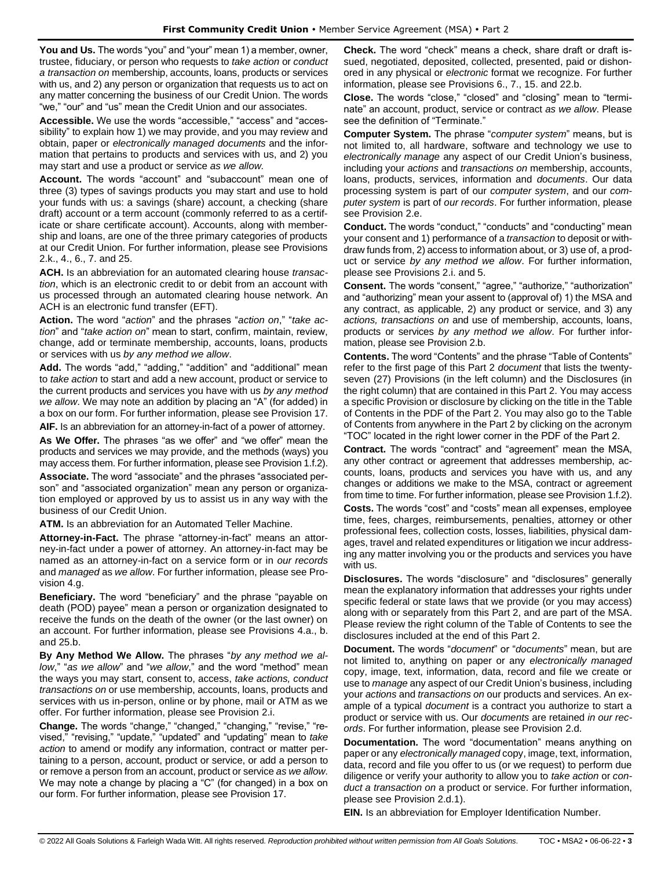**You and Us.** The words "you" and "your" mean 1) a member, owner, trustee, fiduciary, or person who requests to *take action* or *conduct a transaction on* membership, accounts, loans, products or services with us, and 2) any person or organization that requests us to act on any matter concerning the business of our Credit Union. The words "we," "our" and "us" mean the Credit Union and our associates.

**Accessible.** We use the words "accessible," "access" and "accessibility" to explain how 1) we may provide, and you may review and obtain, paper or *electronically managed documents* and the information that pertains to products and services with us, and 2) you may start and use a product or service *as we allow.* 

**Account.** The words "account" and "subaccount" mean one of three (3) types of savings products you may start and use to hold your funds with us: a savings (share) account, a checking (share draft) account or a term account (commonly referred to as a certificate or share certificate account). Accounts, along with membership and loans, are one of the three primary categories of products at our Credit Union. For further information, please see Provisions 2.k., 4., 6., 7. and 25.

**ACH.** Is an abbreviation for an automated clearing house *transaction*, which is an electronic credit to or debit from an account with us processed through an automated clearing house network. An ACH is an electronic fund transfer (EFT).

**Action.** The word "*action*" and the phrases "*action on*," "*take action*" and "*take action on*" mean to start, confirm, maintain, review, change, add or terminate membership, accounts, loans, products or services with us *by any method we allow*.

**Add.** The words "add," "adding," "addition" and "additional" mean to *take action* to start and add a new account, product or service to the current products and services you have with us *by any method we allow*. We may note an addition by placing an "A" (for added) in a box on our form. For further information, please see Provision 17.

**AIF.** Is an abbreviation for an attorney-in-fact of a power of attorney.

**As We Offer.** The phrases "as we offer" and "we offer" mean the products and services we may provide, and the methods (ways) you may access them. For further information, please see Provision 1.f.2).

**Associate.** The word "associate" and the phrases "associated person" and "associated organization" mean any person or organization employed or approved by us to assist us in any way with the business of our Credit Union.

**ATM.** Is an abbreviation for an Automated Teller Machine.

**Attorney-in-Fact.** The phrase "attorney-in-fact" means an attorney-in-fact under a power of attorney. An attorney-in-fact may be named as an attorney-in-fact on a service form or in *our records* and *managed* as *we allow*. For further information, please see Provision 4.g.

**Beneficiary.** The word "beneficiary" and the phrase "payable on death (POD) payee" mean a person or organization designated to receive the funds on the death of the owner (or the last owner) on an account. For further information, please see Provisions 4.a., b. and 25.b.

**By Any Method We Allow.** The phrases "*by any method we allow*," "*as we allow*" and "*we allow*," and the word "method" mean the ways you may start, consent to, access, *take actions, conduct transactions on* or use membership, accounts, loans, products and services with us in-person, online or by phone, mail or ATM as we offer. For further information, please see Provision 2.i.

**Change.** The words "change," "changed," "changing," "revise," "revised," "revising," "update," "updated" and "updating" mean to *take action* to amend or modify any information, contract or matter pertaining to a person, account, product or service, or add a person to or remove a person from an account, product or service *as we allow*. We may note a change by placing a "C" (for changed) in a box on our form. For further information, please see Provision 17.

**Check.** The word "check" means a check, share draft or draft issued, negotiated, deposited, collected, presented, paid or dishonored in any physical or *electronic* format we recognize. For further information, please see Provisions 6., 7., 15. and 22.b.

**Close.** The words "close," "closed" and "closing" mean to "terminate" an account, product, service or contract *as we allow*. Please see the definition of "Terminate."

**Computer System.** The phrase "*computer system*" means, but is not limited to, all hardware, software and technology we use to *electronically manage* any aspect of our Credit Union's business, including your *actions* and *transactions on* membership, accounts, loans, products, services, information and *documents*. Our data processing system is part of our *computer system*, and our *computer system* is part of *our records*. For further information, please see Provision 2.e.

**Conduct.** The words "conduct," "conducts" and "conducting" mean your consent and 1) performance of a *transaction* to deposit or withdraw funds from, 2) access to information about, or 3) use of, a product or service *by any method we allow*. For further information, please see Provisions 2.i. and 5.

**Consent.** The words "consent," "agree," "authorize," "authorization" and "authorizing" mean your assent to (approval of) 1) the MSA and any contract, as applicable, 2) any product or service, and 3) any *actions, transactions on* and use of membership, accounts, loans, products or services *by any method we allow*. For further information, please see Provision 2.b.

**Contents.** The word "Contents" and the phrase "Table of Contents" refer to the first page of this Part 2 *document* that lists the twentyseven (27) Provisions (in the left column) and the Disclosures (in the right column) that are contained in this Part 2. You may access a specific Provision or disclosure by clicking on the title in the Table of Contents in the PDF of the Part 2. You may also go to the Table of Contents from anywhere in the Part 2 by clicking on the acronym "TOC" located in the right lower corner in the PDF of the Part 2.

**Contract.** The words "contract" and "agreement" mean the MSA, any other contract or agreement that addresses membership, accounts, loans, products and services you have with us, and any changes or additions we make to the MSA, contract or agreement from time to time. For further information, please see Provision 1.f.2). **Costs.** The words "cost" and "costs" mean all expenses, employee time, fees, charges, reimbursements, penalties, attorney or other professional fees, collection costs, losses, liabilities, physical damages, travel and related expenditures or litigation we incur addressing any matter involving you or the products and services you have with us.

**Disclosures.** The words "disclosure" and "disclosures" generally mean the explanatory information that addresses your rights under specific federal or state laws that we provide (or you may access) along with or separately from this Part 2, and are part of the MSA. Please review the right column of the Table of Contents to see the disclosures included at the end of this Part 2.

**Document.** The words "*document*" or "*documents*" mean, but are not limited to, anything on paper or any *electronically managed* copy, image, text, information, data, record and file we create or use to *manage* any aspect of our Credit Union's business, including your *actions* and *transactions on* our products and services. An example of a typical *document* is a contract you authorize to start a product or service with us. Our *documents* are retained *in our records*. For further information, please see Provision 2.d.

**Documentation.** The word "documentation" means anything on paper or any *electronically managed* copy, image, text, information, data, record and file you offer to us (or we request) to perform due diligence or verify your authority to allow you to *take action* or *conduct a transaction on* a product or service. For further information, please see Provision 2.d.1).

**EIN.** Is an abbreviation for Employer Identification Number.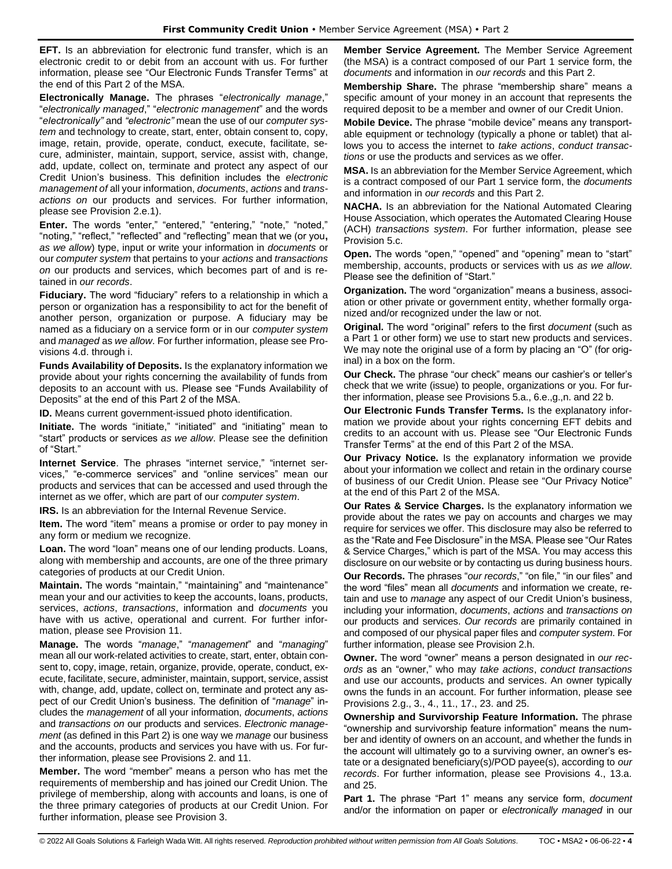**EFT.** Is an abbreviation for electronic fund transfer, which is an electronic credit to or debit from an account with us. For further information, please see "Our Electronic Funds Transfer Terms" at the end of this Part 2 of the MSA.

**Electronically Manage.** The phrases "*electronically manage*," "*electronically managed*," "*electronic management*" and the words "*electronically"* and *"electronic"* mean the use of our *computer system* and technology to create, start, enter, obtain consent to, copy, image, retain, provide, operate, conduct, execute, facilitate, secure, administer, maintain, support, service, assist with, change, add, update, collect on, terminate and protect any aspect of our Credit Union's business. This definition includes the *electronic management of* all your information, *documents*, *actions* and *transactions on* our products and services. For further information, please see Provision 2.e.1).

**Enter.** The words "enter," "entered," "entering," "note," "noted," "noting," "reflect," "reflected" and "reflecting" mean that we (or you**,** *as we allow*) type, input or write your information in *documents* or our *computer system* that pertains to your *actions* and *transactions on* our products and services, which becomes part of and is retained in *our records*.

**Fiduciary.** The word "fiduciary" refers to a relationship in which a person or organization has a responsibility to act for the benefit of another person, organization or purpose. A fiduciary may be named as a fiduciary on a service form or in our *computer system* and *managed* as *we allow*. For further information, please see Provisions 4.d. through i.

**Funds Availability of Deposits.** Is the explanatory information we provide about your rights concerning the availability of funds from deposits to an account with us. Please see "Funds Availability of Deposits" at the end of this Part 2 of the MSA.

**ID.** Means current government-issued photo identification.

**Initiate.** The words "initiate," "initiated" and "initiating" mean to "start" products or services *as we allow*. Please see the definition of "Start."

**Internet Service**. The phrases "internet service," "internet services," "e-commerce services" and "online services" mean our products and services that can be accessed and used through the internet as we offer, which are part of our *computer system*.

**IRS.** Is an abbreviation for the Internal Revenue Service.

**Item.** The word "item" means a promise or order to pay money in any form or medium we recognize.

**Loan.** The word "loan" means one of our lending products. Loans, along with membership and accounts, are one of the three primary categories of products at our Credit Union.

**Maintain.** The words "maintain," "maintaining" and "maintenance" mean your and our activities to keep the accounts, loans, products, services, *actions*, *transactions*, information and *documents* you have with us active, operational and current. For further information, please see Provision 11.

**Manage.** The words "*manage*," "*management*" and "*managing*" mean all our work-related activities to create, start, enter, obtain consent to, copy, image, retain, organize, provide, operate, conduct, execute, facilitate, secure, administer, maintain, support, service, assist with, change, add, update, collect on, terminate and protect any aspect of our Credit Union's business. The definition of "*manage*" includes the *management* of all your information, *documents*, *actions* and *transactions on* our products and services. *Electronic management* (as defined in this Part 2) is one way we *manage* our business and the accounts, products and services you have with us. For further information, please see Provisions 2. and 11.

**Member.** The word "member" means a person who has met the requirements of membership and has joined our Credit Union. The privilege of membership, along with accounts and loans, is one of the three primary categories of products at our Credit Union. For further information, please see Provision 3.

**Member Service Agreement.** The Member Service Agreement (the MSA) is a contract composed of our Part 1 service form, the *documents* and information in *our records* and this Part 2.

**Membership Share.** The phrase "membership share" means a specific amount of your money in an account that represents the required deposit to be a member and owner of our Credit Union.

**Mobile Device.** The phrase "mobile device" means any transportable equipment or technology (typically a phone or tablet) that allows you to access the internet to *take actions*, *conduct transactions* or use the products and services as we offer.

**MSA.** Is an abbreviation for the Member Service Agreement, which is a contract composed of our Part 1 service form, the *documents* and information in *our records* and this Part 2.

**NACHA.** Is an abbreviation for the National Automated Clearing House Association, which operates the Automated Clearing House (ACH) *transactions system*. For further information, please see Provision 5.c.

**Open.** The words "open," "opened" and "opening" mean to "start" membership, accounts, products or services with us *as we allow*. Please see the definition of "Start."

**Organization.** The word "organization" means a business, association or other private or government entity, whether formally organized and/or recognized under the law or not.

**Original.** The word "original" refers to the first *document* (such as a Part 1 or other form) we use to start new products and services. We may note the original use of a form by placing an "O" (for original) in a box on the form.

**Our Check.** The phrase "our check" means our cashier's or teller's check that we write (issue) to people, organizations or you. For further information, please see Provisions 5.a., 6.e.,g.,n. and 22 b.

**Our Electronic Funds Transfer Terms.** Is the explanatory information we provide about your rights concerning EFT debits and credits to an account with us. Please see "Our Electronic Funds Transfer Terms" at the end of this Part 2 of the MSA.

**Our Privacy Notice.** Is the explanatory information we provide about your information we collect and retain in the ordinary course of business of our Credit Union. Please see "Our Privacy Notice" at the end of this Part 2 of the MSA.

**Our Rates & Service Charges.** Is the explanatory information we provide about the rates we pay on accounts and charges we may require for services we offer. This disclosure may also be referred to as the "Rate and Fee Disclosure" in the MSA. Please see "Our Rates & Service Charges," which is part of the MSA. You may access this disclosure on our website or by contacting us during business hours.

**Our Records.** The phrases "*our records*," "on file," "in our files" and the word "files" mean all *documents* and information we create, retain and use to *manage* any aspect of our Credit Union's business, including your information, *documents*, *actions* and *transactions on* our products and services. *Our records* are primarily contained in and composed of our physical paper files and *computer system*. For further information, please see Provision 2.h.

**Owner.** The word "owner" means a person designated in *our records* as an "owner," who may *take actions*, *conduct transactions*  and use our accounts, products and services. An owner typically owns the funds in an account. For further information, please see Provisions 2.g., 3., 4., 11., 17., 23. and 25.

**Ownership and Survivorship Feature Information.** The phrase "ownership and survivorship feature information" means the number and identity of owners on an account, and whether the funds in the account will ultimately go to a surviving owner, an owner's estate or a designated beneficiary(s)/POD payee(s), according to *our records*. For further information, please see Provisions 4., 13.a. and 25.

**Part 1.** The phrase "Part 1" means any service form, *document* and/or the information on paper or *electronically managed* in our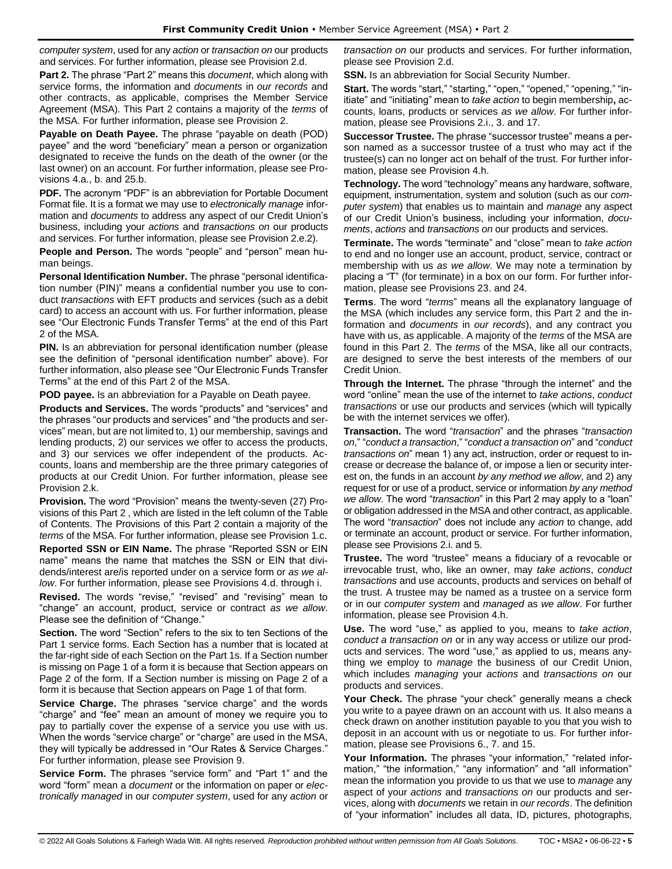*computer system*, used for any *action* or *transaction on* our products and services. For further information, please see Provision 2.d.

**Part 2.** The phrase "Part 2" means this *document*, which along with service forms, the information and *documents* in *our records* and other contracts, as applicable, comprises the Member Service Agreement (MSA). This Part 2 contains a majority of the *terms* of the MSA. For further information, please see Provision 2.

**Payable on Death Payee.** The phrase "payable on death (POD) payee" and the word "beneficiary" mean a person or organization designated to receive the funds on the death of the owner (or the last owner) on an account. For further information, please see Provisions 4.a., b. and 25.b.

**PDF.** The acronym "PDF" is an abbreviation for Portable Document Format file. It is a format we may use to *electronically manage* information and *documents* to address any aspect of our Credit Union's business, including your *actions* and *transactions on* our products and services. For further information, please see Provision 2.e.2).

**People and Person.** The words "people" and "person" mean human beings.

**Personal Identification Number.** The phrase "personal identification number (PIN)" means a confidential number you use to conduct *transactions* with EFT products and services (such as a debit card) to access an account with us. For further information, please see "Our Electronic Funds Transfer Terms" at the end of this Part 2 of the MSA.

**PIN.** Is an abbreviation for personal identification number (please) see the definition of "personal identification number" above). For further information, also please see "Our Electronic Funds Transfer Terms" at the end of this Part 2 of the MSA.

**POD payee.** Is an abbreviation for a Payable on Death payee.

**Products and Services.** The words "products" and "services" and the phrases "our products and services" and "the products and services" mean, but are not limited to, 1) our membership, savings and lending products, 2) our services we offer to access the products, and 3) our services we offer independent of the products. Accounts, loans and membership are the three primary categories of products at our Credit Union. For further information, please see Provision 2.k.

**Provision.** The word "Provision" means the twenty-seven (27) Provisions of this Part 2 , which are listed in the left column of the Table of Contents. The Provisions of this Part 2 contain a majority of the *terms* of the MSA. For further information, please see Provision 1.c.

**Reported SSN or EIN Name.** The phrase "Reported SSN or EIN name" means the name that matches the SSN or EIN that dividends/interest are/is reported under on a service form or *as we allow*. For further information, please see Provisions 4.d. through i.

**Revised.** The words "revise," "revised" and "revising" mean to "change" an account, product, service or contract *as we allow*. Please see the definition of "Change."

**Section.** The word "Section" refers to the six to ten Sections of the Part 1 service forms. Each Section has a number that is located at the far-right side of each Section on the Part 1s. If a Section number is missing on Page 1 of a form it is because that Section appears on Page 2 of the form. If a Section number is missing on Page 2 of a form it is because that Section appears on Page 1 of that form.

**Service Charge.** The phrases "service charge" and the words "charge" and "fee" mean an amount of money we require you to pay to partially cover the expense of a service you use with us. When the words "service charge" or "charge" are used in the MSA, they will typically be addressed in "Our Rates & Service Charges." For further information, please see Provision 9.

**Service Form.** The phrases "service form" and "Part 1" and the word "form" mean a *document* or the information on paper or *electronically managed* in our *computer system*, used for any *action* or

*transaction on* our products and services. For further information, please see Provision 2.d.

**SSN.** Is an abbreviation for Social Security Number.

**Start.** The words "start," "starting," "open," "opened," "opening," "initiate" and "initiating" mean to *take action* to begin membership**,** accounts, loans, products or services *as we allow*. For further information, please see Provisions 2.i., 3. and 17.

**Successor Trustee.** The phrase "successor trustee" means a person named as a successor trustee of a trust who may act if the trustee(s) can no longer act on behalf of the trust. For further information, please see Provision 4.h.

**Technology.** The word "technology" means any hardware, software, equipment, instrumentation, system and solution (such as our *computer system*) that enables us to maintain and *manage* any aspect of our Credit Union's business, including your information, *documents*, *actions* and *transactions on* our products and services.

**Terminate.** The words "terminate" and "close" mean to *take action* to end and no longer use an account, product, service, contract or membership with us *as we allow*. We may note a termination by placing a "T" (for terminate) in a box on our form. For further information, please see Provisions 23. and 24.

**Terms**. The word "*terms*" means all the explanatory language of the MSA (which includes any service form, this Part 2 and the information and *documents* in *our records*), and any contract you have with us, as applicable. A majority of the *terms* of the MSA are found in this Part 2. The *terms* of the MSA, like all our contracts, are designed to serve the best interests of the members of our Credit Union.

**Through the Internet.** The phrase "through the internet" and the word "online" mean the use of the internet to *take actions*, *conduct transactions* or use our products and services (which will typically be with the internet services we offer).

**Transaction.** The word "*transaction*" and the phrases "*transaction on*," "*conduct a transaction*," "*conduct a transaction on*" and "*conduct transactions on*" mean 1) any act, instruction, order or request to increase or decrease the balance of, or impose a lien or security interest on, the funds in an account *by any method we allow*, and 2) any request for or use of a product, service or information *by any method we allow*. The word "*transaction*" in this Part 2 may apply to a "loan" or obligation addressed in the MSA and other contract, as applicable. The word "*transaction*" does not include any *action* to change, add or terminate an account, product or service. For further information, please see Provisions 2.i. and 5.

**Trustee.** The word "trustee" means a fiduciary of a revocable or irrevocable trust, who, like an owner, may *take actions*, *conduct transactions* and use accounts, products and services on behalf of the trust. A trustee may be named as a trustee on a service form or in our *computer system* and *managed* as *we allow*. For further information, please see Provision 4.h.

**Use.** The word "use," as applied to you, means to *take action*, *conduct a transaction on* or in any way access or utilize our products and services. The word "use," as applied to us, means anything we employ to *manage* the business of our Credit Union, which includes *managing* your *actions* and *transactions on* our products and services.

**Your Check.** The phrase "your check" generally means a check you write to a payee drawn on an account with us. It also means a check drawn on another institution payable to you that you wish to deposit in an account with us or negotiate to us. For further information, please see Provisions 6., 7. and 15.

Your Information. The phrases "your information," "related information," "the information," "any information" and "all information" mean the information you provide to us that we use to *manage* any aspect of your *actions* and *transactions on* our products and services, along with *documents* we retain in *our records*. The definition of "your information" includes all data, ID, pictures, photographs,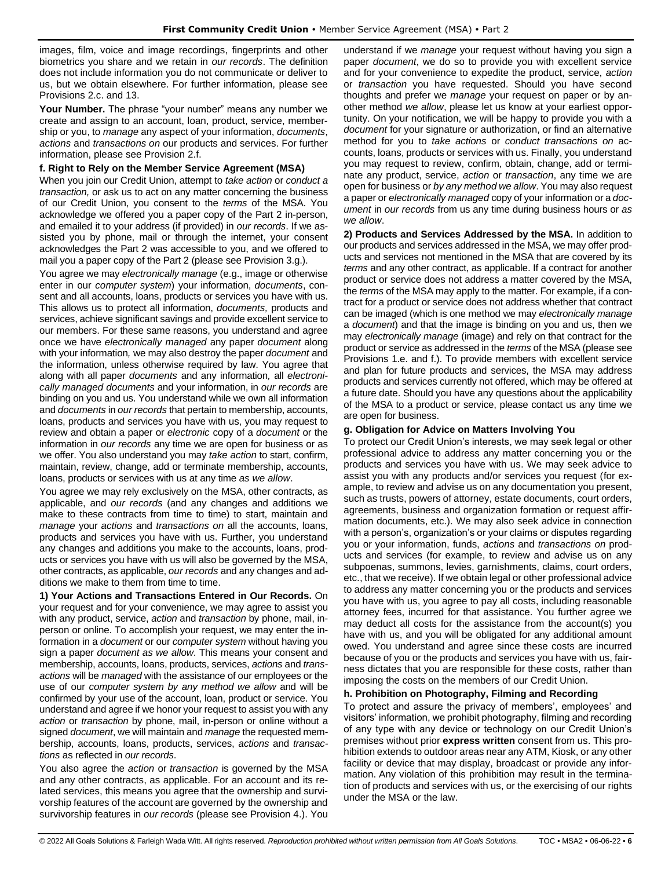images, film, voice and image recordings, fingerprints and other biometrics you share and we retain in *our records*. The definition does not include information you do not communicate or deliver to us, but we obtain elsewhere. For further information, please see Provisions 2.c. and 13.

**Your Number.** The phrase "your number" means any number we create and assign to an account, loan, product, service, membership or you, to *manage* any aspect of your information, *documents*, *actions* and *transactions on* our products and services. For further information, please see Provision 2.f.

## **f. Right to Rely on the Member Service Agreement (MSA)**

When you join our Credit Union, attempt to *take action* or *conduct a transaction,* or ask us to act on any matter concerning the business of our Credit Union, you consent to the *terms* of the MSA. You acknowledge we offered you a paper copy of the Part 2 in-person, and emailed it to your address (if provided) in *our records*. If we assisted you by phone, mail or through the internet, your consent acknowledges the Part 2 was accessible to you, and we offered to mail you a paper copy of the Part 2 (please see Provision 3.g.).

You agree we may *electronically manage* (e.g., image or otherwise enter in our *computer system*) your information, *documents*, consent and all accounts, loans, products or services you have with us. This allows us to protect all information, *documents,* products and services, achieve significant savings and provide excellent service to our members. For these same reasons, you understand and agree once we have *electronically managed* any paper *document* along with your information*,* we may also destroy the paper *document* and the information, unless otherwise required by law. You agree that along with all paper *documents* and any information*,* all *electronically managed documents* and your information, in *our records* are binding on you and us. You understand while we own all information and *documents* in *our records* that pertain to membership, accounts, loans, products and services you have with us, you may request to review and obtain a paper or *electronic* copy of a *document* or the information in *our records* any time we are open for business or as we offer. You also understand you may *take action* to start, confirm, maintain, review, change, add or terminate membership, accounts, loans, products or services with us at any time *as we allow*.

You agree we may rely exclusively on the MSA, other contracts, as applicable, and *our records* (and any changes and additions we make to these contracts from time to time) to start, maintain and *manage* your *actions* and *transactions on* all the accounts, loans, products and services you have with us. Further, you understand any changes and additions you make to the accounts, loans, products or services you have with us will also be governed by the MSA, other contracts, as applicable, *our records* and any changes and additions we make to them from time to time.

**1) Your Actions and Transactions Entered in Our Records.** On your request and for your convenience, we may agree to assist you with any product, service, *action* and *transaction* by phone, mail, inperson or online. To accomplish your request, we may enter the information in a *document* or our *computer system* without having you sign a paper *document as we allow*. This means your consent and membership, accounts, loans, products, services, *actions* and *transactions* will be *managed* with the assistance of our employees or the use of our *computer system by any method we allow* and will be confirmed by your use of the account, loan, product or service. You understand and agree if we honor your request to assist you with any *action* or *transaction* by phone, mail, in-person or online without a signed *document*, we will maintain and *manage* the requested membership, accounts, loans, products, services, *actions* and *transactions* as reflected in *our records*.

You also agree the *action* or *transaction* is governed by the MSA and any other contracts, as applicable. For an account and its related services, this means you agree that the ownership and survivorship features of the account are governed by the ownership and survivorship features in *our records* (please see Provision 4.). You understand if we *manage* your request without having you sign a paper *document*, we do so to provide you with excellent service and for your convenience to expedite the product, service, *action*  or *transaction* you have requested. Should you have second thoughts and prefer we *manage* your request on paper or by another method *we allow*, please let us know at your earliest opportunity. On your notification, we will be happy to provide you with a *document* for your signature or authorization, or find an alternative method for you to *take actions* or *conduct transactions on* accounts, loans, products or services with us. Finally, you understand you may request to review, confirm, obtain, change, add or terminate any product, service, *action* or *transaction*, any time we are open for business or *by any method we allow*. You may also request a paper or *electronically managed* copy of your information or a *document* in *our records* from us any time during business hours or *as we allow*.

**2) Products and Services Addressed by the MSA.** In addition to our products and services addressed in the MSA, we may offer products and services not mentioned in the MSA that are covered by its *terms* and any other contract, as applicable. If a contract for another product or service does not address a matter covered by the MSA, the *terms* of the MSA may apply to the matter. For example, if a contract for a product or service does not address whether that contract can be imaged (which is one method we may *electronically manage*  a *document*) and that the image is binding on you and us, then we may *electronically manage* (image) and rely on that contract for the product or service as addressed in the *terms* of the MSA (please see Provisions 1.e. and f.). To provide members with excellent service and plan for future products and services, the MSA may address products and services currently not offered, which may be offered at a future date. Should you have any questions about the applicability of the MSA to a product or service, please contact us any time we are open for business.

# **g. Obligation for Advice on Matters Involving You**

To protect our Credit Union's interests, we may seek legal or other professional advice to address any matter concerning you or the products and services you have with us. We may seek advice to assist you with any products and/or services you request (for example, to review and advise us on any documentation you present, such as trusts, powers of attorney, estate documents, court orders, agreements, business and organization formation or request affirmation documents, etc.). We may also seek advice in connection with a person's, organization's or your claims or disputes regarding you or your information, funds, *actions* and *transactions on* products and services (for example, to review and advise us on any subpoenas, summons, levies, garnishments, claims, court orders, etc., that we receive). If we obtain legal or other professional advice to address any matter concerning you or the products and services you have with us, you agree to pay all costs, including reasonable attorney fees, incurred for that assistance. You further agree we may deduct all costs for the assistance from the account(s) you have with us, and you will be obligated for any additional amount owed. You understand and agree since these costs are incurred because of you or the products and services you have with us, fairness dictates that you are responsible for these costs, rather than imposing the costs on the members of our Credit Union.

### **h. Prohibition on Photography, Filming and Recording**

To protect and assure the privacy of members', employees' and visitors' information, we prohibit photography, filming and recording of any type with any device or technology on our Credit Union's premises without prior **express written** consent from us. This prohibition extends to outdoor areas near any ATM, Kiosk, or any other facility or device that may display, broadcast or provide any information. Any violation of this prohibition may result in the termination of products and services with us, or the exercising of our rights under the MSA or the law.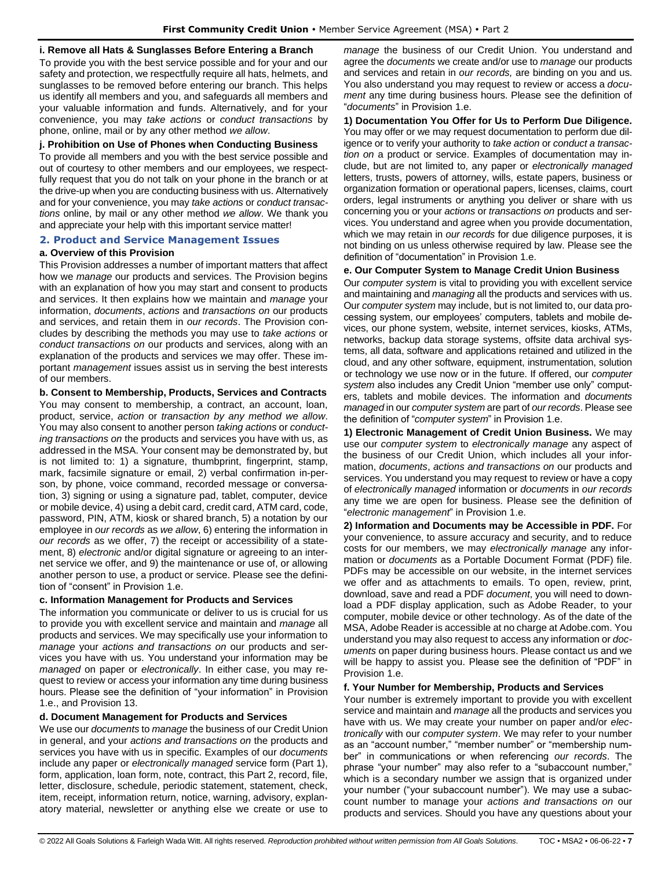# **i. Remove all Hats & Sunglasses Before Entering a Branch**

To provide you with the best service possible and for your and our safety and protection, we respectfully require all hats, helmets, and sunglasses to be removed before entering our branch. This helps us identify all members and you, and safeguards all members and your valuable information and funds. Alternatively, and for your convenience, you may *take actions* or *conduct transactions* by phone, online, mail or by any other method *we allow*.

### **j. Prohibition on Use of Phones when Conducting Business**

To provide all members and you with the best service possible and out of courtesy to other members and our employees, we respectfully request that you do not talk on your phone in the branch or at the drive-up when you are conducting business with us. Alternatively and for your convenience, you may *take actions* or *conduct transactions* online, by mail or any other method *we allow*. We thank you and appreciate your help with this important service matter!

## <span id="page-6-0"></span>**2. Product and Service Management Issues**

# **a. Overview of this Provision**

This Provision addresses a number of important matters that affect how we *manage* our products and services. The Provision begins with an explanation of how you may start and consent to products and services. It then explains how we maintain and *manage* your information, *documents*, *actions* and *transactions on* our products and services, and retain them in *our records*. The Provision concludes by describing the methods you may use to *take actions* or *conduct transactions on* our products and services, along with an explanation of the products and services we may offer. These important *management* issues assist us in serving the best interests of our members.

## **b. Consent to Membership, Products, Services and Contracts**

You may consent to membership, a contract, an account, loan, product, service, *action* or *transaction by any method we allow*. You may also consent to another person *taking actions* or *conducting transactions on* the products and services you have with us, as addressed in the MSA. Your consent may be demonstrated by, but is not limited to: 1) a signature, thumbprint, fingerprint, stamp, mark, facsimile signature or email, 2) verbal confirmation in-person, by phone, voice command, recorded message or conversation, 3) signing or using a signature pad, tablet, computer, device or mobile device, 4) using a debit card, credit card, ATM card, code, password, PIN, ATM, kiosk or shared branch, 5) a notation by our employee in *our records* as *we allow*, 6) entering the information in *our records* as we offer, 7) the receipt or accessibility of a statement, 8) *electronic* and/or digital signature or agreeing to an internet service we offer, and 9) the maintenance or use of, or allowing another person to use, a product or service. Please see the definition of "consent" in Provision 1.e.

# **c. Information Management for Products and Services**

The information you communicate or deliver to us is crucial for us to provide you with excellent service and maintain and *manage* all products and services. We may specifically use your information to *manage* your *actions and transactions on* our products and services you have with us. You understand your information may be *managed* on paper or *electronically*. In either case, you may request to review or access your information any time during business hours. Please see the definition of "your information" in Provision 1.e., and Provision 13.

### **d. Document Management for Products and Services**

We use our *documents* to *manage* the business of our Credit Union in general, and your *actions and transactions on* the products and services you have with us in specific. Examples of our *documents* include any paper or *electronically managed* service form (Part 1), form, application, loan form, note, contract, this Part 2, record, file, letter, disclosure, schedule, periodic statement, statement, check, item, receipt, information return, notice, warning, advisory, explanatory material, newsletter or anything else we create or use to

*manage* the business of our Credit Union. You understand and agree the *documents* we create and/or use to *manage* our products and services and retain in *our records,* are binding on you and us. You also understand you may request to review or access a *docu*ment any time during business hours. Please see the definition of "*documents*" in Provision 1.e.

**1) Documentation You Offer for Us to Perform Due Diligence.** You may offer or we may request documentation to perform due diligence or to verify your authority to *take action* or *conduct a transaction on* a product or service. Examples of documentation may include, but are not limited to, any paper or *electronically managed* letters, trusts, powers of attorney, wills, estate papers, business or organization formation or operational papers, licenses, claims, court orders, legal instruments or anything you deliver or share with us concerning you or your *actions* or *transactions on* products and services. You understand and agree when you provide documentation, which we may retain in *our records* for due diligence purposes, it is not binding on us unless otherwise required by law. Please see the definition of "documentation" in Provision 1.e.

### **e. Our Computer System to Manage Credit Union Business**

Our *computer system* is vital to providing you with excellent service and maintaining and *managing* all the products and services with us. Our *computer system* may include, but is not limited to, our data processing system, our employees' computers, tablets and mobile devices, our phone system, website, internet services, kiosks, ATMs, networks, backup data storage systems, offsite data archival systems, all data, software and applications retained and utilized in the cloud, and any other software, equipment, instrumentation, solution or technology we use now or in the future. If offered, our *computer system* also includes any Credit Union "member use only" computers, tablets and mobile devices. The information and *documents managed* in our *computer system* are part of *our records*. Please see the definition of "*computer system*" in Provision 1.e.

**1) Electronic Management of Credit Union Business.** We may use our *computer system* to *electronically manage* any aspect of the business of our Credit Union, which includes all your information, *documents*, *actions and transactions on* our products and services. You understand you may request to review or have a copy of *electronically managed* information or *documents* in *our records* any time we are open for business. Please see the definition of "*electronic management*" in Provision 1.e.

**2) Information and Documents may be Accessible in PDF.** For your convenience, to assure accuracy and security, and to reduce costs for our members, we may *electronically manage* any information or *documents* as a Portable Document Format (PDF) file. PDFs may be accessible on our website, in the internet services we offer and as attachments to emails. To open, review, print, download, save and read a PDF *document*, you will need to download a PDF display application, such as Adobe Reader, to your computer, mobile device or other technology. As of the date of the MSA, Adobe Reader is accessible at no charge at Adobe.com. You understand you may also request to access any information or *documents* on paper during business hours. Please contact us and we will be happy to assist you. Please see the definition of "PDF" in Provision 1.e.

### **f. Your Number for Membership, Products and Services**

Your number is extremely important to provide you with excellent service and maintain and *manage* all the products and services you have with us. We may create your number on paper and/or *electronically* with our *computer system*. We may refer to your number as an "account number," "member number" or "membership number" in communications or when referencing *our records*. The phrase "your number" may also refer to a "subaccount number," which is a secondary number we assign that is organized under your number ("your subaccount number"). We may use a subaccount number to manage your *actions and transactions on* our products and services. Should you have any questions about your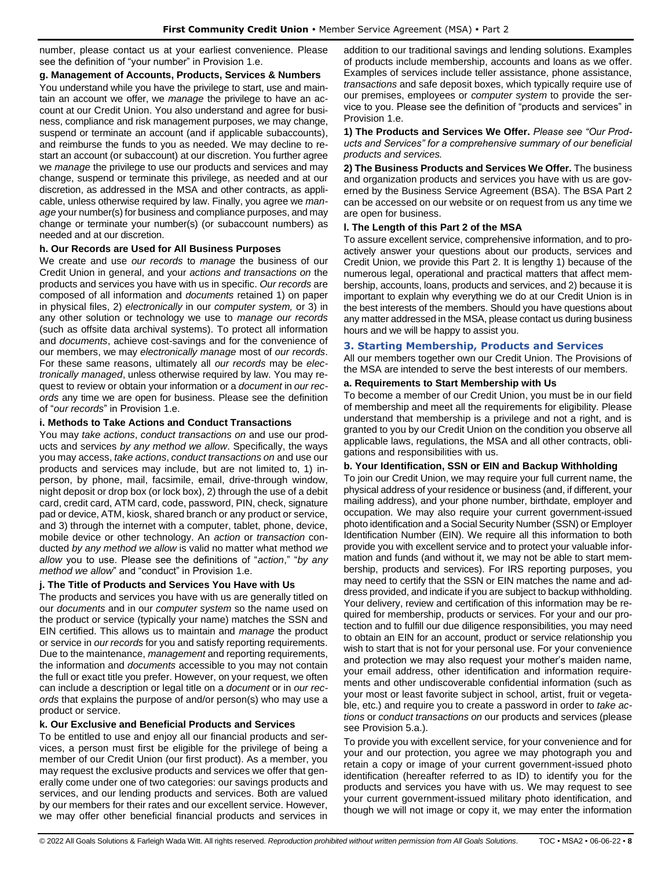number, please contact us at your earliest convenience. Please see the definition of "your number" in Provision 1.e.

## **g. Management of Accounts, Products, Services & Numbers**

You understand while you have the privilege to start, use and maintain an account we offer, we *manage* the privilege to have an account at our Credit Union. You also understand and agree for business, compliance and risk management purposes, we may change, suspend or terminate an account (and if applicable subaccounts), and reimburse the funds to you as needed. We may decline to restart an account (or subaccount) at our discretion. You further agree we *manage* the privilege to use our products and services and may change, suspend or terminate this privilege, as needed and at our discretion, as addressed in the MSA and other contracts, as applicable, unless otherwise required by law. Finally, you agree we *manage* your number(s) for business and compliance purposes, and may change or terminate your number(s) (or subaccount numbers) as needed and at our discretion.

## **h. Our Records are Used for All Business Purposes**

We create and use *our records* to *manage* the business of our Credit Union in general, and your *actions and transactions on* the products and services you have with us in specific. *Our records* are composed of all information and *documents* retained 1) on paper in physical files, 2) *electronically* in our *computer system,* or 3) in any other solution or technology we use to *manage our records* (such as offsite data archival systems). To protect all information and *documents*, achieve cost-savings and for the convenience of our members, we may *electronically manage* most of *our records*. For these same reasons, ultimately all *our records* may be *electronically managed*, unless otherwise required by law. You may request to review or obtain your information or a *document* in *our records* any time we are open for business. Please see the definition of "*our records*" in Provision 1.e.

# **i. Methods to Take Actions and Conduct Transactions**

You may *take actions*, *conduct transactions on* and use our products and services *by any method we allow*. Specifically, the ways you may access, *take actions*, *conduct transactions on* and use our products and services may include, but are not limited to, 1) inperson, by phone, mail, facsimile, email, drive-through window, night deposit or drop box (or lock box), 2) through the use of a debit card, credit card, ATM card, code, password, PIN, check, signature pad or device, ATM, kiosk, shared branch or any product or service, and 3) through the internet with a computer, tablet, phone, device, mobile device or other technology. An *action* or *transaction* conducted *by any method we allow* is valid no matter what method *we allow* you to use. Please see the definitions of "*action*," "*by any method we allow*" and "conduct" in Provision 1.e.

# **j. The Title of Products and Services You Have with Us**

The products and services you have with us are generally titled on our *documents* and in our *computer system* so the name used on the product or service (typically your name) matches the SSN and EIN certified. This allows us to maintain and *manage* the product or service in *our records* for you and satisfy reporting requirements. Due to the maintenance, *management* and reporting requirements, the information and *documents* accessible to you may not contain the full or exact title you prefer. However, on your request, we often can include a description or legal title on a *document* or in *our records* that explains the purpose of and/or person(s) who may use a product or service.

# **k. Our Exclusive and Beneficial Products and Services**

To be entitled to use and enjoy all our financial products and services, a person must first be eligible for the privilege of being a member of our Credit Union (our first product). As a member, you may request the exclusive products and services we offer that generally come under one of two categories: our savings products and services, and our lending products and services. Both are valued by our members for their rates and our excellent service. However, we may offer other beneficial financial products and services in addition to our traditional savings and lending solutions. Examples of products include membership, accounts and loans as we offer. Examples of services include teller assistance, phone assistance, *transactions* and safe deposit boxes, which typically require use of our premises, employees or *computer system* to provide the service to you. Please see the definition of "products and services" in Provision 1.e.

**1) The Products and Services We Offer.** *Please see "Our Products and Services" for a comprehensive summary of our beneficial products and services.*

**2) The Business Products and Services We Offer.** The business and organization products and services you have with us are governed by the Business Service Agreement (BSA). The BSA Part 2 can be accessed on our website or on request from us any time we are open for business.

## **l. The Length of this Part 2 of the MSA**

To assure excellent service, comprehensive information, and to proactively answer your questions about our products, services and Credit Union, we provide this Part 2. It is lengthy 1) because of the numerous legal, operational and practical matters that affect membership, accounts, loans, products and services, and 2) because it is important to explain why everything we do at our Credit Union is in the best interests of the members. Should you have questions about any matter addressed in the MSA, please contact us during business hours and we will be happy to assist you.

## <span id="page-7-0"></span>**3. Starting Membership, Products and Services**

All our members together own our Credit Union. The Provisions of the MSA are intended to serve the best interests of our members.

## **a. Requirements to Start Membership with Us**

To become a member of our Credit Union, you must be in our field of membership and meet all the requirements for eligibility. Please understand that membership is a privilege and not a right, and is granted to you by our Credit Union on the condition you observe all applicable laws, regulations, the MSA and all other contracts, obligations and responsibilities with us.

### **b. Your Identification, SSN or EIN and Backup Withholding**

To join our Credit Union, we may require your full current name, the physical address of your residence or business (and, if different, your mailing address), and your phone number, birthdate, employer and occupation. We may also require your current government-issued photo identification and a Social Security Number (SSN) or Employer Identification Number (EIN). We require all this information to both provide you with excellent service and to protect your valuable information and funds (and without it, we may not be able to start membership, products and services). For IRS reporting purposes, you may need to certify that the SSN or EIN matches the name and address provided, and indicate if you are subject to backup withholding. Your delivery, review and certification of this information may be required for membership, products or services. For your and our protection and to fulfill our due diligence responsibilities, you may need to obtain an EIN for an account, product or service relationship you wish to start that is not for your personal use. For your convenience and protection we may also request your mother's maiden name, your email address, other identification and information requirements and other undiscoverable confidential information (such as your most or least favorite subject in school, artist, fruit or vegetable, etc.) and require you to create a password in order to *take actions* or *conduct transactions on* our products and services (please see Provision 5.a.).

To provide you with excellent service, for your convenience and for your and our protection, you agree we may photograph you and retain a copy or image of your current government-issued photo identification (hereafter referred to as ID) to identify you for the products and services you have with us. We may request to see your current government-issued military photo identification, and though we will not image or copy it, we may enter the information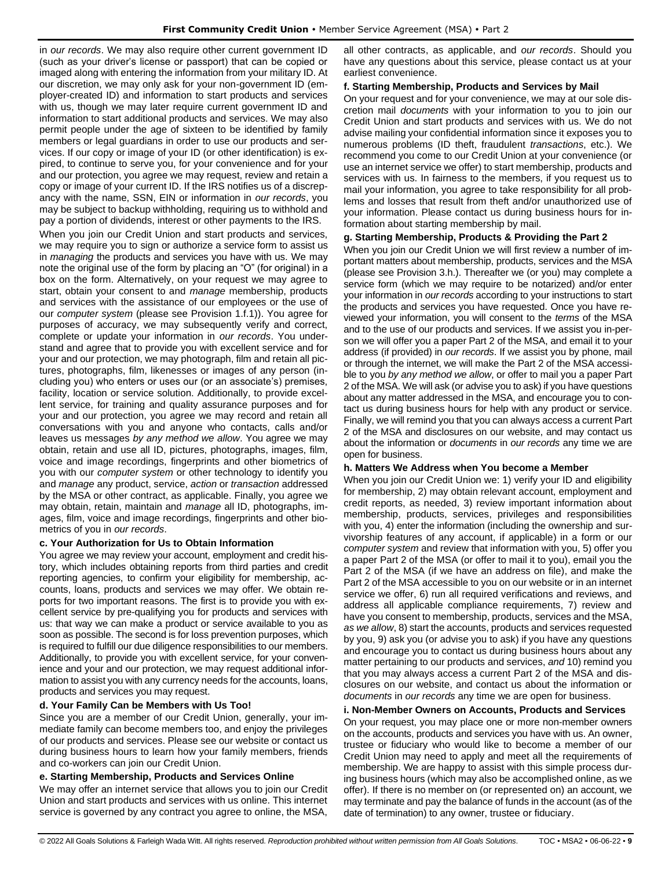in *our records*. We may also require other current government ID (such as your driver's license or passport) that can be copied or imaged along with entering the information from your military ID. At our discretion, we may only ask for your non-government ID (employer-created ID) and information to start products and services with us, though we may later require current government ID and information to start additional products and services. We may also permit people under the age of sixteen to be identified by family members or legal guardians in order to use our products and services. If our copy or image of your ID (or other identification) is expired, to continue to serve you, for your convenience and for your and our protection, you agree we may request, review and retain a copy or image of your current ID. If the IRS notifies us of a discrepancy with the name, SSN, EIN or information in *our records*, you may be subject to backup withholding, requiring us to withhold and pay a portion of dividends, interest or other payments to the IRS.

When you join our Credit Union and start products and services, we may require you to sign or authorize a service form to assist us in *managing* the products and services you have with us. We may note the original use of the form by placing an "O" (for original) in a box on the form. Alternatively, on your request we may agree to start, obtain your consent to and *manage* membership, products and services with the assistance of our employees or the use of our *computer system* (please see Provision 1.f.1)). You agree for purposes of accuracy, we may subsequently verify and correct, complete or update your information in *our records*. You understand and agree that to provide you with excellent service and for your and our protection, we may photograph, film and retain all pictures, photographs, film, likenesses or images of any person (including you) who enters or uses our (or an associate's) premises, facility, location or service solution. Additionally, to provide excellent service, for training and quality assurance purposes and for your and our protection, you agree we may record and retain all conversations with you and anyone who contacts, calls and/or leaves us messages *by any method we allow*. You agree we may obtain, retain and use all ID, pictures, photographs, images, film, voice and image recordings, fingerprints and other biometrics of you with our *computer system* or other technology to identify you and *manage* any product, service, *action* or *transaction* addressed by the MSA or other contract, as applicable. Finally, you agree we may obtain, retain, maintain and *manage* all ID, photographs, images, film, voice and image recordings, fingerprints and other biometrics of you in *our records*.

# **c. Your Authorization for Us to Obtain Information**

You agree we may review your account, employment and credit history, which includes obtaining reports from third parties and credit reporting agencies, to confirm your eligibility for membership, accounts, loans, products and services we may offer. We obtain reports for two important reasons. The first is to provide you with excellent service by pre-qualifying you for products and services with us: that way we can make a product or service available to you as soon as possible. The second is for loss prevention purposes, which is required to fulfill our due diligence responsibilities to our members. Additionally, to provide you with excellent service, for your convenience and your and our protection, we may request additional information to assist you with any currency needs for the accounts, loans, products and services you may request.

# **d. Your Family Can be Members with Us Too!**

Since you are a member of our Credit Union, generally, your immediate family can become members too, and enjoy the privileges of our products and services. Please see our website or contact us during business hours to learn how your family members, friends and co-workers can join our Credit Union.

## **e. Starting Membership, Products and Services Online**

We may offer an internet service that allows you to join our Credit Union and start products and services with us online. This internet service is governed by any contract you agree to online, the MSA,

all other contracts, as applicable, and *our records*. Should you have any questions about this service, please contact us at your earliest convenience.

### **f. Starting Membership, Products and Services by Mail**

On your request and for your convenience, we may at our sole discretion mail *documents* with your information to you to join our Credit Union and start products and services with us. We do not advise mailing your confidential information since it exposes you to numerous problems (ID theft, fraudulent *transactions*, etc.). We recommend you come to our Credit Union at your convenience (or use an internet service we offer) to start membership, products and services with us. In fairness to the members, if you request us to mail your information, you agree to take responsibility for all problems and losses that result from theft and/or unauthorized use of your information. Please contact us during business hours for information about starting membership by mail.

## **g. Starting Membership, Products & Providing the Part 2**

When you join our Credit Union we will first review a number of important matters about membership, products, services and the MSA (please see Provision 3.h.). Thereafter we (or you) may complete a service form (which we may require to be notarized) and/or enter your information in *our records* according to your instructions to start the products and services you have requested. Once you have reviewed your information, you will consent to the *terms* of the MSA and to the use of our products and services. If we assist you in-person we will offer you a paper Part 2 of the MSA, and email it to your address (if provided) in *our records*. If we assist you by phone, mail or through the internet, we will make the Part 2 of the MSA accessible to you *by any method we allow*, or offer to mail you a paper Part 2 of the MSA. We will ask (or advise you to ask) if you have questions about any matter addressed in the MSA, and encourage you to contact us during business hours for help with any product or service. Finally, we will remind you that you can always access a current Part 2 of the MSA and disclosures on our website, and may contact us about the information or *documents* in *our records* any time we are open for business.

### **h. Matters We Address when You become a Member**

When you join our Credit Union we: 1) verify your ID and eligibility for membership, 2) may obtain relevant account, employment and credit reports, as needed, 3) review important information about membership, products, services, privileges and responsibilities with you, 4) enter the information (including the ownership and survivorship features of any account, if applicable) in a form or our *computer system* and review that information with you, 5) offer you a paper Part 2 of the MSA (or offer to mail it to you), email you the Part 2 of the MSA (if we have an address on file), and make the Part 2 of the MSA accessible to you on our website or in an internet service we offer, 6) run all required verifications and reviews, and address all applicable compliance requirements, 7) review and have you consent to membership, products, services and the MSA, *as we allow*, 8) start the accounts, products and services requested by you, 9) ask you (or advise you to ask) if you have any questions and encourage you to contact us during business hours about any matter pertaining to our products and services, *and* 10) remind you that you may always access a current Part 2 of the MSA and disclosures on our website, and contact us about the information or *documents* in *our records* any time we are open for business.

# **i. Non-Member Owners on Accounts, Products and Services**

On your request, you may place one or more non-member owners on the accounts, products and services you have with us. An owner, trustee or fiduciary who would like to become a member of our Credit Union may need to apply and meet all the requirements of membership. We are happy to assist with this simple process during business hours (which may also be accomplished online, as we offer). If there is no member on (or represented on) an account, we may terminate and pay the balance of funds in the account (as of the date of termination) to any owner, trustee or fiduciary.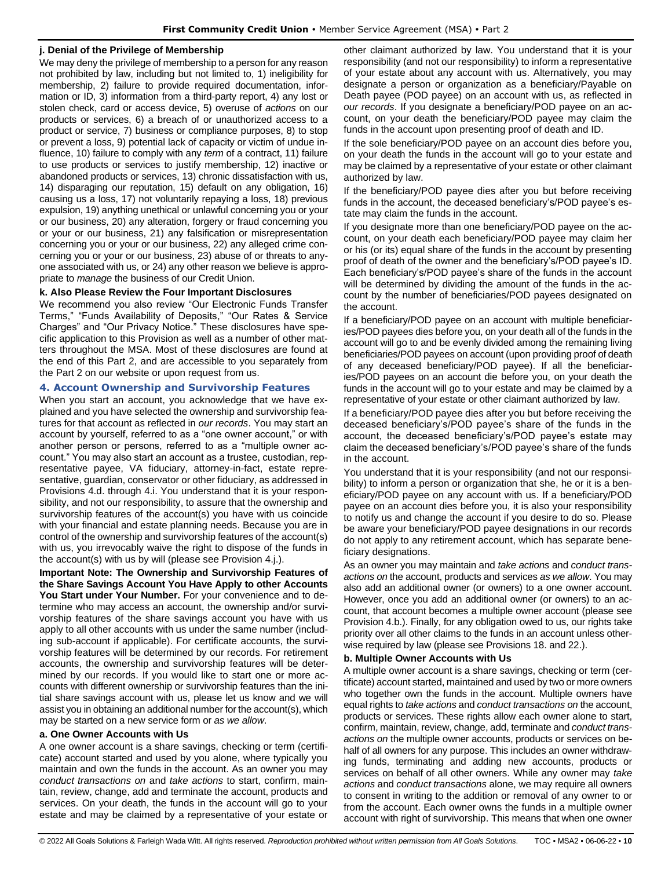# **j. Denial of the Privilege of Membership**

We may deny the privilege of membership to a person for any reason not prohibited by law, including but not limited to, 1) ineligibility for membership, 2) failure to provide required documentation, information or ID, 3) information from a third-party report, 4) any lost or stolen check, card or access device, 5) overuse of *actions* on our products or services, 6) a breach of or unauthorized access to a product or service, 7) business or compliance purposes, 8) to stop or prevent a loss, 9) potential lack of capacity or victim of undue influence, 10) failure to comply with any *term* of a contract, 11) failure to use products or services to justify membership, 12) inactive or abandoned products or services, 13) chronic dissatisfaction with us, 14) disparaging our reputation, 15) default on any obligation, 16) causing us a loss, 17) not voluntarily repaying a loss, 18) previous expulsion, 19) anything unethical or unlawful concerning you or your or our business, 20) any alteration, forgery or fraud concerning you or your or our business, 21) any falsification or misrepresentation concerning you or your or our business, 22) any alleged crime concerning you or your or our business, 23) abuse of or threats to anyone associated with us, or 24) any other reason we believe is appropriate to *manage* the business of our Credit Union.

## **k. Also Please Review the Four Important Disclosures**

We recommend you also review "Our Electronic Funds Transfer Terms," "Funds Availability of Deposits," "Our Rates & Service Charges" and "Our Privacy Notice." These disclosures have specific application to this Provision as well as a number of other matters throughout the MSA. Most of these disclosures are found at the end of this Part 2, and are accessible to you separately from the Part 2 on our website or upon request from us.

# <span id="page-9-0"></span>**4. Account Ownership and Survivorship Features**

When you start an account, you acknowledge that we have explained and you have selected the ownership and survivorship features for that account as reflected in *our records*. You may start an account by yourself, referred to as a "one owner account," or with another person or persons, referred to as a "multiple owner account." You may also start an account as a trustee, custodian, representative payee, VA fiduciary, attorney-in-fact, estate representative, guardian, conservator or other fiduciary, as addressed in Provisions 4.d. through 4.i. You understand that it is your responsibility, and not our responsibility, to assure that the ownership and survivorship features of the account(s) you have with us coincide with your financial and estate planning needs. Because you are in control of the ownership and survivorship features of the account(s) with us, you irrevocably waive the right to dispose of the funds in the account(s) with us by will (please see Provision 4.j.).

**Important Note: The Ownership and Survivorship Features of the Share Savings Account You Have Apply to other Accounts You Start under Your Number.** For your convenience and to determine who may access an account, the ownership and/or survivorship features of the share savings account you have with us apply to all other accounts with us under the same number (including sub-account if applicable). For certificate accounts, the survivorship features will be determined by our records. For retirement accounts, the ownership and survivorship features will be determined by our records. If you would like to start one or more accounts with different ownership or survivorship features than the initial share savings account with us, please let us know and we will assist you in obtaining an additional number for the account(s), which may be started on a new service form or *as we allow*.

### **a. One Owner Accounts with Us**

A one owner account is a share savings, checking or term (certificate) account started and used by you alone, where typically you maintain and own the funds in the account. As an owner you may *conduct transactions on* and *take actions* to start, confirm, maintain, review, change, add and terminate the account, products and services. On your death, the funds in the account will go to your estate and may be claimed by a representative of your estate or

other claimant authorized by law. You understand that it is your responsibility (and not our responsibility) to inform a representative of your estate about any account with us. Alternatively, you may designate a person or organization as a beneficiary/Payable on Death payee (POD payee) on an account with us, as reflected in *our records*. If you designate a beneficiary/POD payee on an account, on your death the beneficiary/POD payee may claim the funds in the account upon presenting proof of death and ID.

If the sole beneficiary/POD payee on an account dies before you, on your death the funds in the account will go to your estate and may be claimed by a representative of your estate or other claimant authorized by law.

If the beneficiary/POD payee dies after you but before receiving funds in the account, the deceased beneficiary's/POD payee's estate may claim the funds in the account.

If you designate more than one beneficiary/POD payee on the account, on your death each beneficiary/POD payee may claim her or his (or its) equal share of the funds in the account by presenting proof of death of the owner and the beneficiary's/POD payee's ID. Each beneficiary's/POD payee's share of the funds in the account will be determined by dividing the amount of the funds in the account by the number of beneficiaries/POD payees designated on the account.

If a beneficiary/POD payee on an account with multiple beneficiaries/POD payees dies before you, on your death all of the funds in the account will go to and be evenly divided among the remaining living beneficiaries/POD payees on account (upon providing proof of death of any deceased beneficiary/POD payee). If all the beneficiaries/POD payees on an account die before you, on your death the funds in the account will go to your estate and may be claimed by a representative of your estate or other claimant authorized by law.

If a beneficiary/POD payee dies after you but before receiving the deceased beneficiary's/POD payee's share of the funds in the account, the deceased beneficiary's/POD payee's estate may claim the deceased beneficiary's/POD payee's share of the funds in the account.

You understand that it is your responsibility (and not our responsibility) to inform a person or organization that she, he or it is a beneficiary/POD payee on any account with us. If a beneficiary/POD payee on an account dies before you, it is also your responsibility to notify us and change the account if you desire to do so. Please be aware your beneficiary/POD payee designations in our records do not apply to any retirement account, which has separate beneficiary designations.

As an owner you may maintain and *take actions* and *conduct transactions on* the account, products and services *as we allow*. You may also add an additional owner (or owners) to a one owner account. However, once you add an additional owner (or owners) to an account, that account becomes a multiple owner account (please see Provision 4.b.). Finally, for any obligation owed to us, our rights take priority over all other claims to the funds in an account unless otherwise required by law (please see Provisions 18. and 22.).

## **b. Multiple Owner Accounts with Us**

A multiple owner account is a share savings, checking or term (certificate) account started, maintained and used by two or more owners who together own the funds in the account. Multiple owners have equal rights to *take actions* and *conduct transactions on* the account, products or services. These rights allow each owner alone to start, confirm, maintain, review, change, add, terminate and *conduct transactions on* the multiple owner accounts, products or services on behalf of all owners for any purpose. This includes an owner withdrawing funds, terminating and adding new accounts, products or services on behalf of all other owners. While any owner may *take actions* and *conduct transactions* alone, we may require all owners to consent in writing to the addition or removal of any owner to or from the account. Each owner owns the funds in a multiple owner account with right of survivorship. This means that when one owner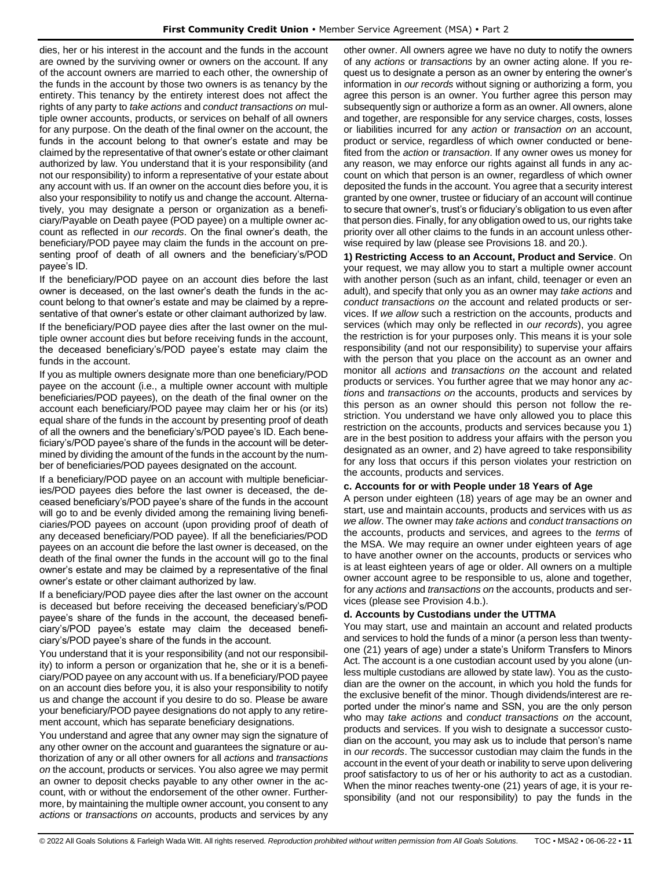dies, her or his interest in the account and the funds in the account are owned by the surviving owner or owners on the account. If any of the account owners are married to each other, the ownership of the funds in the account by those two owners is as tenancy by the entirety. This tenancy by the entirety interest does not affect the rights of any party to *take actions* and *conduct transactions on* multiple owner accounts, products, or services on behalf of all owners for any purpose. On the death of the final owner on the account, the funds in the account belong to that owner's estate and may be claimed by the representative of that owner's estate or other claimant authorized by law. You understand that it is your responsibility (and not our responsibility) to inform a representative of your estate about any account with us. If an owner on the account dies before you, it is also your responsibility to notify us and change the account. Alternatively, you may designate a person or organization as a beneficiary/Payable on Death payee (POD payee) on a multiple owner account as reflected in *our records*. On the final owner's death, the beneficiary/POD payee may claim the funds in the account on presenting proof of death of all owners and the beneficiary's/POD payee's ID.

If the beneficiary/POD payee on an account dies before the last owner is deceased, on the last owner's death the funds in the account belong to that owner's estate and may be claimed by a representative of that owner's estate or other claimant authorized by law.

If the beneficiary/POD payee dies after the last owner on the multiple owner account dies but before receiving funds in the account, the deceased beneficiary's/POD payee's estate may claim the funds in the account.

If you as multiple owners designate more than one beneficiary/POD payee on the account (i.e., a multiple owner account with multiple beneficiaries/POD payees), on the death of the final owner on the account each beneficiary/POD payee may claim her or his (or its) equal share of the funds in the account by presenting proof of death of all the owners and the beneficiary's/POD payee's ID. Each beneficiary's/POD payee's share of the funds in the account will be determined by dividing the amount of the funds in the account by the number of beneficiaries/POD payees designated on the account.

If a beneficiary/POD payee on an account with multiple beneficiaries/POD payees dies before the last owner is deceased, the deceased beneficiary's/POD payee's share of the funds in the account will go to and be evenly divided among the remaining living beneficiaries/POD payees on account (upon providing proof of death of any deceased beneficiary/POD payee). If all the beneficiaries/POD payees on an account die before the last owner is deceased, on the death of the final owner the funds in the account will go to the final owner's estate and may be claimed by a representative of the final owner's estate or other claimant authorized by law.

If a beneficiary/POD payee dies after the last owner on the account is deceased but before receiving the deceased beneficiary's/POD payee's share of the funds in the account, the deceased beneficiary's/POD payee's estate may claim the deceased beneficiary's/POD payee's share of the funds in the account.

You understand that it is your responsibility (and not our responsibility) to inform a person or organization that he, she or it is a beneficiary/POD payee on any account with us. If a beneficiary/POD payee on an account dies before you, it is also your responsibility to notify us and change the account if you desire to do so. Please be aware your beneficiary/POD payee designations do not apply to any retirement account, which has separate beneficiary designations.

You understand and agree that any owner may sign the signature of any other owner on the account and guarantees the signature or authorization of any or all other owners for all *actions* and *transactions on* the account, products or services. You also agree we may permit an owner to deposit checks payable to any other owner in the account, with or without the endorsement of the other owner. Furthermore, by maintaining the multiple owner account, you consent to any *actions* or *transactions on* accounts, products and services by any other owner. All owners agree we have no duty to notify the owners of any *actions* or *transactions* by an owner acting alone. If you request us to designate a person as an owner by entering the owner's information in *our records* without signing or authorizing a form, you agree this person is an owner. You further agree this person may subsequently sign or authorize a form as an owner. All owners, alone and together, are responsible for any service charges, costs, losses or liabilities incurred for any *action* or *transaction on* an account, product or service, regardless of which owner conducted or benefited from the *action* or *transaction*. If any owner owes us money for any reason, we may enforce our rights against all funds in any account on which that person is an owner, regardless of which owner deposited the funds in the account. You agree that a security interest granted by one owner, trustee or fiduciary of an account will continue to secure that owner's, trust's or fiduciary's obligation to us even after that person dies. Finally, for any obligation owed to us, our rights take priority over all other claims to the funds in an account unless otherwise required by law (please see Provisions 18. and 20.).

**1) Restricting Access to an Account, Product and Service**. On your request, we may allow you to start a multiple owner account with another person (such as an infant, child, teenager or even an adult), and specify that only you as an owner may *take actions* and *conduct transactions on* the account and related products or services. If *we allow* such a restriction on the accounts, products and services (which may only be reflected in *our records*), you agree the restriction is for your purposes only. This means it is your sole responsibility (and not our responsibility) to supervise your affairs with the person that you place on the account as an owner and monitor all *actions* and *transactions on* the account and related products or services. You further agree that we may honor any *actions* and *transactions on* the accounts, products and services by this person as an owner should this person not follow the restriction. You understand we have only allowed you to place this restriction on the accounts, products and services because you 1) are in the best position to address your affairs with the person you designated as an owner, and 2) have agreed to take responsibility for any loss that occurs if this person violates your restriction on the accounts, products and services.

### **c. Accounts for or with People under 18 Years of Age**

A person under eighteen (18) years of age may be an owner and start, use and maintain accounts, products and services with us *as we allow*. The owner may *take actions* and *conduct transactions on*  the accounts, products and services, and agrees to the *terms* of the MSA. We may require an owner under eighteen years of age to have another owner on the accounts, products or services who is at least eighteen years of age or older. All owners on a multiple owner account agree to be responsible to us, alone and together, for any *actions* and *transactions on* the accounts, products and services (please see Provision 4.b.).

## **d. Accounts by Custodians under the UTTMA**

You may start, use and maintain an account and related products and services to hold the funds of a minor (a person less than twentyone (21) years of age) under a state's Uniform Transfers to Minors Act. The account is a one custodian account used by you alone (unless multiple custodians are allowed by state law). You as the custodian are the owner on the account, in which you hold the funds for the exclusive benefit of the minor. Though dividends/interest are reported under the minor's name and SSN, you are the only person who may *take actions* and *conduct transactions on* the account, products and services. If you wish to designate a successor custodian on the account, you may ask us to include that person's name in *our records*. The successor custodian may claim the funds in the account in the event of your death or inability to serve upon delivering proof satisfactory to us of her or his authority to act as a custodian. When the minor reaches twenty-one (21) years of age, it is your responsibility (and not our responsibility) to pay the funds in the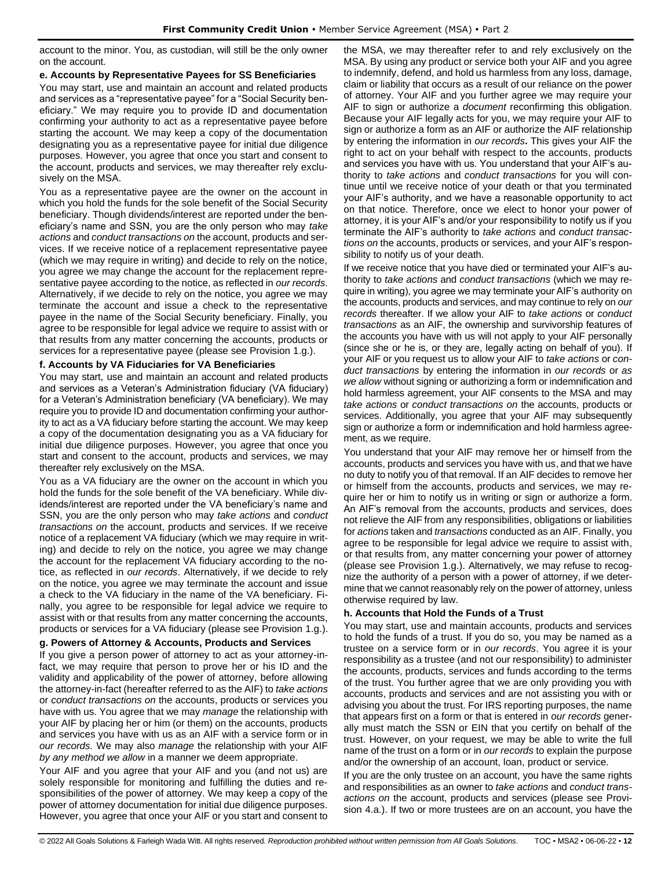account to the minor. You, as custodian, will still be the only owner on the account.

## **e. Accounts by Representative Payees for SS Beneficiaries**

You may start, use and maintain an account and related products and services as a "representative payee" for a "Social Security beneficiary." We may require you to provide ID and documentation confirming your authority to act as a representative payee before starting the account. We may keep a copy of the documentation designating you as a representative payee for initial due diligence purposes. However, you agree that once you start and consent to the account, products and services, we may thereafter rely exclusively on the MSA.

You as a representative payee are the owner on the account in which you hold the funds for the sole benefit of the Social Security beneficiary. Though dividends/interest are reported under the beneficiary's name and SSN, you are the only person who may *take actions* and *conduct transactions on* the account, products and services. If we receive notice of a replacement representative payee (which we may require in writing) and decide to rely on the notice, you agree we may change the account for the replacement representative payee according to the notice, as reflected in *our records*. Alternatively, if we decide to rely on the notice, you agree we may terminate the account and issue a check to the representative payee in the name of the Social Security beneficiary. Finally, you agree to be responsible for legal advice we require to assist with or that results from any matter concerning the accounts, products or services for a representative payee (please see Provision 1.g.).

## **f. Accounts by VA Fiduciaries for VA Beneficiaries**

You may start, use and maintain an account and related products and services as a Veteran's Administration fiduciary (VA fiduciary) for a Veteran's Administration beneficiary (VA beneficiary). We may require you to provide ID and documentation confirming your authority to act as a VA fiduciary before starting the account. We may keep a copy of the documentation designating you as a VA fiduciary for initial due diligence purposes. However, you agree that once you start and consent to the account, products and services, we may thereafter rely exclusively on the MSA.

You as a VA fiduciary are the owner on the account in which you hold the funds for the sole benefit of the VA beneficiary. While dividends/interest are reported under the VA beneficiary's name and SSN, you are the only person who may *take actions* and *conduct transactions on* the account, products and services. If we receive notice of a replacement VA fiduciary (which we may require in writing) and decide to rely on the notice, you agree we may change the account for the replacement VA fiduciary according to the notice, as reflected in *our records*. Alternatively, if we decide to rely on the notice, you agree we may terminate the account and issue a check to the VA fiduciary in the name of the VA beneficiary. Finally, you agree to be responsible for legal advice we require to assist with or that results from any matter concerning the accounts, products or services for a VA fiduciary (please see Provision 1.g.).

# **g. Powers of Attorney & Accounts, Products and Services**

If you give a person power of attorney to act as your attorney-infact, we may require that person to prove her or his ID and the validity and applicability of the power of attorney, before allowing the attorney-in-fact (hereafter referred to as the AIF) to *take actions* or *conduct transactions on* the accounts, products or services you have with us. You agree that we may *manage* the relationship with your AIF by placing her or him (or them) on the accounts, products and services you have with us as an AIF with a service form or in *our records.* We may also *manage* the relationship with your AIF *by any method we allow* in a manner we deem appropriate.

Your AIF and you agree that your AIF and you (and not us) are solely responsible for monitoring and fulfilling the duties and responsibilities of the power of attorney. We may keep a copy of the power of attorney documentation for initial due diligence purposes. However, you agree that once your AIF or you start and consent to the MSA, we may thereafter refer to and rely exclusively on the MSA. By using any product or service both your AIF and you agree to indemnify, defend, and hold us harmless from any loss, damage, claim or liability that occurs as a result of our reliance on the power of attorney. Your AIF and you further agree we may require your AIF to sign or authorize a *document* reconfirming this obligation. Because your AIF legally acts for you, we may require your AIF to sign or authorize a form as an AIF or authorize the AIF relationship by entering the information in *our records***.** This gives your AIF the right to act on your behalf with respect to the accounts, products and services you have with us. You understand that your AIF's authority to *take actions* and *conduct transactions* for you will continue until we receive notice of your death or that you terminated your AIF's authority, and we have a reasonable opportunity to act on that notice. Therefore, once we elect to honor your power of attorney, it is your AIF's and/or your responsibility to notify us if you terminate the AIF's authority to *take actions* and *conduct transactions on* the accounts, products or services, and your AIF's responsibility to notify us of your death.

If we receive notice that you have died or terminated your AIF's authority to *take actions* and *conduct transactions* (which we may require in writing), you agree we may terminate your AIF's authority on the accounts, products and services, and may continue to rely on *our records* thereafter. If we allow your AIF to *take actions* or *conduct transactions* as an AIF, the ownership and survivorship features of the accounts you have with us will not apply to your AIF personally (since she or he is, or they are, legally acting on behalf of you). If your AIF or you request us to allow your AIF to *take actions* or *conduct transactions* by entering the information in *our records* or *as we allow* without signing or authorizing a form or indemnification and hold harmless agreement, your AIF consents to the MSA and may *take actions* or *conduct transactions on* the accounts, products or services. Additionally, you agree that your AIF may subsequently sign or authorize a form or indemnification and hold harmless agreement, as we require.

You understand that your AIF may remove her or himself from the accounts, products and services you have with us, and that we have no duty to notify you of that removal. If an AIF decides to remove her or himself from the accounts, products and services, we may require her or him to notify us in writing or sign or authorize a form. An AIF's removal from the accounts, products and services, does not relieve the AIF from any responsibilities, obligations or liabilities for *actions* taken and *transactions* conducted as an AIF. Finally, you agree to be responsible for legal advice we require to assist with, or that results from, any matter concerning your power of attorney (please see Provision 1.g.). Alternatively, we may refuse to recognize the authority of a person with a power of attorney, if we determine that we cannot reasonably rely on the power of attorney, unless otherwise required by law.

# **h. Accounts that Hold the Funds of a Trust**

You may start, use and maintain accounts, products and services to hold the funds of a trust. If you do so, you may be named as a trustee on a service form or in *our records*. You agree it is your responsibility as a trustee (and not our responsibility) to administer the accounts, products, services and funds according to the terms of the trust. You further agree that we are only providing you with accounts, products and services and are not assisting you with or advising you about the trust. For IRS reporting purposes, the name that appears first on a form or that is entered in *our records* generally must match the SSN or EIN that you certify on behalf of the trust. However, on your request, we may be able to write the full name of the trust on a form or in *our records* to explain the purpose and/or the ownership of an account, loan, product or service.

If you are the only trustee on an account, you have the same rights and responsibilities as an owner to *take actions* and *conduct transactions on* the account, products and services (please see Provision 4.a.). If two or more trustees are on an account, you have the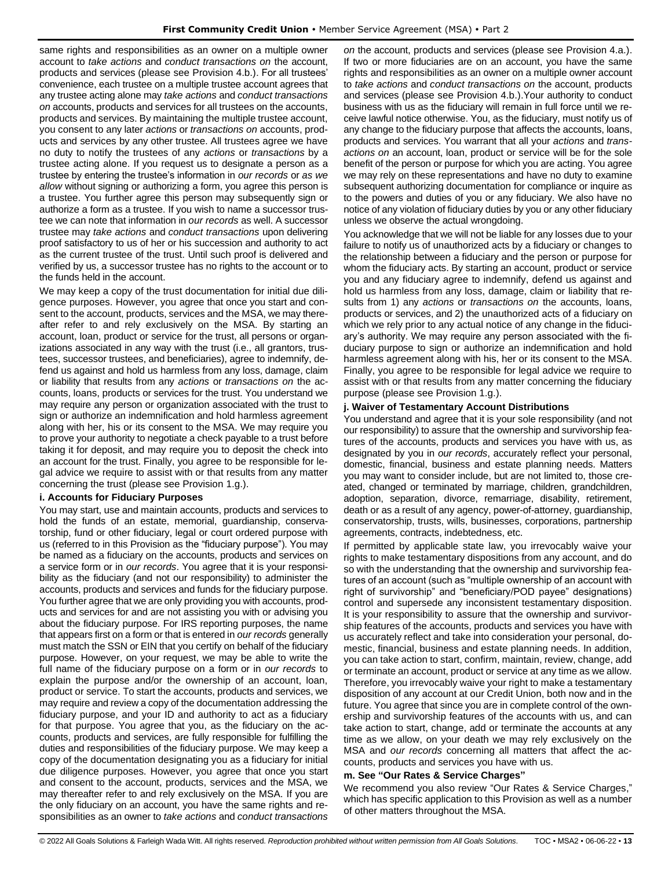same rights and responsibilities as an owner on a multiple owner account to *take actions* and *conduct transactions on* the account, products and services (please see Provision 4.b.). For all trustees' convenience, each trustee on a multiple trustee account agrees that any trustee acting alone may *take actions* and *conduct transactions on* accounts, products and services for all trustees on the accounts, products and services. By maintaining the multiple trustee account, you consent to any later *actions* or *transactions on* accounts, products and services by any other trustee. All trustees agree we have no duty to notify the trustees of any *actions* or *transactions* by a trustee acting alone. If you request us to designate a person as a trustee by entering the trustee's information in *our records* or *as we allow* without signing or authorizing a form, you agree this person is a trustee. You further agree this person may subsequently sign or authorize a form as a trustee. If you wish to name a successor trustee we can note that information in *our records* as well. A successor trustee may *take actions* and *conduct transactions* upon delivering proof satisfactory to us of her or his succession and authority to act as the current trustee of the trust. Until such proof is delivered and verified by us, a successor trustee has no rights to the account or to the funds held in the account.

We may keep a copy of the trust documentation for initial due diligence purposes. However, you agree that once you start and consent to the account, products, services and the MSA, we may thereafter refer to and rely exclusively on the MSA. By starting an account, loan, product or service for the trust, all persons or organizations associated in any way with the trust (i.e., all grantors, trustees, successor trustees, and beneficiaries), agree to indemnify, defend us against and hold us harmless from any loss, damage, claim or liability that results from any *actions* or *transactions on* the accounts, loans, products or services for the trust. You understand we may require any person or organization associated with the trust to sign or authorize an indemnification and hold harmless agreement along with her, his or its consent to the MSA. We may require you to prove your authority to negotiate a check payable to a trust before taking it for deposit, and may require you to deposit the check into an account for the trust. Finally, you agree to be responsible for legal advice we require to assist with or that results from any matter concerning the trust (please see Provision 1.g.).

### **i. Accounts for Fiduciary Purposes**

You may start, use and maintain accounts, products and services to hold the funds of an estate, memorial, guardianship, conservatorship, fund or other fiduciary, legal or court ordered purpose with us (referred to in this Provision as the "fiduciary purpose"). You may be named as a fiduciary on the accounts, products and services on a service form or in *our records*. You agree that it is your responsibility as the fiduciary (and not our responsibility) to administer the accounts, products and services and funds for the fiduciary purpose. You further agree that we are only providing you with accounts, products and services for and are not assisting you with or advising you about the fiduciary purpose. For IRS reporting purposes, the name that appears first on a form or that is entered in *our records* generally must match the SSN or EIN that you certify on behalf of the fiduciary purpose. However, on your request, we may be able to write the full name of the fiduciary purpose on a form or in *our records* to explain the purpose and/or the ownership of an account, loan, product or service. To start the accounts, products and services, we may require and review a copy of the documentation addressing the fiduciary purpose, and your ID and authority to act as a fiduciary for that purpose. You agree that you, as the fiduciary on the accounts, products and services, are fully responsible for fulfilling the duties and responsibilities of the fiduciary purpose. We may keep a copy of the documentation designating you as a fiduciary for initial due diligence purposes. However, you agree that once you start and consent to the account, products, services and the MSA, we may thereafter refer to and rely exclusively on the MSA. If you are the only fiduciary on an account, you have the same rights and responsibilities as an owner to *take actions* and *conduct transactions* 

*on* the account, products and services (please see Provision 4.a.). If two or more fiduciaries are on an account, you have the same rights and responsibilities as an owner on a multiple owner account to *take actions* and *conduct transactions on* the account, products and services (please see Provision 4.b.).Your authority to conduct business with us as the fiduciary will remain in full force until we receive lawful notice otherwise. You, as the fiduciary, must notify us of any change to the fiduciary purpose that affects the accounts, loans, products and services. You warrant that all your *actions* and *transactions on* an account, loan, product or service will be for the sole benefit of the person or purpose for which you are acting. You agree we may rely on these representations and have no duty to examine subsequent authorizing documentation for compliance or inquire as to the powers and duties of you or any fiduciary. We also have no notice of any violation of fiduciary duties by you or any other fiduciary unless we observe the actual wrongdoing.

You acknowledge that we will not be liable for any losses due to your failure to notify us of unauthorized acts by a fiduciary or changes to the relationship between a fiduciary and the person or purpose for whom the fiduciary acts. By starting an account, product or service you and any fiduciary agree to indemnify, defend us against and hold us harmless from any loss, damage, claim or liability that results from 1) any *actions* or *transactions on* the accounts, loans, products or services, and 2) the unauthorized acts of a fiduciary on which we rely prior to any actual notice of any change in the fiduciary's authority. We may require any person associated with the fiduciary purpose to sign or authorize an indemnification and hold harmless agreement along with his, her or its consent to the MSA. Finally, you agree to be responsible for legal advice we require to assist with or that results from any matter concerning the fiduciary purpose (please see Provision 1.g.).

### **j. Waiver of Testamentary Account Distributions**

You understand and agree that it is your sole responsibility (and not our responsibility) to assure that the ownership and survivorship features of the accounts, products and services you have with us, as designated by you in *our records*, accurately reflect your personal, domestic, financial, business and estate planning needs. Matters you may want to consider include, but are not limited to, those created, changed or terminated by marriage, children, grandchildren, adoption, separation, divorce, remarriage, disability, retirement, death or as a result of any agency, power-of-attorney, guardianship, conservatorship, trusts, wills, businesses, corporations, partnership agreements, contracts, indebtedness, etc.

If permitted by applicable state law, you irrevocably waive your rights to make testamentary dispositions from any account, and do so with the understanding that the ownership and survivorship features of an account (such as "multiple ownership of an account with right of survivorship" and "beneficiary/POD payee" designations) control and supersede any inconsistent testamentary disposition. It is your responsibility to assure that the ownership and survivorship features of the accounts, products and services you have with us accurately reflect and take into consideration your personal, domestic, financial, business and estate planning needs. In addition, you can take action to start, confirm, maintain, review, change, add or terminate an account, product or service at any time as we allow. Therefore, you irrevocably waive your right to make a testamentary disposition of any account at our Credit Union, both now and in the future. You agree that since you are in complete control of the ownership and survivorship features of the accounts with us, and can take action to start, change, add or terminate the accounts at any time as we allow, on your death we may rely exclusively on the MSA and *our records* concerning all matters that affect the accounts, products and services you have with us.

### **m. See "Our Rates & Service Charges"**

We recommend you also review "Our Rates & Service Charges," which has specific application to this Provision as well as a number of other matters throughout the MSA.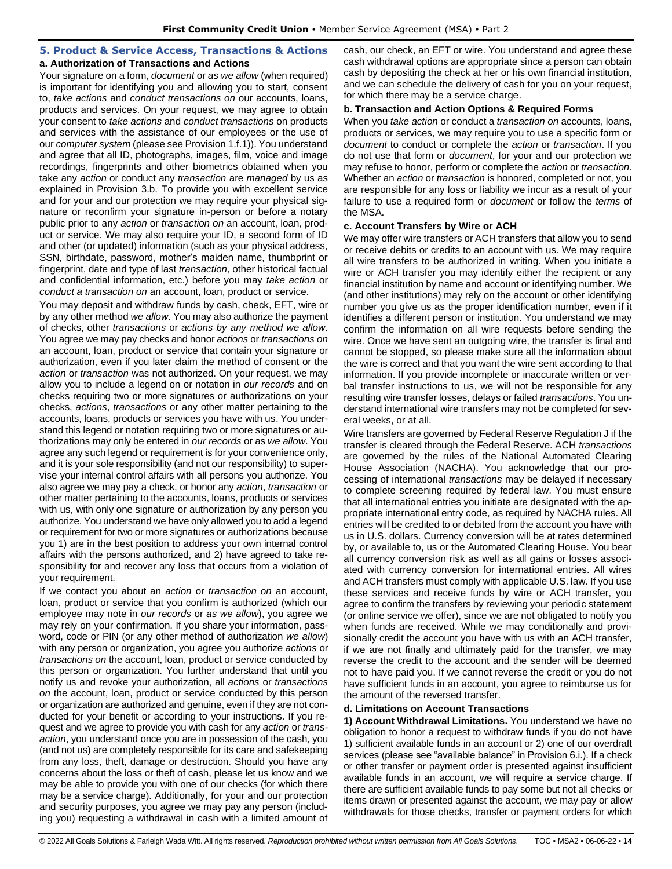# <span id="page-13-0"></span>**5. Product & Service Access, Transactions & Actions**

# **a. Authorization of Transactions and Actions**

Your signature on a form, *document* or *as we allow* (when required) is important for identifying you and allowing you to start, consent to, *take actions* and *conduct transactions on* our accounts, loans, products and services. On your request, we may agree to obtain your consent to *take actions* and *conduct transactions* on products and services with the assistance of our employees or the use of our *computer system* (please see Provision 1.f.1)). You understand and agree that all ID, photographs, images, film, voice and image recordings, fingerprints and other biometrics obtained when you take any *action* or conduct any *transaction* are *managed* by us as explained in Provision 3.b. To provide you with excellent service and for your and our protection we may require your physical signature or reconfirm your signature in-person or before a notary public prior to any *action* or *transaction on* an account, loan, product or service. We may also require your ID, a second form of ID and other (or updated) information (such as your physical address, SSN, birthdate, password, mother's maiden name, thumbprint or fingerprint, date and type of last *transaction*, other historical factual and confidential information, etc.) before you may *take action* or *conduct a transaction on* an account, loan, product or service.

You may deposit and withdraw funds by cash, check, EFT, wire or by any other method *we allow*. You may also authorize the payment of checks, other *transactions* or *actions by any method we allow*. You agree we may pay checks and honor *actions* or *transactions on*  an account, loan, product or service that contain your signature or authorization, even if you later claim the method of consent or the *action* or *transaction* was not authorized. On your request, we may allow you to include a legend on or notation in *our records* and on checks requiring two or more signatures or authorizations on your checks, *actions*, *transactions* or any other matter pertaining to the accounts, loans, products or services you have with us. You understand this legend or notation requiring two or more signatures or authorizations may only be entered in *our records* or as *we allow*. You agree any such legend or requirement is for your convenience only, and it is your sole responsibility (and not our responsibility) to supervise your internal control affairs with all persons you authorize. You also agree we may pay a check, or honor any *action*, *transaction* or other matter pertaining to the accounts, loans, products or services with us, with only one signature or authorization by any person you authorize. You understand we have only allowed you to add a legend or requirement for two or more signatures or authorizations because you 1) are in the best position to address your own internal control affairs with the persons authorized, and 2) have agreed to take responsibility for and recover any loss that occurs from a violation of your requirement.

If we contact you about an *action* or *transaction on* an account, loan, product or service that you confirm is authorized (which our employee may note in *our records* or *as we allow*), you agree we may rely on your confirmation. If you share your information, password, code or PIN (or any other method of authorization *we allow*) with any person or organization, you agree you authorize *actions* or *transactions on* the account, loan, product or service conducted by this person or organization. You further understand that until you notify us and revoke your authorization, all *actions* or *transactions on* the account, loan, product or service conducted by this person or organization are authorized and genuine, even if they are not conducted for your benefit or according to your instructions. If you request and we agree to provide you with cash for any *action* or *transaction*, you understand once you are in possession of the cash, you (and not us) are completely responsible for its care and safekeeping from any loss, theft, damage or destruction. Should you have any concerns about the loss or theft of cash, please let us know and we may be able to provide you with one of our checks (for which there may be a service charge). Additionally, for your and our protection and security purposes, you agree we may pay any person (including you) requesting a withdrawal in cash with a limited amount of cash, our check, an EFT or wire. You understand and agree these cash withdrawal options are appropriate since a person can obtain cash by depositing the check at her or his own financial institution, and we can schedule the delivery of cash for you on your request, for which there may be a service charge.

### **b. Transaction and Action Options & Required Forms**

When you *take action* or conduct a *transaction on* accounts, loans, products or services, we may require you to use a specific form or *document* to conduct or complete the *action* or *transaction*. If you do not use that form or *document*, for your and our protection we may refuse to honor, perform or complete the *action* or *transaction*. Whether an *action* or *transaction* is honored, completed or not, you are responsible for any loss or liability we incur as a result of your failure to use a required form or *document* or follow the *terms* of the MSA.

#### **c. Account Transfers by Wire or ACH**

We may offer wire transfers or ACH transfers that allow you to send or receive debits or credits to an account with us. We may require all wire transfers to be authorized in writing. When you initiate a wire or ACH transfer you may identify either the recipient or any financial institution by name and account or identifying number. We (and other institutions) may rely on the account or other identifying number you give us as the proper identification number, even if it identifies a different person or institution. You understand we may confirm the information on all wire requests before sending the wire. Once we have sent an outgoing wire, the transfer is final and cannot be stopped, so please make sure all the information about the wire is correct and that you want the wire sent according to that information. If you provide incomplete or inaccurate written or verbal transfer instructions to us, we will not be responsible for any resulting wire transfer losses, delays or failed *transactions*. You understand international wire transfers may not be completed for several weeks, or at all.

Wire transfers are governed by Federal Reserve Regulation J if the transfer is cleared through the Federal Reserve. ACH *transactions* are governed by the rules of the National Automated Clearing House Association (NACHA). You acknowledge that our processing of international *transactions* may be delayed if necessary to complete screening required by federal law. You must ensure that all international entries you initiate are designated with the appropriate international entry code, as required by NACHA rules. All entries will be credited to or debited from the account you have with us in U.S. dollars. Currency conversion will be at rates determined by, or available to, us or the Automated Clearing House. You bear all currency conversion risk as well as all gains or losses associated with currency conversion for international entries. All wires and ACH transfers must comply with applicable U.S. law. If you use these services and receive funds by wire or ACH transfer, you agree to confirm the transfers by reviewing your periodic statement (or online service we offer), since we are not obligated to notify you when funds are received. While we may conditionally and provisionally credit the account you have with us with an ACH transfer, if we are not finally and ultimately paid for the transfer, we may reverse the credit to the account and the sender will be deemed not to have paid you. If we cannot reverse the credit or you do not have sufficient funds in an account, you agree to reimburse us for the amount of the reversed transfer.

#### **d. Limitations on Account Transactions**

**1) Account Withdrawal Limitations.** You understand we have no obligation to honor a request to withdraw funds if you do not have 1) sufficient available funds in an account or 2) one of our overdraft services (please see "available balance" in Provision 6.i.). If a check or other transfer or payment order is presented against insufficient available funds in an account, we will require a service charge. If there are sufficient available funds to pay some but not all checks or items drawn or presented against the account, we may pay or allow withdrawals for those checks, transfer or payment orders for which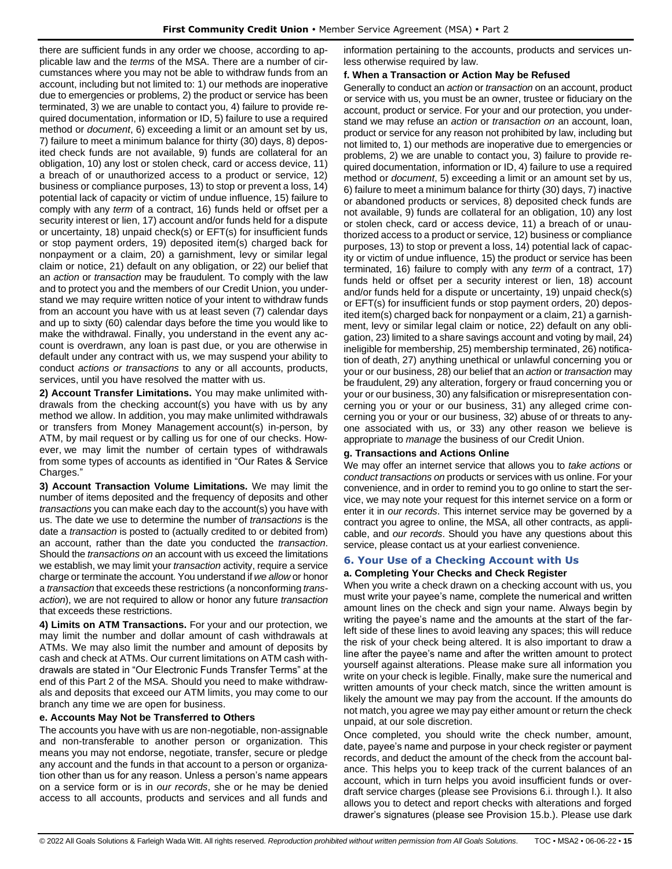there are sufficient funds in any order we choose, according to applicable law and the *terms* of the MSA. There are a number of circumstances where you may not be able to withdraw funds from an account, including but not limited to: 1) our methods are inoperative due to emergencies or problems, 2) the product or service has been terminated, 3) we are unable to contact you, 4) failure to provide required documentation, information or ID, 5) failure to use a required method or *document*, 6) exceeding a limit or an amount set by us, 7) failure to meet a minimum balance for thirty (30) days, 8) deposited check funds are not available, 9) funds are collateral for an obligation, 10) any lost or stolen check, card or access device, 11) a breach of or unauthorized access to a product or service, 12) business or compliance purposes, 13) to stop or prevent a loss, 14) potential lack of capacity or victim of undue influence, 15) failure to comply with any *term* of a contract, 16) funds held or offset per a security interest or lien, 17) account and/or funds held for a dispute or uncertainty, 18) unpaid check(s) or EFT(s) for insufficient funds or stop payment orders, 19) deposited item(s) charged back for nonpayment or a claim, 20) a garnishment, levy or similar legal claim or notice, 21) default on any obligation, or 22) our belief that an *action* or *transaction* may be fraudulent. To comply with the law and to protect you and the members of our Credit Union, you understand we may require written notice of your intent to withdraw funds from an account you have with us at least seven (7) calendar days and up to sixty (60) calendar days before the time you would like to make the withdrawal. Finally, you understand in the event any account is overdrawn, any loan is past due, or you are otherwise in default under any contract with us, we may suspend your ability to conduct *actions or transactions* to any or all accounts, products, services, until you have resolved the matter with us.

**2) Account Transfer Limitations.** You may make unlimited withdrawals from the checking account(s) you have with us by any method we allow. In addition, you may make unlimited withdrawals or transfers from Money Management account(s) in-person, by ATM, by mail request or by calling us for one of our checks. However, we may limit the number of certain types of withdrawals from some types of accounts as identified in "Our Rates & Service Charges.'

**3) Account Transaction Volume Limitations.** We may limit the number of items deposited and the frequency of deposits and other *transactions* you can make each day to the account(s) you have with us. The date we use to determine the number of *transactions* is the date a *transaction* is posted to (actually credited to or debited from) an account, rather than the date you conducted the *transaction*. Should the *transactions on* an account with us exceed the limitations we establish, we may limit your *transaction* activity, require a service charge or terminate the account. You understand if *we allow* or honor a *transaction* that exceeds these restrictions (a nonconforming *transaction*), we are not required to allow or honor any future *transaction* that exceeds these restrictions.

**4) Limits on ATM Transactions.** For your and our protection, we may limit the number and dollar amount of cash withdrawals at ATMs. We may also limit the number and amount of deposits by cash and check at ATMs. Our current limitations on ATM cash withdrawals are stated in "Our Electronic Funds Transfer Terms" at the end of this Part 2 of the MSA. Should you need to make withdrawals and deposits that exceed our ATM limits, you may come to our branch any time we are open for business.

### **e. Accounts May Not be Transferred to Others**

The accounts you have with us are non-negotiable, non-assignable and non-transferable to another person or organization. This means you may not endorse, negotiate, transfer, secure or pledge any account and the funds in that account to a person or organization other than us for any reason. Unless a person's name appears on a service form or is in *our records*, she or he may be denied access to all accounts, products and services and all funds and information pertaining to the accounts, products and services unless otherwise required by law.

## **f. When a Transaction or Action May be Refused**

Generally to conduct an *action* or *transaction* on an account, product or service with us, you must be an owner, trustee or fiduciary on the account, product or service. For your and our protection, you understand we may refuse an *action* or *transaction on* an account, loan, product or service for any reason not prohibited by law, including but not limited to, 1) our methods are inoperative due to emergencies or problems, 2) we are unable to contact you, 3) failure to provide required documentation, information or ID, 4) failure to use a required method or *document*, 5) exceeding a limit or an amount set by us, 6) failure to meet a minimum balance for thirty (30) days, 7) inactive or abandoned products or services, 8) deposited check funds are not available, 9) funds are collateral for an obligation, 10) any lost or stolen check, card or access device, 11) a breach of or unauthorized access to a product or service, 12) business or compliance purposes, 13) to stop or prevent a loss, 14) potential lack of capacity or victim of undue influence, 15) the product or service has been terminated, 16) failure to comply with any *term* of a contract, 17) funds held or offset per a security interest or lien, 18) account and/or funds held for a dispute or uncertainty, 19) unpaid check(s) or EFT(s) for insufficient funds or stop payment orders, 20) deposited item(s) charged back for nonpayment or a claim, 21) a garnishment, levy or similar legal claim or notice, 22) default on any obligation, 23) limited to a share savings account and voting by mail, 24) ineligible for membership, 25) membership terminated, 26) notification of death, 27) anything unethical or unlawful concerning you or your or our business, 28) our belief that an *action* or *transaction* may be fraudulent, 29) any alteration, forgery or fraud concerning you or your or our business, 30) any falsification or misrepresentation concerning you or your or our business, 31) any alleged crime concerning you or your or our business, 32) abuse of or threats to anyone associated with us, or 33) any other reason we believe is appropriate to *manage* the business of our Credit Union.

### **g. Transactions and Actions Online**

We may offer an internet service that allows you to *take actions* or *conduct transactions on* products or services with us online. For your convenience, and in order to remind you to go online to start the service, we may note your request for this internet service on a form or enter it in *our records*. This internet service may be governed by a contract you agree to online, the MSA, all other contracts, as applicable, and *our records*. Should you have any questions about this service, please contact us at your earliest convenience.

# <span id="page-14-0"></span>**6. Your Use of a Checking Account with Us**

## **a. Completing Your Checks and Check Register**

When you write a check drawn on a checking account with us, you must write your payee's name, complete the numerical and written amount lines on the check and sign your name. Always begin by writing the payee's name and the amounts at the start of the farleft side of these lines to avoid leaving any spaces; this will reduce the risk of your check being altered. It is also important to draw a line after the payee's name and after the written amount to protect yourself against alterations. Please make sure all information you write on your check is legible. Finally, make sure the numerical and written amounts of your check match, since the written amount is likely the amount we may pay from the account. If the amounts do not match, you agree we may pay either amount or return the check unpaid, at our sole discretion.

Once completed, you should write the check number, amount, date, payee's name and purpose in your check register or payment records, and deduct the amount of the check from the account balance. This helps you to keep track of the current balances of an account, which in turn helps you avoid insufficient funds or overdraft service charges (please see Provisions 6.i. through l.). It also allows you to detect and report checks with alterations and forged drawer's signatures (please see Provision 15.b.). Please use dark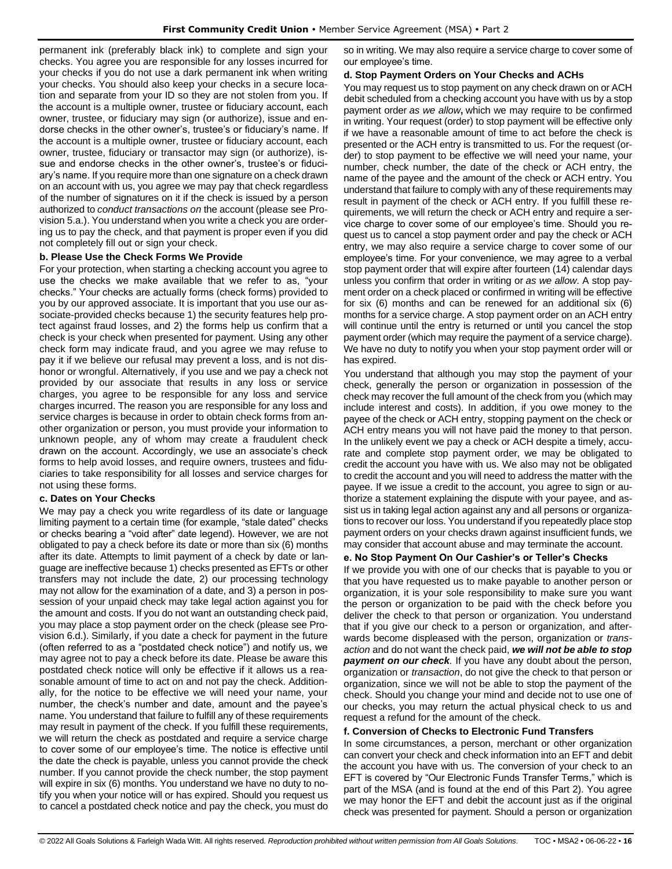permanent ink (preferably black ink) to complete and sign your checks. You agree you are responsible for any losses incurred for your checks if you do not use a dark permanent ink when writing your checks. You should also keep your checks in a secure location and separate from your ID so they are not stolen from you. If the account is a multiple owner, trustee or fiduciary account, each owner, trustee, or fiduciary may sign (or authorize), issue and endorse checks in the other owner's, trustee's or fiduciary's name. If the account is a multiple owner, trustee or fiduciary account, each owner, trustee, fiduciary or transactor may sign (or authorize), issue and endorse checks in the other owner's, trustee's or fiduciary's name. If you require more than one signature on a check drawn on an account with us, you agree we may pay that check regardless of the number of signatures on it if the check is issued by a person authorized to *conduct transactions on* the account (please see Provision 5.a.). You understand when you write a check you are ordering us to pay the check, and that payment is proper even if you did not completely fill out or sign your check.

## **b. Please Use the Check Forms We Provide**

For your protection, when starting a checking account you agree to use the checks we make available that we refer to as, "your checks." Your checks are actually forms (check forms) provided to you by our approved associate. It is important that you use our associate-provided checks because 1) the security features help protect against fraud losses, and 2) the forms help us confirm that a check is your check when presented for payment. Using any other check form may indicate fraud, and you agree we may refuse to pay it if we believe our refusal may prevent a loss, and is not dishonor or wrongful. Alternatively, if you use and we pay a check not provided by our associate that results in any loss or service charges, you agree to be responsible for any loss and service charges incurred. The reason you are responsible for any loss and service charges is because in order to obtain check forms from another organization or person, you must provide your information to unknown people, any of whom may create a fraudulent check drawn on the account. Accordingly, we use an associate's check forms to help avoid losses, and require owners, trustees and fiduciaries to take responsibility for all losses and service charges for not using these forms.

### **c. Dates on Your Checks**

We may pay a check you write regardless of its date or language limiting payment to a certain time (for example, "stale dated" checks or checks bearing a "void after" date legend). However, we are not obligated to pay a check before its date or more than six (6) months after its date. Attempts to limit payment of a check by date or language are ineffective because 1) checks presented as EFTs or other transfers may not include the date, 2) our processing technology may not allow for the examination of a date, and 3) a person in possession of your unpaid check may take legal action against you for the amount and costs. If you do not want an outstanding check paid, you may place a stop payment order on the check (please see Provision 6.d.). Similarly, if you date a check for payment in the future (often referred to as a "postdated check notice") and notify us, we may agree not to pay a check before its date. Please be aware this postdated check notice will only be effective if it allows us a reasonable amount of time to act on and not pay the check. Additionally, for the notice to be effective we will need your name, your number, the check's number and date, amount and the payee's name. You understand that failure to fulfill any of these requirements may result in payment of the check. If you fulfill these requirements, we will return the check as postdated and require a service charge to cover some of our employee's time. The notice is effective until the date the check is payable, unless you cannot provide the check number. If you cannot provide the check number, the stop payment will expire in six (6) months. You understand we have no duty to notify you when your notice will or has expired. Should you request us to cancel a postdated check notice and pay the check, you must do so in writing. We may also require a service charge to cover some of our employee's time.

### **d. Stop Payment Orders on Your Checks and ACHs**

You may request us to stop payment on any check drawn on or ACH debit scheduled from a checking account you have with us by a stop payment order *as we allow***,** which we may require to be confirmed in writing. Your request (order) to stop payment will be effective only if we have a reasonable amount of time to act before the check is presented or the ACH entry is transmitted to us. For the request (order) to stop payment to be effective we will need your name, your number, check number, the date of the check or ACH entry, the name of the payee and the amount of the check or ACH entry. You understand that failure to comply with any of these requirements may result in payment of the check or ACH entry. If you fulfill these requirements, we will return the check or ACH entry and require a service charge to cover some of our employee's time. Should you request us to cancel a stop payment order and pay the check or ACH entry, we may also require a service charge to cover some of our employee's time. For your convenience, we may agree to a verbal stop payment order that will expire after fourteen (14) calendar days unless you confirm that order in writing or *as we allow*. A stop payment order on a check placed or confirmed in writing will be effective for six (6) months and can be renewed for an additional six (6) months for a service charge. A stop payment order on an ACH entry will continue until the entry is returned or until you cancel the stop payment order (which may require the payment of a service charge). We have no duty to notify you when your stop payment order will or has expired.

You understand that although you may stop the payment of your check, generally the person or organization in possession of the check may recover the full amount of the check from you (which may include interest and costs). In addition, if you owe money to the payee of the check or ACH entry, stopping payment on the check or ACH entry means you will not have paid the money to that person. In the unlikely event we pay a check or ACH despite a timely, accurate and complete stop payment order, we may be obligated to credit the account you have with us. We also may not be obligated to credit the account and you will need to address the matter with the payee. If we issue a credit to the account, you agree to sign or authorize a statement explaining the dispute with your payee, and assist us in taking legal action against any and all persons or organizations to recover our loss. You understand if you repeatedly place stop payment orders on your checks drawn against insufficient funds, we may consider that account abuse and may terminate the account.

### **e. No Stop Payment On Our Cashier's or Teller's Checks**

If we provide you with one of our checks that is payable to you or that you have requested us to make payable to another person or organization, it is your sole responsibility to make sure you want the person or organization to be paid with the check before you deliver the check to that person or organization. You understand that if you give our check to a person or organization, and afterwards become displeased with the person, organization or *transaction* and do not want the check paid, *we will not be able to stop payment on our check.* If you have any doubt about the person, organization or *transaction*, do not give the check to that person or organization, since we will not be able to stop the payment of the check. Should you change your mind and decide not to use one of our checks, you may return the actual physical check to us and request a refund for the amount of the check.

### **f. Conversion of Checks to Electronic Fund Transfers**

In some circumstances, a person, merchant or other organization can convert your check and check information into an EFT and debit the account you have with us. The conversion of your check to an EFT is covered by "Our Electronic Funds Transfer Terms," which is part of the MSA (and is found at the end of this Part 2). You agree we may honor the EFT and debit the account just as if the original check was presented for payment. Should a person or organization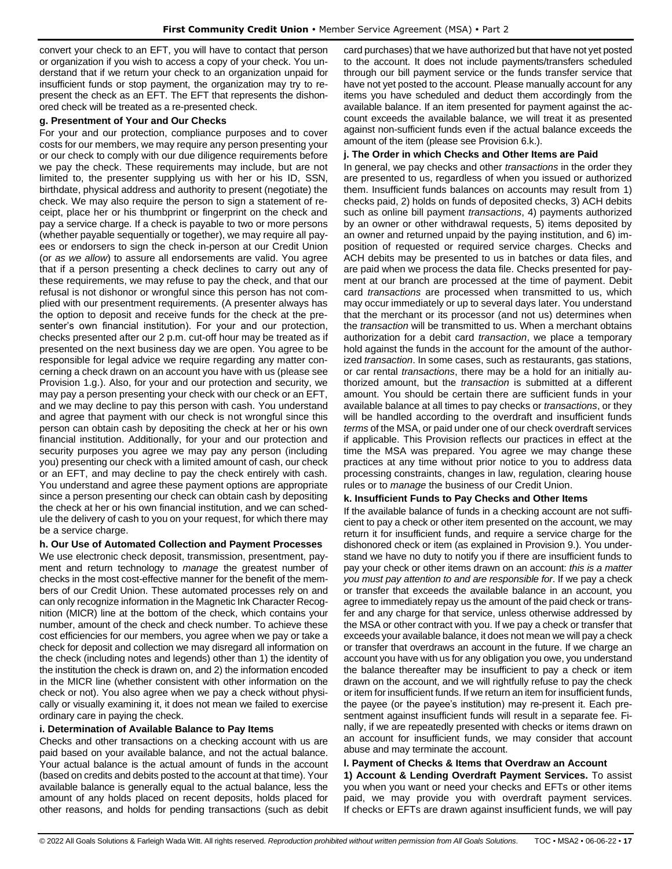convert your check to an EFT, you will have to contact that person or organization if you wish to access a copy of your check. You understand that if we return your check to an organization unpaid for insufficient funds or stop payment, the organization may try to represent the check as an EFT. The EFT that represents the dishonored check will be treated as a re-presented check.

# **g. Presentment of Your and Our Checks**

For your and our protection, compliance purposes and to cover costs for our members, we may require any person presenting your or our check to comply with our due diligence requirements before we pay the check. These requirements may include, but are not limited to, the presenter supplying us with her or his ID, SSN, birthdate, physical address and authority to present (negotiate) the check. We may also require the person to sign a statement of receipt, place her or his thumbprint or fingerprint on the check and pay a service charge. If a check is payable to two or more persons (whether payable sequentially or together), we may require all payees or endorsers to sign the check in-person at our Credit Union (or *as we allow*) to assure all endorsements are valid. You agree that if a person presenting a check declines to carry out any of these requirements, we may refuse to pay the check, and that our refusal is not dishonor or wrongful since this person has not complied with our presentment requirements. (A presenter always has the option to deposit and receive funds for the check at the presenter's own financial institution). For your and our protection, checks presented after our 2 p.m. cut-off hour may be treated as if presented on the next business day we are open. You agree to be responsible for legal advice we require regarding any matter concerning a check drawn on an account you have with us (please see Provision 1.g.). Also, for your and our protection and security, we may pay a person presenting your check with our check or an EFT, and we may decline to pay this person with cash. You understand and agree that payment with our check is not wrongful since this person can obtain cash by depositing the check at her or his own financial institution. Additionally, for your and our protection and security purposes you agree we may pay any person (including you) presenting our check with a limited amount of cash, our check or an EFT, and may decline to pay the check entirely with cash. You understand and agree these payment options are appropriate since a person presenting our check can obtain cash by depositing the check at her or his own financial institution, and we can schedule the delivery of cash to you on your request, for which there may be a service charge.

# **h. Our Use of Automated Collection and Payment Processes**

We use electronic check deposit, transmission, presentment, payment and return technology to *manage* the greatest number of checks in the most cost-effective manner for the benefit of the members of our Credit Union. These automated processes rely on and can only recognize information in the Magnetic Ink Character Recognition (MICR) line at the bottom of the check, which contains your number, amount of the check and check number. To achieve these cost efficiencies for our members, you agree when we pay or take a check for deposit and collection we may disregard all information on the check (including notes and legends) other than 1) the identity of the institution the check is drawn on, and 2) the information encoded in the MICR line (whether consistent with other information on the check or not). You also agree when we pay a check without physically or visually examining it, it does not mean we failed to exercise ordinary care in paying the check.

# **i. Determination of Available Balance to Pay Items**

Checks and other transactions on a checking account with us are paid based on your available balance, and not the actual balance. Your actual balance is the actual amount of funds in the account (based on credits and debits posted to the account at that time). Your available balance is generally equal to the actual balance, less the amount of any holds placed on recent deposits, holds placed for other reasons, and holds for pending transactions (such as debit card purchases) that we have authorized but that have not yet posted to the account. It does not include payments/transfers scheduled through our bill payment service or the funds transfer service that have not yet posted to the account. Please manually account for any items you have scheduled and deduct them accordingly from the available balance. If an item presented for payment against the account exceeds the available balance, we will treat it as presented against non-sufficient funds even if the actual balance exceeds the amount of the item (please see Provision 6.k.).

# **j. The Order in which Checks and Other Items are Paid**

In general, we pay checks and other *transactions* in the order they are presented to us, regardless of when you issued or authorized them. Insufficient funds balances on accounts may result from 1) checks paid, 2) holds on funds of deposited checks, 3) ACH debits such as online bill payment *transactions*, 4) payments authorized by an owner or other withdrawal requests, 5) items deposited by an owner and returned unpaid by the paying institution, and 6) imposition of requested or required service charges. Checks and ACH debits may be presented to us in batches or data files, and are paid when we process the data file. Checks presented for payment at our branch are processed at the time of payment. Debit card *transactions* are processed when transmitted to us, which may occur immediately or up to several days later. You understand that the merchant or its processor (and not us) determines when the *transaction* will be transmitted to us. When a merchant obtains authorization for a debit card *transaction*, we place a temporary hold against the funds in the account for the amount of the authorized *transaction*. In some cases, such as restaurants, gas stations, or car rental *transactions*, there may be a hold for an initially authorized amount, but the *transaction* is submitted at a different amount. You should be certain there are sufficient funds in your available balance at all times to pay checks or *transactions*, or they will be handled according to the overdraft and insufficient funds *terms* of the MSA, or paid under one of our check overdraft services if applicable. This Provision reflects our practices in effect at the time the MSA was prepared. You agree we may change these practices at any time without prior notice to you to address data processing constraints, changes in law, regulation, clearing house rules or to *manage* the business of our Credit Union.

# **k. Insufficient Funds to Pay Checks and Other Items**

If the available balance of funds in a checking account are not sufficient to pay a check or other item presented on the account, we may return it for insufficient funds, and require a service charge for the dishonored check or item (as explained in Provision 9.). You understand we have no duty to notify you if there are insufficient funds to pay your check or other items drawn on an account: *this is a matter you must pay attention to and are responsible for*. If we pay a check or transfer that exceeds the available balance in an account, you agree to immediately repay us the amount of the paid check or transfer and any charge for that service, unless otherwise addressed by the MSA or other contract with you. If we pay a check or transfer that exceeds your available balance, it does not mean we will pay a check or transfer that overdraws an account in the future. If we charge an account you have with us for any obligation you owe, you understand the balance thereafter may be insufficient to pay a check or item drawn on the account, and we will rightfully refuse to pay the check or item for insufficient funds. If we return an item for insufficient funds, the payee (or the payee's institution) may re-present it. Each presentment against insufficient funds will result in a separate fee. Finally, if we are repeatedly presented with checks or items drawn on an account for insufficient funds, we may consider that account abuse and may terminate the account.

# **l. Payment of Checks & Items that Overdraw an Account**

**1) Account & Lending Overdraft Payment Services.** To assist you when you want or need your checks and EFTs or other items paid, we may provide you with overdraft payment services. If checks or EFTs are drawn against insufficient funds, we will pay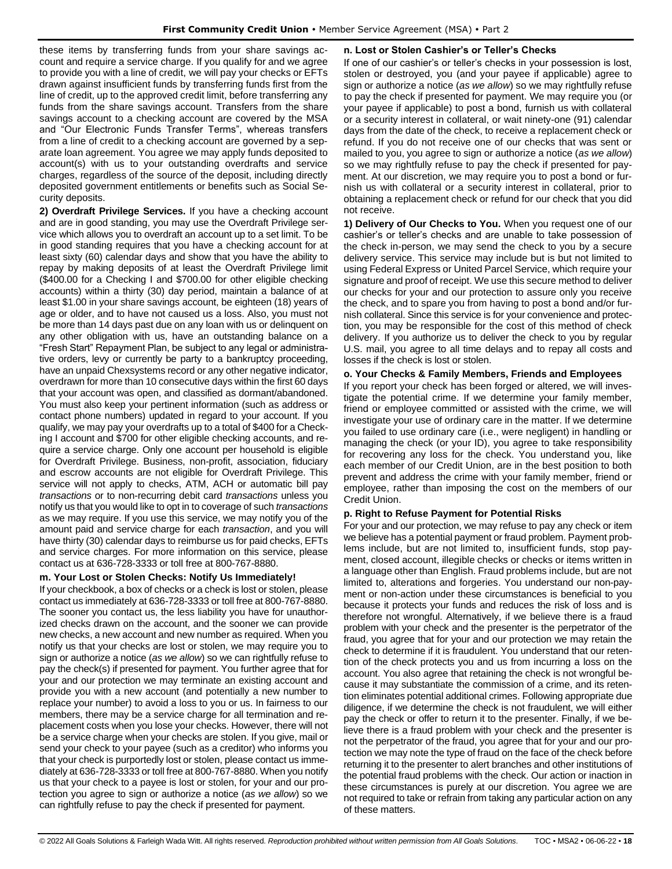these items by transferring funds from your share savings account and require a service charge. If you qualify for and we agree to provide you with a line of credit, we will pay your checks or EFTs drawn against insufficient funds by transferring funds first from the line of credit, up to the approved credit limit, before transferring any funds from the share savings account. Transfers from the share savings account to a checking account are covered by the MSA and "Our Electronic Funds Transfer Terms", whereas transfers from a line of credit to a checking account are governed by a separate loan agreement. You agree we may apply funds deposited to account(s) with us to your outstanding overdrafts and service charges, regardless of the source of the deposit, including directly deposited government entitlements or benefits such as Social Security deposits.

**2) Overdraft Privilege Services.** If you have a checking account and are in good standing, you may use the Overdraft Privilege service which allows you to overdraft an account up to a set limit. To be in good standing requires that you have a checking account for at least sixty (60) calendar days and show that you have the ability to repay by making deposits of at least the Overdraft Privilege limit (\$400.00 for a Checking I and \$700.00 for other eligible checking accounts) within a thirty (30) day period, maintain a balance of at least \$1.00 in your share savings account, be eighteen (18) years of age or older, and to have not caused us a loss. Also, you must not be more than 14 days past due on any loan with us or delinquent on any other obligation with us, have an outstanding balance on a "Fresh Start" Repayment Plan, be subject to any legal or administrative orders, levy or currently be party to a bankruptcy proceeding, have an unpaid Chexsystems record or any other negative indicator, overdrawn for more than 10 consecutive days within the first 60 days that your account was open, and classified as dormant/abandoned. You must also keep your pertinent information (such as address or contact phone numbers) updated in regard to your account. If you qualify, we may pay your overdrafts up to a total of \$400 for a Checking I account and \$700 for other eligible checking accounts, and require a service charge. Only one account per household is eligible for Overdraft Privilege. Business, non-profit, association, fiduciary and escrow accounts are not eligible for Overdraft Privilege. This service will not apply to checks, ATM, ACH or automatic bill pay *transactions* or to non-recurring debit card *transactions* unless you notify us that you would like to opt in to coverage of such *transactions* as we may require. If you use this service, we may notify you of the amount paid and service charge for each *transaction*, and you will have thirty (30) calendar days to reimburse us for paid checks, EFTs and service charges. For more information on this service, please contact us at 636-728-3333 or toll free at 800-767-8880.

# **m. Your Lost or Stolen Checks: Notify Us Immediately!**

If your checkbook, a box of checks or a check is lost or stolen, please contact us immediately at 636-728-3333 or toll free at 800-767-8880. The sooner you contact us, the less liability you have for unauthorized checks drawn on the account, and the sooner we can provide new checks, a new account and new number as required. When you notify us that your checks are lost or stolen, we may require you to sign or authorize a notice (*as we allow*) so we can rightfully refuse to pay the check(s) if presented for payment. You further agree that for your and our protection we may terminate an existing account and provide you with a new account (and potentially a new number to replace your number) to avoid a loss to you or us. In fairness to our members, there may be a service charge for all termination and replacement costs when you lose your checks. However, there will not be a service charge when your checks are stolen. If you give, mail or send your check to your payee (such as a creditor) who informs you that your check is purportedly lost or stolen, please contact us immediately at 636-728-3333 or toll free at 800-767-8880. When you notify us that your check to a payee is lost or stolen, for your and our protection you agree to sign or authorize a notice (*as we allow*) so we can rightfully refuse to pay the check if presented for payment.

# **n. Lost or Stolen Cashier's or Teller's Checks**

If one of our cashier's or teller's checks in your possession is lost, stolen or destroyed, you (and your payee if applicable) agree to sign or authorize a notice (*as we allow*) so we may rightfully refuse to pay the check if presented for payment. We may require you (or your payee if applicable) to post a bond, furnish us with collateral or a security interest in collateral, or wait ninety-one (91) calendar days from the date of the check, to receive a replacement check or refund. If you do not receive one of our checks that was sent or mailed to you, you agree to sign or authorize a notice (*as we allow*) so we may rightfully refuse to pay the check if presented for payment. At our discretion, we may require you to post a bond or furnish us with collateral or a security interest in collateral, prior to obtaining a replacement check or refund for our check that you did not receive.

**1) Delivery of Our Checks to You.** When you request one of our cashier's or teller's checks and are unable to take possession of the check in-person, we may send the check to you by a secure delivery service. This service may include but is but not limited to using Federal Express or United Parcel Service, which require your signature and proof of receipt. We use this secure method to deliver our checks for your and our protection to assure only you receive the check, and to spare you from having to post a bond and/or furnish collateral. Since this service is for your convenience and protection, you may be responsible for the cost of this method of check delivery. If you authorize us to deliver the check to you by regular U.S. mail, you agree to all time delays and to repay all costs and losses if the check is lost or stolen.

# **o. Your Checks & Family Members, Friends and Employees**

If you report your check has been forged or altered, we will investigate the potential crime. If we determine your family member, friend or employee committed or assisted with the crime, we will investigate your use of ordinary care in the matter. If we determine you failed to use ordinary care (i.e., were negligent) in handling or managing the check (or your ID), you agree to take responsibility for recovering any loss for the check. You understand you, like each member of our Credit Union, are in the best position to both prevent and address the crime with your family member, friend or employee, rather than imposing the cost on the members of our Credit Union.

# **p. Right to Refuse Payment for Potential Risks**

For your and our protection, we may refuse to pay any check or item we believe has a potential payment or fraud problem. Payment problems include, but are not limited to, insufficient funds, stop payment, closed account, illegible checks or checks or items written in a language other than English. Fraud problems include, but are not limited to, alterations and forgeries. You understand our non-payment or non-action under these circumstances is beneficial to you because it protects your funds and reduces the risk of loss and is therefore not wrongful. Alternatively, if we believe there is a fraud problem with your check and the presenter is the perpetrator of the fraud, you agree that for your and our protection we may retain the check to determine if it is fraudulent. You understand that our retention of the check protects you and us from incurring a loss on the account. You also agree that retaining the check is not wrongful because it may substantiate the commission of a crime, and its retention eliminates potential additional crimes. Following appropriate due diligence, if we determine the check is not fraudulent, we will either pay the check or offer to return it to the presenter. Finally, if we believe there is a fraud problem with your check and the presenter is not the perpetrator of the fraud, you agree that for your and our protection we may note the type of fraud on the face of the check before returning it to the presenter to alert branches and other institutions of the potential fraud problems with the check. Our action or inaction in these circumstances is purely at our discretion. You agree we are not required to take or refrain from taking any particular action on any of these matters.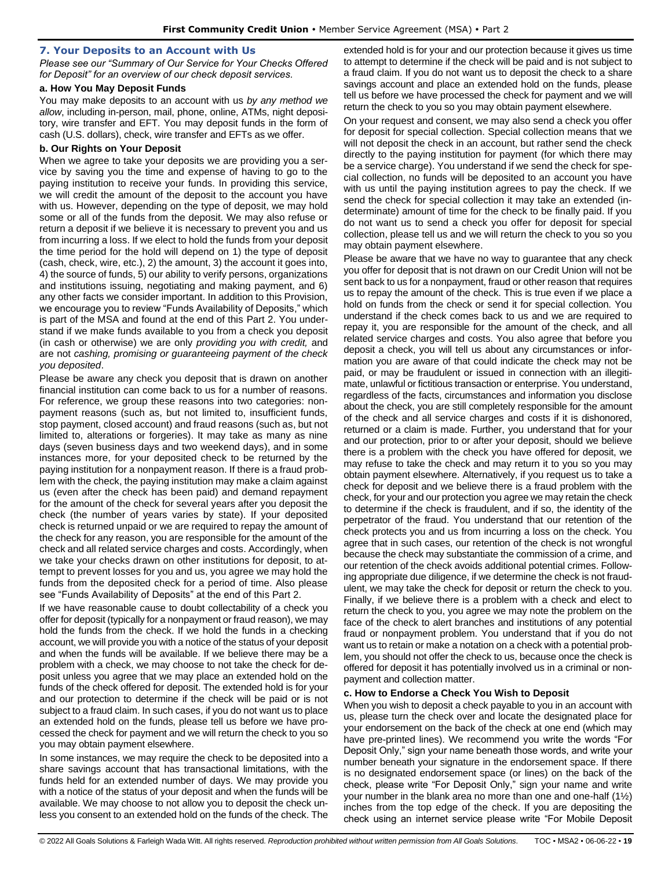### <span id="page-18-0"></span>**7. Your Deposits to an Account with Us**

*Please see our "Summary of Our Service for Your Checks Offered for Deposit" for an overview of our check deposit services.*

### **a. How You May Deposit Funds**

You may make deposits to an account with us *by any method we allow*, including in-person, mail, phone, online, ATMs, night depository, wire transfer and EFT. You may deposit funds in the form of cash (U.S. dollars), check, wire transfer and EFTs as we offer.

### **b. Our Rights on Your Deposit**

When we agree to take your deposits we are providing you a service by saving you the time and expense of having to go to the paying institution to receive your funds. In providing this service, we will credit the amount of the deposit to the account you have with us. However, depending on the type of deposit, we may hold some or all of the funds from the deposit. We may also refuse or return a deposit if we believe it is necessary to prevent you and us from incurring a loss. If we elect to hold the funds from your deposit the time period for the hold will depend on 1) the type of deposit (cash, check, wire, etc.), 2) the amount, 3) the account it goes into, 4) the source of funds, 5) our ability to verify persons, organizations and institutions issuing, negotiating and making payment, and 6) any other facts we consider important. In addition to this Provision, we encourage you to review "Funds Availability of Deposits," which is part of the MSA and found at the end of this Part 2. You understand if we make funds available to you from a check you deposit (in cash or otherwise) we are only *providing you with credit,* and are not *cashing, promising or guaranteeing payment of the check you deposited*.

Please be aware any check you deposit that is drawn on another financial institution can come back to us for a number of reasons. For reference, we group these reasons into two categories: nonpayment reasons (such as, but not limited to, insufficient funds, stop payment, closed account) and fraud reasons (such as, but not limited to, alterations or forgeries). It may take as many as nine days (seven business days and two weekend days), and in some instances more, for your deposited check to be returned by the paying institution for a nonpayment reason. If there is a fraud problem with the check, the paying institution may make a claim against us (even after the check has been paid) and demand repayment for the amount of the check for several years after you deposit the check (the number of years varies by state). If your deposited check is returned unpaid or we are required to repay the amount of the check for any reason, you are responsible for the amount of the check and all related service charges and costs. Accordingly, when we take your checks drawn on other institutions for deposit, to attempt to prevent losses for you and us, you agree we may hold the funds from the deposited check for a period of time. Also please see "Funds Availability of Deposits" at the end of this Part 2.

If we have reasonable cause to doubt collectability of a check you offer for deposit (typically for a nonpayment or fraud reason), we may hold the funds from the check. If we hold the funds in a checking account, we will provide you with a notice of the status of your deposit and when the funds will be available. If we believe there may be a problem with a check, we may choose to not take the check for deposit unless you agree that we may place an extended hold on the funds of the check offered for deposit. The extended hold is for your and our protection to determine if the check will be paid or is not subject to a fraud claim. In such cases, if you do not want us to place an extended hold on the funds, please tell us before we have processed the check for payment and we will return the check to you so you may obtain payment elsewhere.

In some instances, we may require the check to be deposited into a share savings account that has transactional limitations, with the funds held for an extended number of days. We may provide you with a notice of the status of your deposit and when the funds will be available. We may choose to not allow you to deposit the check unless you consent to an extended hold on the funds of the check. The extended hold is for your and our protection because it gives us time to attempt to determine if the check will be paid and is not subject to a fraud claim. If you do not want us to deposit the check to a share savings account and place an extended hold on the funds, please tell us before we have processed the check for payment and we will return the check to you so you may obtain payment elsewhere.

On your request and consent, we may also send a check you offer for deposit for special collection. Special collection means that we will not deposit the check in an account, but rather send the check directly to the paying institution for payment (for which there may be a service charge). You understand if we send the check for special collection, no funds will be deposited to an account you have with us until the paying institution agrees to pay the check. If we send the check for special collection it may take an extended (indeterminate) amount of time for the check to be finally paid. If you do not want us to send a check you offer for deposit for special collection, please tell us and we will return the check to you so you may obtain payment elsewhere.

Please be aware that we have no way to guarantee that any check you offer for deposit that is not drawn on our Credit Union will not be sent back to us for a nonpayment, fraud or other reason that requires us to repay the amount of the check. This is true even if we place a hold on funds from the check or send it for special collection. You understand if the check comes back to us and we are required to repay it, you are responsible for the amount of the check, and all related service charges and costs. You also agree that before you deposit a check, you will tell us about any circumstances or information you are aware of that could indicate the check may not be paid, or may be fraudulent or issued in connection with an illegitimate, unlawful or fictitious transaction or enterprise. You understand, regardless of the facts, circumstances and information you disclose about the check, you are still completely responsible for the amount of the check and all service charges and costs if it is dishonored, returned or a claim is made. Further, you understand that for your and our protection, prior to or after your deposit, should we believe there is a problem with the check you have offered for deposit, we may refuse to take the check and may return it to you so you may obtain payment elsewhere. Alternatively, if you request us to take a check for deposit and we believe there is a fraud problem with the check, for your and our protection you agree we may retain the check to determine if the check is fraudulent, and if so, the identity of the perpetrator of the fraud. You understand that our retention of the check protects you and us from incurring a loss on the check. You agree that in such cases, our retention of the check is not wrongful because the check may substantiate the commission of a crime, and our retention of the check avoids additional potential crimes. Following appropriate due diligence, if we determine the check is not fraudulent, we may take the check for deposit or return the check to you. Finally, if we believe there is a problem with a check and elect to return the check to you, you agree we may note the problem on the face of the check to alert branches and institutions of any potential fraud or nonpayment problem. You understand that if you do not want us to retain or make a notation on a check with a potential problem, you should not offer the check to us, because once the check is offered for deposit it has potentially involved us in a criminal or nonpayment and collection matter.

### **c. How to Endorse a Check You Wish to Deposit**

When you wish to deposit a check payable to you in an account with us, please turn the check over and locate the designated place for your endorsement on the back of the check at one end (which may have pre-printed lines). We recommend you write the words "For Deposit Only," sign your name beneath those words, and write your number beneath your signature in the endorsement space. If there is no designated endorsement space (or lines) on the back of the check, please write "For Deposit Only," sign your name and write your number in the blank area no more than one and one-half (1½) inches from the top edge of the check. If you are depositing the check using an internet service please write "For Mobile Deposit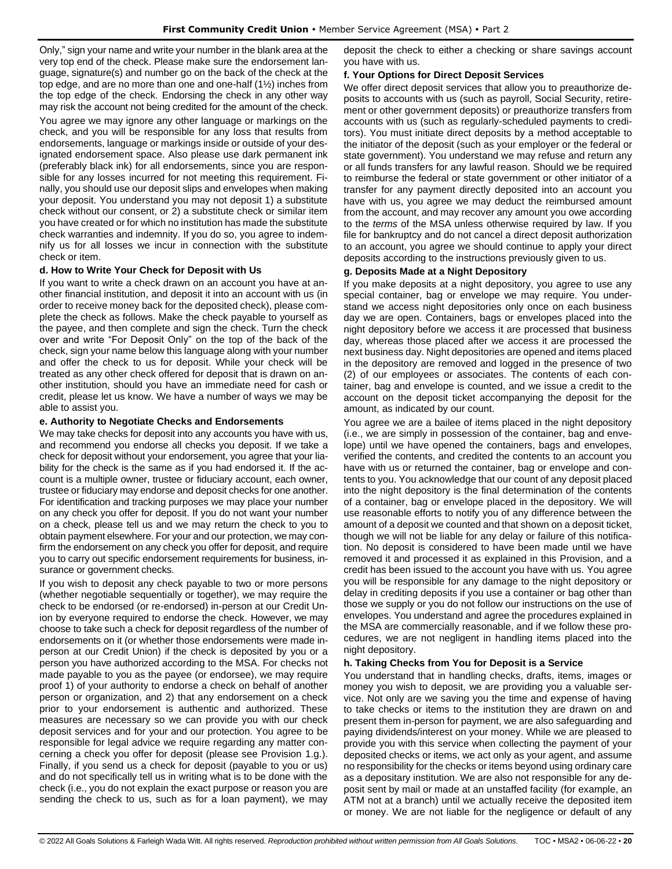Only," sign your name and write your number in the blank area at the very top end of the check. Please make sure the endorsement language, signature(s) and number go on the back of the check at the top edge, and are no more than one and one-half (1½) inches from the top edge of the check. Endorsing the check in any other way may risk the account not being credited for the amount of the check.

You agree we may ignore any other language or markings on the check, and you will be responsible for any loss that results from endorsements, language or markings inside or outside of your designated endorsement space. Also please use dark permanent ink (preferably black ink) for all endorsements, since you are responsible for any losses incurred for not meeting this requirement. Finally, you should use our deposit slips and envelopes when making your deposit. You understand you may not deposit 1) a substitute check without our consent, or 2) a substitute check or similar item you have created or for which no institution has made the substitute check warranties and indemnity. If you do so, you agree to indemnify us for all losses we incur in connection with the substitute check or item.

## **d. How to Write Your Check for Deposit with Us**

If you want to write a check drawn on an account you have at another financial institution, and deposit it into an account with us (in order to receive money back for the deposited check), please complete the check as follows. Make the check payable to yourself as the payee, and then complete and sign the check. Turn the check over and write "For Deposit Only" on the top of the back of the check, sign your name below this language along with your number and offer the check to us for deposit. While your check will be treated as any other check offered for deposit that is drawn on another institution, should you have an immediate need for cash or credit, please let us know. We have a number of ways we may be able to assist you.

## **e. Authority to Negotiate Checks and Endorsements**

We may take checks for deposit into any accounts you have with us, and recommend you endorse all checks you deposit. If we take a check for deposit without your endorsement, you agree that your liability for the check is the same as if you had endorsed it. If the account is a multiple owner, trustee or fiduciary account, each owner, trustee or fiduciary may endorse and deposit checks for one another. For identification and tracking purposes we may place your number on any check you offer for deposit. If you do not want your number on a check, please tell us and we may return the check to you to obtain payment elsewhere. For your and our protection, we may confirm the endorsement on any check you offer for deposit, and require you to carry out specific endorsement requirements for business, insurance or government checks.

If you wish to deposit any check payable to two or more persons (whether negotiable sequentially or together), we may require the check to be endorsed (or re-endorsed) in-person at our Credit Union by everyone required to endorse the check. However, we may choose to take such a check for deposit regardless of the number of endorsements on it (or whether those endorsements were made inperson at our Credit Union) if the check is deposited by you or a person you have authorized according to the MSA. For checks not made payable to you as the payee (or endorsee), we may require proof 1) of your authority to endorse a check on behalf of another person or organization, and 2) that any endorsement on a check prior to your endorsement is authentic and authorized. These measures are necessary so we can provide you with our check deposit services and for your and our protection. You agree to be responsible for legal advice we require regarding any matter concerning a check you offer for deposit (please see Provision 1.g.). Finally, if you send us a check for deposit (payable to you or us) and do not specifically tell us in writing what is to be done with the check (i.e., you do not explain the exact purpose or reason you are sending the check to us, such as for a loan payment), we may

deposit the check to either a checking or share savings account you have with us.

## **f. Your Options for Direct Deposit Services**

We offer direct deposit services that allow you to preauthorize deposits to accounts with us (such as payroll, Social Security, retirement or other government deposits) or preauthorize transfers from accounts with us (such as regularly-scheduled payments to creditors). You must initiate direct deposits by a method acceptable to the initiator of the deposit (such as your employer or the federal or state government). You understand we may refuse and return any or all funds transfers for any lawful reason. Should we be required to reimburse the federal or state government or other initiator of a transfer for any payment directly deposited into an account you have with us, you agree we may deduct the reimbursed amount from the account, and may recover any amount you owe according to the *terms* of the MSA unless otherwise required by law. If you file for bankruptcy and do not cancel a direct deposit authorization to an account, you agree we should continue to apply your direct deposits according to the instructions previously given to us.

## **g. Deposits Made at a Night Depository**

If you make deposits at a night depository, you agree to use any special container, bag or envelope we may require. You understand we access night depositories only once on each business day we are open. Containers, bags or envelopes placed into the night depository before we access it are processed that business day, whereas those placed after we access it are processed the next business day. Night depositories are opened and items placed in the depository are removed and logged in the presence of two (2) of our employees or associates. The contents of each container, bag and envelope is counted, and we issue a credit to the account on the deposit ticket accompanying the deposit for the amount, as indicated by our count.

You agree we are a bailee of items placed in the night depository (i.e., we are simply in possession of the container, bag and envelope) until we have opened the containers, bags and envelopes, verified the contents, and credited the contents to an account you have with us or returned the container, bag or envelope and contents to you. You acknowledge that our count of any deposit placed into the night depository is the final determination of the contents of a container, bag or envelope placed in the depository. We will use reasonable efforts to notify you of any difference between the amount of a deposit we counted and that shown on a deposit ticket, though we will not be liable for any delay or failure of this notification. No deposit is considered to have been made until we have removed it and processed it as explained in this Provision, and a credit has been issued to the account you have with us. You agree you will be responsible for any damage to the night depository or delay in crediting deposits if you use a container or bag other than those we supply or you do not follow our instructions on the use of envelopes. You understand and agree the procedures explained in the MSA are commercially reasonable, and if we follow these procedures, we are not negligent in handling items placed into the night depository.

### **h. Taking Checks from You for Deposit is a Service**

You understand that in handling checks, drafts, items, images or money you wish to deposit, we are providing you a valuable service. Not only are we saving you the time and expense of having to take checks or items to the institution they are drawn on and present them in-person for payment, we are also safeguarding and paying dividends/interest on your money. While we are pleased to provide you with this service when collecting the payment of your deposited checks or items, we act only as your agent, and assume no responsibility for the checks or items beyond using ordinary care as a depositary institution. We are also not responsible for any deposit sent by mail or made at an unstaffed facility (for example, an ATM not at a branch) until we actually receive the deposited item or money. We are not liable for the negligence or default of any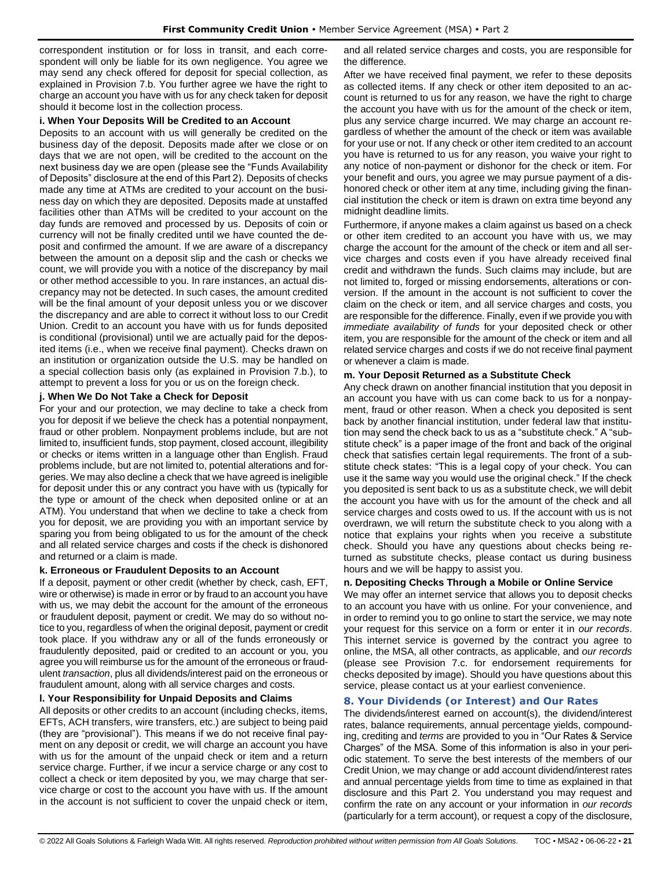correspondent institution or for loss in transit, and each correspondent will only be liable for its own negligence. You agree we may send any check offered for deposit for special collection, as explained in Provision 7.b. You further agree we have the right to charge an account you have with us for any check taken for deposit should it become lost in the collection process.

### **i. When Your Deposits Will be Credited to an Account**

Deposits to an account with us will generally be credited on the business day of the deposit. Deposits made after we close or on days that we are not open, will be credited to the account on the next business day we are open (please see the "Funds Availability of Deposits" disclosure at the end of this Part 2). Deposits of checks made any time at ATMs are credited to your account on the business day on which they are deposited. Deposits made at unstaffed facilities other than ATMs will be credited to your account on the day funds are removed and processed by us. Deposits of coin or currency will not be finally credited until we have counted the deposit and confirmed the amount. If we are aware of a discrepancy between the amount on a deposit slip and the cash or checks we count, we will provide you with a notice of the discrepancy by mail or other method accessible to you. In rare instances, an actual discrepancy may not be detected. In such cases, the amount credited will be the final amount of your deposit unless you or we discover the discrepancy and are able to correct it without loss to our Credit Union. Credit to an account you have with us for funds deposited is conditional (provisional) until we are actually paid for the deposited items (i.e., when we receive final payment). Checks drawn on an institution or organization outside the U.S. may be handled on a special collection basis only (as explained in Provision 7.b.), to attempt to prevent a loss for you or us on the foreign check.

# **j. When We Do Not Take a Check for Deposit**

For your and our protection, we may decline to take a check from you for deposit if we believe the check has a potential nonpayment, fraud or other problem. Nonpayment problems include, but are not limited to, insufficient funds, stop payment, closed account, illegibility or checks or items written in a language other than English. Fraud problems include, but are not limited to, potential alterations and forgeries. We may also decline a check that we have agreed is ineligible for deposit under this or any contract you have with us (typically for the type or amount of the check when deposited online or at an ATM). You understand that when we decline to take a check from you for deposit, we are providing you with an important service by sparing you from being obligated to us for the amount of the check and all related service charges and costs if the check is dishonored and returned or a claim is made.

### **k. Erroneous or Fraudulent Deposits to an Account**

If a deposit, payment or other credit (whether by check, cash, EFT, wire or otherwise) is made in error or by fraud to an account you have with us, we may debit the account for the amount of the erroneous or fraudulent deposit, payment or credit. We may do so without notice to you, regardless of when the original deposit, payment or credit took place. If you withdraw any or all of the funds erroneously or fraudulently deposited, paid or credited to an account or you, you agree you will reimburse us for the amount of the erroneous or fraudulent *transaction*, plus all dividends/interest paid on the erroneous or fraudulent amount, along with all service charges and costs.

# **l. Your Responsibility for Unpaid Deposits and Claims**

All deposits or other credits to an account (including checks, items, EFTs, ACH transfers, wire transfers, etc.) are subject to being paid (they are "provisional"). This means if we do not receive final payment on any deposit or credit, we will charge an account you have with us for the amount of the unpaid check or item and a return service charge. Further, if we incur a service charge or any cost to collect a check or item deposited by you, we may charge that service charge or cost to the account you have with us. If the amount in the account is not sufficient to cover the unpaid check or item,

and all related service charges and costs, you are responsible for the difference.

After we have received final payment, we refer to these deposits as collected items. If any check or other item deposited to an account is returned to us for any reason, we have the right to charge the account you have with us for the amount of the check or item, plus any service charge incurred. We may charge an account regardless of whether the amount of the check or item was available for your use or not. If any check or other item credited to an account you have is returned to us for any reason, you waive your right to any notice of non-payment or dishonor for the check or item. For your benefit and ours, you agree we may pursue payment of a dishonored check or other item at any time, including giving the financial institution the check or item is drawn on extra time beyond any midnight deadline limits.

Furthermore, if anyone makes a claim against us based on a check or other item credited to an account you have with us, we may charge the account for the amount of the check or item and all service charges and costs even if you have already received final credit and withdrawn the funds. Such claims may include, but are not limited to, forged or missing endorsements, alterations or conversion. If the amount in the account is not sufficient to cover the claim on the check or item, and all service charges and costs, you are responsible for the difference. Finally, even if we provide you with *immediate availability of funds* for your deposited check or other item, you are responsible for the amount of the check or item and all related service charges and costs if we do not receive final payment or whenever a claim is made.

### **m. Your Deposit Returned as a Substitute Check**

Any check drawn on another financial institution that you deposit in an account you have with us can come back to us for a nonpayment, fraud or other reason. When a check you deposited is sent back by another financial institution, under federal law that institution may send the check back to us as a "substitute check." A "substitute check" is a paper image of the front and back of the original check that satisfies certain legal requirements. The front of a substitute check states: "This is a legal copy of your check. You can use it the same way you would use the original check." If the check you deposited is sent back to us as a substitute check, we will debit the account you have with us for the amount of the check and all service charges and costs owed to us. If the account with us is not overdrawn, we will return the substitute check to you along with a notice that explains your rights when you receive a substitute check. Should you have any questions about checks being returned as substitute checks, please contact us during business hours and we will be happy to assist you.

# **n. Depositing Checks Through a Mobile or Online Service**

We may offer an internet service that allows you to deposit checks to an account you have with us online. For your convenience, and in order to remind you to go online to start the service, we may note your request for this service on a form or enter it in *our records*. This internet service is governed by the contract you agree to online, the MSA, all other contracts, as applicable, and *our records* (please see Provision 7.c. for endorsement requirements for checks deposited by image). Should you have questions about this service, please contact us at your earliest convenience.

# <span id="page-20-0"></span>**8. Your Dividends (or Interest) and Our Rates**

The dividends/interest earned on account(s), the dividend/interest rates, balance requirements, annual percentage yields, compounding, crediting and *terms* are provided to you in "Our Rates & Service Charges" of the MSA. Some of this information is also in your periodic statement. To serve the best interests of the members of our Credit Union, we may change or add account dividend/interest rates and annual percentage yields from time to time as explained in that disclosure and this Part 2. You understand you may request and confirm the rate on any account or your information in *our records* (particularly for a term account), or request a copy of the disclosure,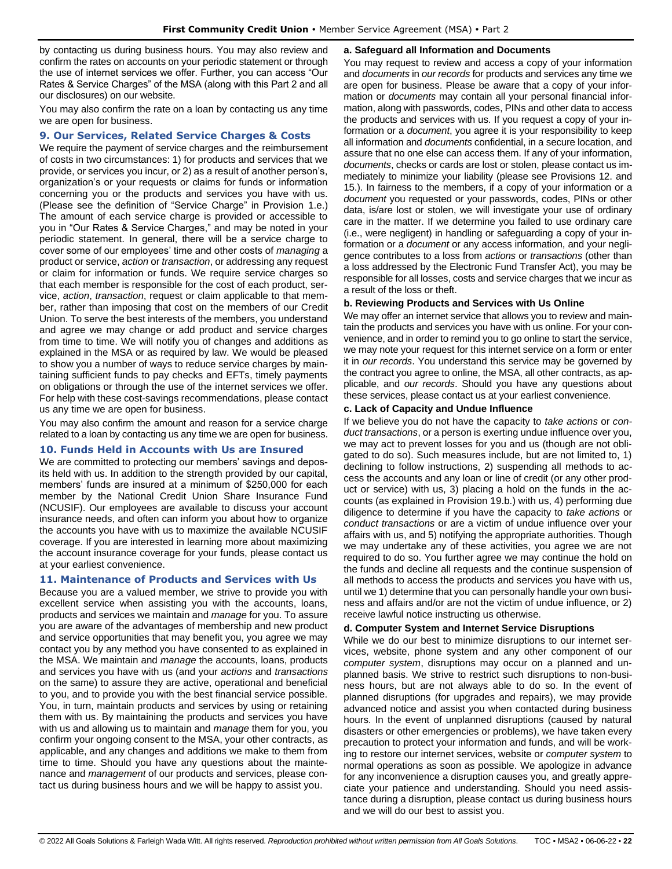by contacting us during business hours. You may also review and confirm the rates on accounts on your periodic statement or through the use of internet services we offer. Further, you can access "Our Rates & Service Charges" of the MSA (along with this Part 2 and all our disclosures) on our website.

You may also confirm the rate on a loan by contacting us any time we are open for business.

## <span id="page-21-0"></span>**9. Our Services, Related Service Charges & Costs**

We require the payment of service charges and the reimbursement of costs in two circumstances: 1) for products and services that we provide, or services you incur, or 2) as a result of another person's, organization's or your requests or claims for funds or information concerning you or the products and services you have with us. (Please see the definition of "Service Charge" in Provision 1.e.) The amount of each service charge is provided or accessible to you in "Our Rates & Service Charges," and may be noted in your periodic statement. In general, there will be a service charge to cover some of our employees' time and other costs of *managing* a product or service, *action* or *transaction*, or addressing any request or claim for information or funds. We require service charges so that each member is responsible for the cost of each product, service, *action*, *transaction*, request or claim applicable to that member, rather than imposing that cost on the members of our Credit Union. To serve the best interests of the members, you understand and agree we may change or add product and service charges from time to time. We will notify you of changes and additions as explained in the MSA or as required by law. We would be pleased to show you a number of ways to reduce service charges by maintaining sufficient funds to pay checks and EFTs, timely payments on obligations or through the use of the internet services we offer. For help with these cost-savings recommendations, please contact us any time we are open for business.

You may also confirm the amount and reason for a service charge related to a loan by contacting us any time we are open for business.

### <span id="page-21-1"></span>**10. Funds Held in Accounts with Us are Insured**

We are committed to protecting our members' savings and deposits held with us. In addition to the strength provided by our capital, members' funds are insured at a minimum of \$250,000 for each member by the National Credit Union Share Insurance Fund (NCUSIF). Our employees are available to discuss your account insurance needs, and often can inform you about how to organize the accounts you have with us to maximize the available NCUSIF coverage. If you are interested in learning more about maximizing the account insurance coverage for your funds, please contact us at your earliest convenience.

# <span id="page-21-2"></span>**11. Maintenance of Products and Services with Us**

Because you are a valued member, we strive to provide you with excellent service when assisting you with the accounts, loans, products and services we maintain and *manage* for you. To assure you are aware of the advantages of membership and new product and service opportunities that may benefit you, you agree we may contact you by any method you have consented to as explained in the MSA. We maintain and *manage* the accounts, loans, products and services you have with us (and your *actions* and *transactions* on the same) to assure they are active, operational and beneficial to you, and to provide you with the best financial service possible. You, in turn, maintain products and services by using or retaining them with us. By maintaining the products and services you have with us and allowing us to maintain and *manage* them for you, you confirm your ongoing consent to the MSA, your other contracts, as applicable, and any changes and additions we make to them from time to time. Should you have any questions about the maintenance and *management* of our products and services, please contact us during business hours and we will be happy to assist you.

#### **a. Safeguard all Information and Documents**

You may request to review and access a copy of your information and *documents* in *our records* for products and services any time we are open for business. Please be aware that a copy of your information or *documents* may contain all your personal financial information, along with passwords, codes, PINs and other data to access the products and services with us. If you request a copy of your information or a *document*, you agree it is your responsibility to keep all information and *documents* confidential, in a secure location, and assure that no one else can access them. If any of your information, *documents*, checks or cards are lost or stolen, please contact us immediately to minimize your liability (please see Provisions 12. and 15.). In fairness to the members, if a copy of your information or a *document* you requested or your passwords, codes, PINs or other data, is/are lost or stolen, we will investigate your use of ordinary care in the matter. If we determine you failed to use ordinary care (i.e., were negligent) in handling or safeguarding a copy of your information or a *document* or any access information, and your negligence contributes to a loss from *actions* or *transactions* (other than a loss addressed by the Electronic Fund Transfer Act), you may be responsible for all losses, costs and service charges that we incur as a result of the loss or theft.

#### **b. Reviewing Products and Services with Us Online**

We may offer an internet service that allows you to review and maintain the products and services you have with us online. For your convenience, and in order to remind you to go online to start the service, we may note your request for this internet service on a form or enter it in *our records*. You understand this service may be governed by the contract you agree to online, the MSA, all other contracts, as applicable, and *our records*. Should you have any questions about these services, please contact us at your earliest convenience.

### **c. Lack of Capacity and Undue Influence**

If we believe you do not have the capacity to *take actions* or *conduct transactions*, or a person is exerting undue influence over you, we may act to prevent losses for you and us (though are not obligated to do so). Such measures include, but are not limited to, 1) declining to follow instructions, 2) suspending all methods to access the accounts and any loan or line of credit (or any other product or service) with us, 3) placing a hold on the funds in the accounts (as explained in Provision 19.b.) with us, 4) performing due diligence to determine if you have the capacity to *take actions* or *conduct transactions* or are a victim of undue influence over your affairs with us, and 5) notifying the appropriate authorities. Though we may undertake any of these activities, you agree we are not required to do so. You further agree we may continue the hold on the funds and decline all requests and the continue suspension of all methods to access the products and services you have with us, until we 1) determine that you can personally handle your own business and affairs and/or are not the victim of undue influence, or 2) receive lawful notice instructing us otherwise.

#### **d. Computer System and Internet Service Disruptions**

While we do our best to minimize disruptions to our internet services, website, phone system and any other component of our *computer system*, disruptions may occur on a planned and unplanned basis. We strive to restrict such disruptions to non-business hours, but are not always able to do so. In the event of planned disruptions (for upgrades and repairs), we may provide advanced notice and assist you when contacted during business hours. In the event of unplanned disruptions (caused by natural disasters or other emergencies or problems), we have taken every precaution to protect your information and funds, and will be working to restore our internet services, website or *computer system* to normal operations as soon as possible. We apologize in advance for any inconvenience a disruption causes you, and greatly appreciate your patience and understanding. Should you need assistance during a disruption, please contact us during business hours and we will do our best to assist you.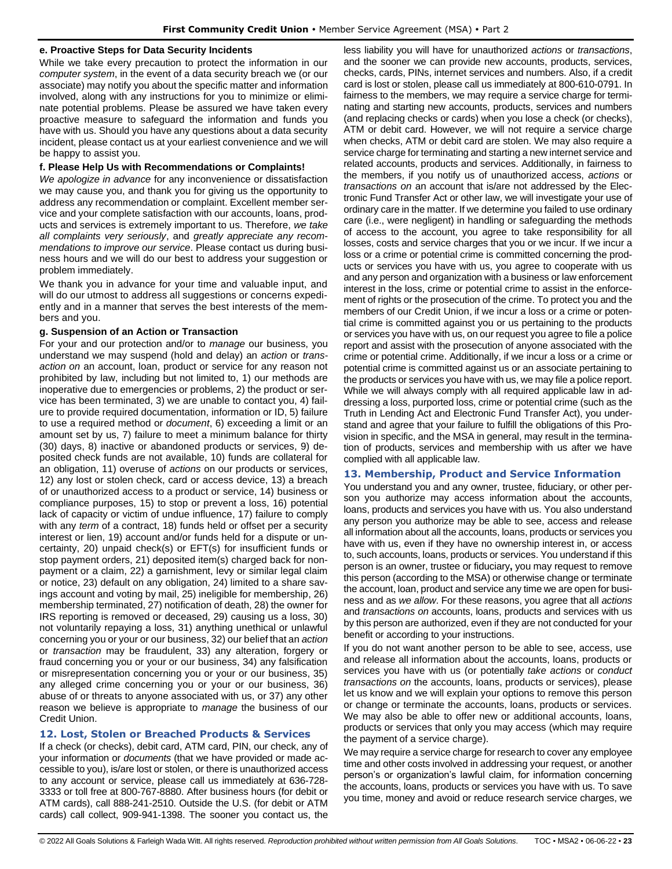### **e. Proactive Steps for Data Security Incidents**

While we take every precaution to protect the information in our *computer system*, in the event of a data security breach we (or our associate) may notify you about the specific matter and information involved, along with any instructions for you to minimize or eliminate potential problems. Please be assured we have taken every proactive measure to safeguard the information and funds you have with us. Should you have any questions about a data security incident, please contact us at your earliest convenience and we will be happy to assist you.

### **f. Please Help Us with Recommendations or Complaints!**

*We apologize in advance* for any inconvenience or dissatisfaction we may cause you, and thank you for giving us the opportunity to address any recommendation or complaint. Excellent member service and your complete satisfaction with our accounts, loans, products and services is extremely important to us. Therefore, *we take all complaints very seriously*, and *greatly appreciate any recommendations to improve our service*. Please contact us during business hours and we will do our best to address your suggestion or problem immediately.

We thank you in advance for your time and valuable input, and will do our utmost to address all suggestions or concerns expediently and in a manner that serves the best interests of the members and you.

## **g. Suspension of an Action or Transaction**

For your and our protection and/or to *manage* our business, you understand we may suspend (hold and delay) an *action* or *transaction on* an account, loan, product or service for any reason not prohibited by law, including but not limited to, 1) our methods are inoperative due to emergencies or problems, 2) the product or service has been terminated, 3) we are unable to contact you, 4) failure to provide required documentation, information or ID, 5) failure to use a required method or *document*, 6) exceeding a limit or an amount set by us, 7) failure to meet a minimum balance for thirty (30) days, 8) inactive or abandoned products or services, 9) deposited check funds are not available, 10) funds are collateral for an obligation, 11) overuse of *actions* on our products or services, 12) any lost or stolen check, card or access device, 13) a breach of or unauthorized access to a product or service, 14) business or compliance purposes, 15) to stop or prevent a loss, 16) potential lack of capacity or victim of undue influence, 17) failure to comply with any *term* of a contract, 18) funds held or offset per a security interest or lien, 19) account and/or funds held for a dispute or uncertainty, 20) unpaid check(s) or EFT(s) for insufficient funds or stop payment orders, 21) deposited item(s) charged back for nonpayment or a claim, 22) a garnishment, levy or similar legal claim or notice, 23) default on any obligation, 24) limited to a share savings account and voting by mail, 25) ineligible for membership, 26) membership terminated, 27) notification of death, 28) the owner for IRS reporting is removed or deceased, 29) causing us a loss, 30) not voluntarily repaying a loss, 31) anything unethical or unlawful concerning you or your or our business, 32) our belief that an *action* or *transaction* may be fraudulent, 33) any alteration, forgery or fraud concerning you or your or our business, 34) any falsification or misrepresentation concerning you or your or our business, 35) any alleged crime concerning you or your or our business, 36) abuse of or threats to anyone associated with us, or 37) any other reason we believe is appropriate to *manage* the business of our Credit Union.

# <span id="page-22-0"></span>**12. Lost, Stolen or Breached Products & Services**

If a check (or checks), debit card, ATM card, PIN, our check, any of your information or *documents* (that we have provided or made accessible to you), is/are lost or stolen, or there is unauthorized access to any account or service, please call us immediately at 636-728- 3333 or toll free at 800-767-8880. After business hours (for debit or ATM cards), call 888-241-2510. Outside the U.S. (for debit or ATM cards) call collect, 909-941-1398. The sooner you contact us, the less liability you will have for unauthorized *actions* or *transactions*, and the sooner we can provide new accounts, products, services, checks, cards, PINs, internet services and numbers. Also, if a credit card is lost or stolen, please call us immediately at 800-610-0791. In fairness to the members, we may require a service charge for terminating and starting new accounts, products, services and numbers (and replacing checks or cards) when you lose a check (or checks), ATM or debit card. However, we will not require a service charge when checks, ATM or debit card are stolen. We may also require a service charge for terminating and starting a new internet service and related accounts, products and services. Additionally, in fairness to the members, if you notify us of unauthorized access, *actions* or *transactions on* an account that is/are not addressed by the Electronic Fund Transfer Act or other law, we will investigate your use of ordinary care in the matter. If we determine you failed to use ordinary care (i.e., were negligent) in handling or safeguarding the methods of access to the account, you agree to take responsibility for all losses, costs and service charges that you or we incur. If we incur a loss or a crime or potential crime is committed concerning the products or services you have with us, you agree to cooperate with us and any person and organization with a business or law enforcement interest in the loss, crime or potential crime to assist in the enforcement of rights or the prosecution of the crime. To protect you and the members of our Credit Union, if we incur a loss or a crime or potential crime is committed against you or us pertaining to the products or services you have with us, on our request you agree to file a police report and assist with the prosecution of anyone associated with the crime or potential crime. Additionally, if we incur a loss or a crime or potential crime is committed against us or an associate pertaining to the products or services you have with us, we may file a police report. While we will always comply with all required applicable law in addressing a loss, purported loss, crime or potential crime (such as the Truth in Lending Act and Electronic Fund Transfer Act), you understand and agree that your failure to fulfill the obligations of this Provision in specific, and the MSA in general, may result in the termination of products, services and membership with us after we have complied with all applicable law.

# <span id="page-22-1"></span>**13. Membership, Product and Service Information**

You understand you and any owner, trustee, fiduciary, or other person you authorize may access information about the accounts, loans, products and services you have with us. You also understand any person you authorize may be able to see, access and release all information about all the accounts, loans, products or services you have with us, even if they have no ownership interest in, or access to, such accounts, loans, products or services. You understand if this person is an owner, trustee or fiduciary**,** you may request to remove this person (according to the MSA) or otherwise change or terminate the account, loan, product and service any time we are open for business and as *we allow*. For these reasons, you agree that all *actions*  and *transactions on* accounts, loans, products and services with us by this person are authorized, even if they are not conducted for your benefit or according to your instructions.

If you do not want another person to be able to see, access, use and release all information about the accounts, loans, products or services you have with us (or potentially *take actions* or *conduct transactions on* the accounts, loans, products or services), please let us know and we will explain your options to remove this person or change or terminate the accounts, loans, products or services. We may also be able to offer new or additional accounts, loans, products or services that only you may access (which may require the payment of a service charge).

We may require a service charge for research to cover any employee time and other costs involved in addressing your request, or another person's or organization's lawful claim, for information concerning the accounts, loans, products or services you have with us. To save you time, money and avoid or reduce research service charges, we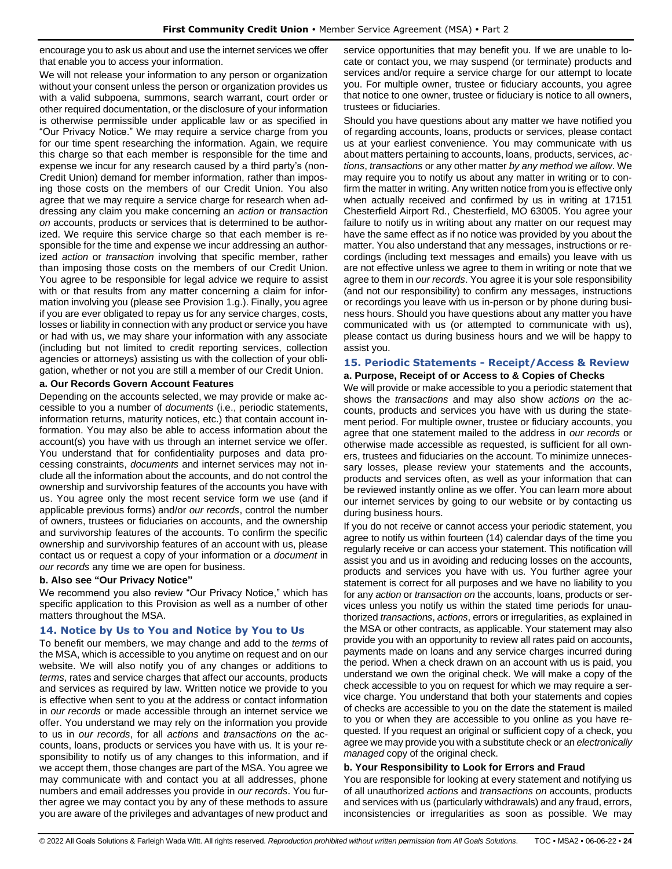encourage you to ask us about and use the internet services we offer that enable you to access your information.

We will not release your information to any person or organization without your consent unless the person or organization provides us with a valid subpoena, summons, search warrant, court order or other required documentation, or the disclosure of your information is otherwise permissible under applicable law or as specified in "Our Privacy Notice." We may require a service charge from you for our time spent researching the information. Again, we require this charge so that each member is responsible for the time and expense we incur for any research caused by a third party's (non-Credit Union) demand for member information, rather than imposing those costs on the members of our Credit Union. You also agree that we may require a service charge for research when addressing any claim you make concerning an *action* or *transaction on* accounts, products or services that is determined to be authorized. We require this service charge so that each member is responsible for the time and expense we incur addressing an authorized *action* or *transaction* involving that specific member, rather than imposing those costs on the members of our Credit Union. You agree to be responsible for legal advice we require to assist with or that results from any matter concerning a claim for information involving you (please see Provision 1.g.). Finally, you agree if you are ever obligated to repay us for any service charges, costs, losses or liability in connection with any product or service you have or had with us, we may share your information with any associate (including but not limited to credit reporting services, collection agencies or attorneys) assisting us with the collection of your obligation, whether or not you are still a member of our Credit Union.

### **a. Our Records Govern Account Features**

Depending on the accounts selected, we may provide or make accessible to you a number of *documents* (i.e., periodic statements, information returns, maturity notices, etc.) that contain account information. You may also be able to access information about the account(s) you have with us through an internet service we offer. You understand that for confidentiality purposes and data processing constraints, *documents* and internet services may not include all the information about the accounts, and do not control the ownership and survivorship features of the accounts you have with us. You agree only the most recent service form we use (and if applicable previous forms) and/or *our records*, control the number of owners, trustees or fiduciaries on accounts, and the ownership and survivorship features of the accounts. To confirm the specific ownership and survivorship features of an account with us, please contact us or request a copy of your information or a *document* in *our records* any time we are open for business.

### **b. Also see "Our Privacy Notice"**

We recommend you also review "Our Privacy Notice," which has specific application to this Provision as well as a number of other matters throughout the MSA.

### <span id="page-23-0"></span>**14. Notice by Us to You and Notice by You to Us**

To benefit our members, we may change and add to the *terms* of the MSA, which is accessible to you anytime on request and on our website. We will also notify you of any changes or additions to *terms*, rates and service charges that affect our accounts, products and services as required by law. Written notice we provide to you is effective when sent to you at the address or contact information in *our records* or made accessible through an internet service we offer. You understand we may rely on the information you provide to us in *our records*, for all *actions* and *transactions on* the accounts, loans, products or services you have with us. It is your responsibility to notify us of any changes to this information, and if we accept them, those changes are part of the MSA. You agree we may communicate with and contact you at all addresses, phone numbers and email addresses you provide in *our records*. You further agree we may contact you by any of these methods to assure you are aware of the privileges and advantages of new product and service opportunities that may benefit you. If we are unable to locate or contact you, we may suspend (or terminate) products and services and/or require a service charge for our attempt to locate you. For multiple owner, trustee or fiduciary accounts, you agree that notice to one owner, trustee or fiduciary is notice to all owners, trustees or fiduciaries.

Should you have questions about any matter we have notified you of regarding accounts, loans, products or services, please contact us at your earliest convenience. You may communicate with us about matters pertaining to accounts, loans, products, services, *actions*, *transactions* or any other matter *by any method we allow*. We may require you to notify us about any matter in writing or to confirm the matter in writing. Any written notice from you is effective only when actually received and confirmed by us in writing at 17151 Chesterfield Airport Rd., Chesterfield, MO 63005. You agree your failure to notify us in writing about any matter on our request may have the same effect as if no notice was provided by you about the matter. You also understand that any messages, instructions or recordings (including text messages and emails) you leave with us are not effective unless we agree to them in writing or note that we agree to them in *our records*. You agree it is your sole responsibility (and not our responsibility) to confirm any messages, instructions or recordings you leave with us in-person or by phone during business hours. Should you have questions about any matter you have communicated with us (or attempted to communicate with us), please contact us during business hours and we will be happy to assist you.

# <span id="page-23-1"></span>**15. Periodic Statements - Receipt/Access & Review**

#### **a. Purpose, Receipt of or Access to & Copies of Checks**

We will provide or make accessible to you a periodic statement that shows the *transactions* and may also show *actions on* the accounts, products and services you have with us during the statement period. For multiple owner, trustee or fiduciary accounts, you agree that one statement mailed to the address in *our records* or otherwise made accessible as requested, is sufficient for all owners, trustees and fiduciaries on the account. To minimize unnecessary losses, please review your statements and the accounts, products and services often, as well as your information that can be reviewed instantly online as we offer. You can learn more about our internet services by going to our website or by contacting us during business hours.

If you do not receive or cannot access your periodic statement, you agree to notify us within fourteen (14) calendar days of the time you regularly receive or can access your statement. This notification will assist you and us in avoiding and reducing losses on the accounts, products and services you have with us. You further agree your statement is correct for all purposes and we have no liability to you for any *action* or *transaction on* the accounts, loans, products or services unless you notify us within the stated time periods for unauthorized *transactions*, *actions*, errors or irregularities, as explained in the MSA or other contracts, as applicable. Your statement may also provide you with an opportunity to review all rates paid on accounts**,** payments made on loans and any service charges incurred during the period. When a check drawn on an account with us is paid, you understand we own the original check. We will make a copy of the check accessible to you on request for which we may require a service charge. You understand that both your statements and copies of checks are accessible to you on the date the statement is mailed to you or when they are accessible to you online as you have requested. If you request an original or sufficient copy of a check, you agree we may provide you with a substitute check or an *electronically managed* copy of the original check.

### **b. Your Responsibility to Look for Errors and Fraud**

You are responsible for looking at every statement and notifying us of all unauthorized *actions* and *transactions on* accounts, products and services with us (particularly withdrawals) and any fraud, errors, inconsistencies or irregularities as soon as possible. We may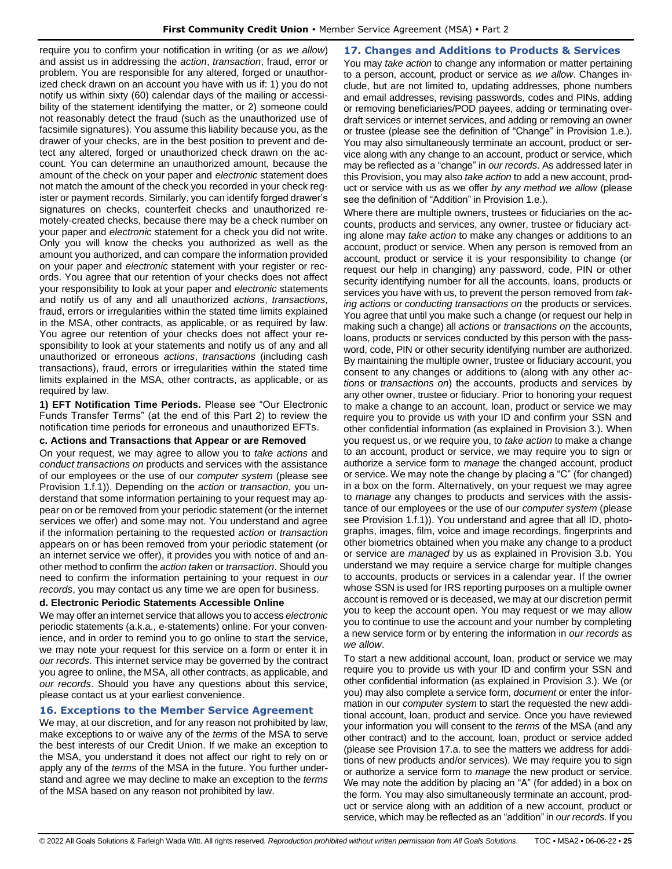require you to confirm your notification in writing (or as *we allow*) and assist us in addressing the *action*, *transaction*, fraud, error or problem. You are responsible for any altered, forged or unauthorized check drawn on an account you have with us if: 1) you do not notify us within sixty (60) calendar days of the mailing or accessibility of the statement identifying the matter, or 2) someone could not reasonably detect the fraud (such as the unauthorized use of facsimile signatures). You assume this liability because you, as the drawer of your checks, are in the best position to prevent and detect any altered, forged or unauthorized check drawn on the account. You can determine an unauthorized amount, because the amount of the check on your paper and *electronic* statement does not match the amount of the check you recorded in your check register or payment records. Similarly, you can identify forged drawer's signatures on checks, counterfeit checks and unauthorized remotely-created checks, because there may be a check number on your paper and *electronic* statement for a check you did not write. Only you will know the checks you authorized as well as the amount you authorized, and can compare the information provided on your paper and *electronic* statement with your register or records. You agree that our retention of your checks does not affect your responsibility to look at your paper and *electronic* statements and notify us of any and all unauthorized *actions*, *transactions*, fraud, errors or irregularities within the stated time limits explained in the MSA, other contracts, as applicable, or as required by law. You agree our retention of your checks does not affect your responsibility to look at your statements and notify us of any and all unauthorized or erroneous *actions*, *transactions* (including cash transactions), fraud, errors or irregularities within the stated time limits explained in the MSA, other contracts, as applicable, or as required by law.

**1) EFT Notification Time Periods.** Please see "Our Electronic Funds Transfer Terms" (at the end of this Part 2) to review the notification time periods for erroneous and unauthorized EFTs.

# **c. Actions and Transactions that Appear or are Removed**

On your request, we may agree to allow you to *take actions* and *conduct transactions on* products and services with the assistance of our employees or the use of our *computer system* (please see Provision 1.f.1)). Depending on the *action* or *transaction*, you understand that some information pertaining to your request may appear on or be removed from your periodic statement (or the internet services we offer) and some may not. You understand and agree if the information pertaining to the requested *action* or *transaction* appears on or has been removed from your periodic statement (or an internet service we offer), it provides you with notice of and another method to confirm the *action taken* or *transaction*. Should you need to confirm the information pertaining to your request in *our records*, you may contact us any time we are open for business.

# **d. Electronic Periodic Statements Accessible Online**

We may offer an internet service that allows you to access *electronic* periodic statements (a.k.a., e-statements) online. For your convenience, and in order to remind you to go online to start the service, we may note your request for this service on a form or enter it in *our records*. This internet service may be governed by the contract you agree to online, the MSA, all other contracts, as applicable, and *our records*. Should you have any questions about this service, please contact us at your earliest convenience.

# <span id="page-24-0"></span>**16. Exceptions to the Member Service Agreement**

We may, at our discretion, and for any reason not prohibited by law, make exceptions to or waive any of the *terms* of the MSA to serve the best interests of our Credit Union. If we make an exception to the MSA, you understand it does not affect our right to rely on or apply any of the *terms* of the MSA in the future. You further understand and agree we may decline to make an exception to the *terms* of the MSA based on any reason not prohibited by law.

<span id="page-24-1"></span>**17. Changes and Additions to Products & Services** You may *take action* to change any information or matter pertaining to a person, account, product or service as *we allow*. Changes include, but are not limited to, updating addresses, phone numbers and email addresses, revising passwords, codes and PINs, adding or removing beneficiaries/POD payees, adding or terminating overdraft services or internet services, and adding or removing an owner or trustee (please see the definition of "Change" in Provision 1.e.). You may also simultaneously terminate an account, product or service along with any change to an account, product or service, which may be reflected as a "change" in *our records*. As addressed later in this Provision, you may also *take action* to add a new account, product or service with us as we offer *by any method we allow* (please see the definition of "Addition" in Provision 1.e.).

Where there are multiple owners, trustees or fiduciaries on the accounts, products and services, any owner, trustee or fiduciary acting alone may *take action* to make any changes or additions to an account, product or service. When any person is removed from an account, product or service it is your responsibility to change (or request our help in changing) any password, code, PIN or other security identifying number for all the accounts, loans, products or services you have with us, to prevent the person removed from *taking actions* or *conducting transactions on* the products or services. You agree that until you make such a change (or request our help in making such a change) all *actions* or *transactions on* the accounts, loans, products or services conducted by this person with the password, code, PIN or other security identifying number are authorized. By maintaining the multiple owner, trustee or fiduciary account, you consent to any changes or additions to (along with any other *actions* or *transactions on*) the accounts, products and services by any other owner, trustee or fiduciary. Prior to honoring your request to make a change to an account, loan, product or service we may require you to provide us with your ID and confirm your SSN and other confidential information (as explained in Provision 3.). When you request us, or we require you, to *take action* to make a change to an account, product or service, we may require you to sign or authorize a service form to *manage* the changed account, product or service. We may note the change by placing a "C" (for changed) in a box on the form. Alternatively, on your request we may agree to *manage* any changes to products and services with the assistance of our employees or the use of our *computer system* (please see Provision 1.f.1)). You understand and agree that all ID, photographs, images, film, voice and image recordings, fingerprints and other biometrics obtained when you make any change to a product or service are *managed* by us as explained in Provision 3.b. You understand we may require a service charge for multiple changes to accounts, products or services in a calendar year. If the owner whose SSN is used for IRS reporting purposes on a multiple owner account is removed or is deceased, we may at our discretion permit you to keep the account open. You may request or we may allow you to continue to use the account and your number by completing a new service form or by entering the information in *our records* as *we allow*.

To start a new additional account, loan, product or service we may require you to provide us with your ID and confirm your SSN and other confidential information (as explained in Provision 3.). We (or you) may also complete a service form, *document* or enter the information in our *computer system* to start the requested the new additional account, loan, product and service. Once you have reviewed your information you will consent to the *terms* of the MSA (and any other contract) and to the account, loan, product or service added (please see Provision 17.a. to see the matters we address for additions of new products and/or services). We may require you to sign or authorize a service form to *manage* the new product or service. We may note the addition by placing an "A" (for added) in a box on the form. You may also simultaneously terminate an account, product or service along with an addition of a new account, product or service, which may be reflected as an "addition" in *our records*. If you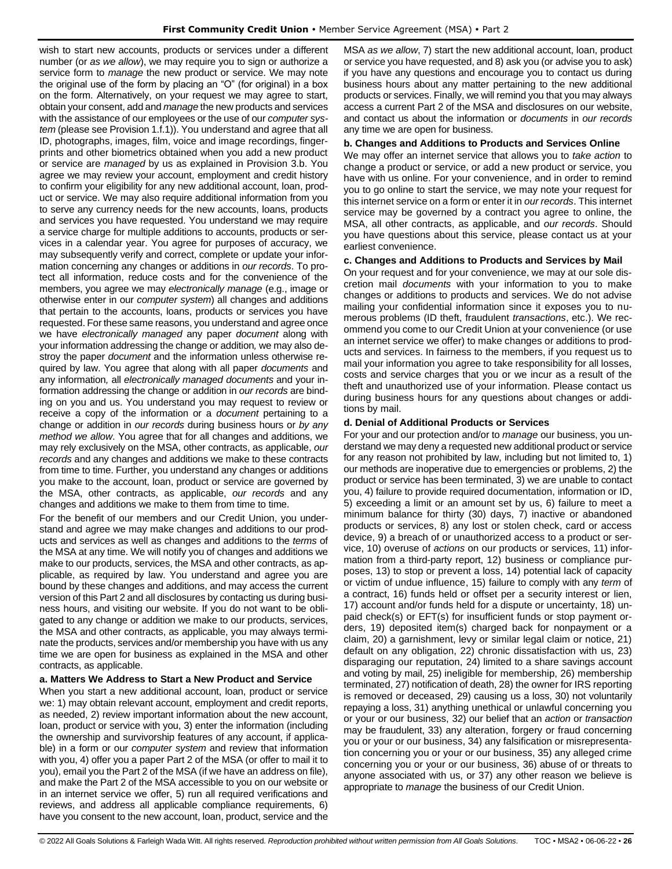wish to start new accounts, products or services under a different number (or *as we allow*), we may require you to sign or authorize a service form to *manage* the new product or service. We may note the original use of the form by placing an "O" (for original) in a box on the form. Alternatively, on your request we may agree to start, obtain your consent, add and *manage* the new products and services with the assistance of our employees or the use of our *computer system* (please see Provision 1.f.1)). You understand and agree that all ID, photographs, images, film, voice and image recordings, fingerprints and other biometrics obtained when you add a new product or service are *managed* by us as explained in Provision 3.b. You agree we may review your account, employment and credit history to confirm your eligibility for any new additional account, loan, product or service. We may also require additional information from you to serve any currency needs for the new accounts, loans, products and services you have requested. You understand we may require a service charge for multiple additions to accounts, products or services in a calendar year. You agree for purposes of accuracy, we may subsequently verify and correct, complete or update your information concerning any changes or additions in *our records*. To protect all information, reduce costs and for the convenience of the members, you agree we may *electronically manage* (e.g., image or otherwise enter in our *computer system*) all changes and additions that pertain to the accounts, loans, products or services you have requested. For these same reasons, you understand and agree once we have *electronically managed* any paper *document* along with your information addressing the change or addition*,* we may also destroy the paper *document* and the information unless otherwise required by law. You agree that along with all paper *documents* and any information*,* all *electronically managed documents* and your information addressing the change or addition in *our records* are binding on you and us. You understand you may request to review or receive a copy of the information or a *document* pertaining to a change or addition in *our records* during business hours or *by any method we allow*. You agree that for all changes and additions, we may rely exclusively on the MSA, other contracts, as applicable, *our records* and any changes and additions we make to these contracts from time to time. Further, you understand any changes or additions you make to the account, loan, product or service are governed by the MSA, other contracts, as applicable, *our records* and any changes and additions we make to them from time to time.

For the benefit of our members and our Credit Union, you understand and agree we may make changes and additions to our products and services as well as changes and additions to the *terms* of the MSA at any time. We will notify you of changes and additions we make to our products, services, the MSA and other contracts, as applicable, as required by law. You understand and agree you are bound by these changes and additions, and may access the current version of this Part 2 and all disclosures by contacting us during business hours, and visiting our website. If you do not want to be obligated to any change or addition we make to our products, services, the MSA and other contracts, as applicable, you may always terminate the products, services and/or membership you have with us any time we are open for business as explained in the MSA and other contracts, as applicable.

### **a. Matters We Address to Start a New Product and Service**

When you start a new additional account, loan, product or service we: 1) may obtain relevant account, employment and credit reports, as needed, 2) review important information about the new account, loan, product or service with you, 3) enter the information (including the ownership and survivorship features of any account, if applicable) in a form or our *computer system* and review that information with you, 4) offer you a paper Part 2 of the MSA (or offer to mail it to you), email you the Part 2 of the MSA (if we have an address on file), and make the Part 2 of the MSA accessible to you on our website or in an internet service we offer, 5) run all required verifications and reviews, and address all applicable compliance requirements, 6) have you consent to the new account, loan, product, service and the MSA *as we allow*, 7) start the new additional account, loan, product or service you have requested, and 8) ask you (or advise you to ask) if you have any questions and encourage you to contact us during business hours about any matter pertaining to the new additional products or services. Finally, we will remind you that you may always access a current Part 2 of the MSA and disclosures on our website, and contact us about the information or *documents* in *our records* any time we are open for business.

#### **b. Changes and Additions to Products and Services Online**

We may offer an internet service that allows you to *take action* to change a product or service, or add a new product or service, you have with us online. For your convenience, and in order to remind you to go online to start the service, we may note your request for this internet service on a form or enter it in *our records*. This internet service may be governed by a contract you agree to online, the MSA, all other contracts, as applicable, and *our records*. Should you have questions about this service, please contact us at your earliest convenience.

#### **c. Changes and Additions to Products and Services by Mail**

On your request and for your convenience, we may at our sole discretion mail *documents* with your information to you to make changes or additions to products and services. We do not advise mailing your confidential information since it exposes you to numerous problems (ID theft, fraudulent *transactions*, etc.). We recommend you come to our Credit Union at your convenience (or use an internet service we offer) to make changes or additions to products and services. In fairness to the members, if you request us to mail your information you agree to take responsibility for all losses, costs and service charges that you or we incur as a result of the theft and unauthorized use of your information. Please contact us during business hours for any questions about changes or additions by mail.

### **d. Denial of Additional Products or Services**

For your and our protection and/or to *manage* our business, you understand we may deny a requested new additional product or service for any reason not prohibited by law, including but not limited to, 1) our methods are inoperative due to emergencies or problems, 2) the product or service has been terminated, 3) we are unable to contact you, 4) failure to provide required documentation, information or ID, 5) exceeding a limit or an amount set by us, 6) failure to meet a minimum balance for thirty (30) days, 7) inactive or abandoned products or services, 8) any lost or stolen check, card or access device, 9) a breach of or unauthorized access to a product or service, 10) overuse of *actions* on our products or services, 11) information from a third-party report, 12) business or compliance purposes, 13) to stop or prevent a loss, 14) potential lack of capacity or victim of undue influence, 15) failure to comply with any *term* of a contract, 16) funds held or offset per a security interest or lien, 17) account and/or funds held for a dispute or uncertainty, 18) unpaid check(s) or EFT(s) for insufficient funds or stop payment orders, 19) deposited item(s) charged back for nonpayment or a claim, 20) a garnishment, levy or similar legal claim or notice, 21) default on any obligation, 22) chronic dissatisfaction with us, 23) disparaging our reputation, 24) limited to a share savings account and voting by mail, 25) ineligible for membership, 26) membership terminated, 27) notification of death, 28) the owner for IRS reporting is removed or deceased, 29) causing us a loss, 30) not voluntarily repaying a loss, 31) anything unethical or unlawful concerning you or your or our business, 32) our belief that an *action* or *transaction* may be fraudulent, 33) any alteration, forgery or fraud concerning you or your or our business, 34) any falsification or misrepresentation concerning you or your or our business, 35) any alleged crime concerning you or your or our business, 36) abuse of or threats to anyone associated with us, or 37) any other reason we believe is appropriate to *manage* the business of our Credit Union.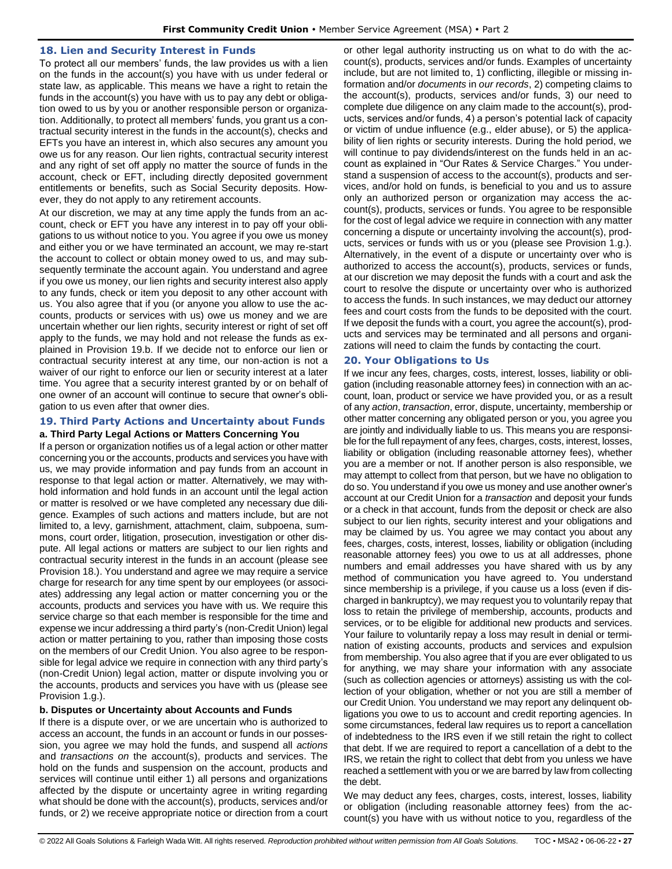### <span id="page-26-0"></span>**18. Lien and Security Interest in Funds**

To protect all our members' funds, the law provides us with a lien on the funds in the account(s) you have with us under federal or state law, as applicable. This means we have a right to retain the funds in the account(s) you have with us to pay any debt or obligation owed to us by you or another responsible person or organization. Additionally, to protect all members' funds, you grant us a contractual security interest in the funds in the account(s), checks and EFTs you have an interest in, which also secures any amount you owe us for any reason. Our lien rights, contractual security interest and any right of set off apply no matter the source of funds in the account, check or EFT, including directly deposited government entitlements or benefits, such as Social Security deposits. However, they do not apply to any retirement accounts.

At our discretion, we may at any time apply the funds from an account, check or EFT you have any interest in to pay off your obligations to us without notice to you. You agree if you owe us money and either you or we have terminated an account, we may re-start the account to collect or obtain money owed to us, and may subsequently terminate the account again. You understand and agree if you owe us money, our lien rights and security interest also apply to any funds, check or item you deposit to any other account with us. You also agree that if you (or anyone you allow to use the accounts, products or services with us) owe us money and we are uncertain whether our lien rights, security interest or right of set off apply to the funds, we may hold and not release the funds as explained in Provision 19.b. If we decide not to enforce our lien or contractual security interest at any time, our non-action is not a waiver of our right to enforce our lien or security interest at a later time. You agree that a security interest granted by or on behalf of one owner of an account will continue to secure that owner's obligation to us even after that owner dies.

## <span id="page-26-1"></span>**19. Third Party Actions and Uncertainty about Funds a. Third Party Legal Actions or Matters Concerning You**

If a person or organization notifies us of a legal action or other matter concerning you or the accounts, products and services you have with us, we may provide information and pay funds from an account in response to that legal action or matter. Alternatively, we may withhold information and hold funds in an account until the legal action or matter is resolved or we have completed any necessary due diligence. Examples of such actions and matters include, but are not limited to, a levy, garnishment, attachment, claim, subpoena, summons, court order, litigation, prosecution, investigation or other dispute. All legal actions or matters are subject to our lien rights and contractual security interest in the funds in an account (please see Provision 18.). You understand and agree we may require a service charge for research for any time spent by our employees (or associates) addressing any legal action or matter concerning you or the accounts, products and services you have with us. We require this service charge so that each member is responsible for the time and expense we incur addressing a third party's (non-Credit Union) legal action or matter pertaining to you, rather than imposing those costs on the members of our Credit Union. You also agree to be responsible for legal advice we require in connection with any third party's (non-Credit Union) legal action, matter or dispute involving you or the accounts, products and services you have with us (please see Provision 1.g.).

# **b. Disputes or Uncertainty about Accounts and Funds**

If there is a dispute over, or we are uncertain who is authorized to access an account, the funds in an account or funds in our possession, you agree we may hold the funds, and suspend all *actions* and *transactions on* the account(s), products and services. The hold on the funds and suspension on the account, products and services will continue until either 1) all persons and organizations affected by the dispute or uncertainty agree in writing regarding what should be done with the account(s), products, services and/or funds, or 2) we receive appropriate notice or direction from a court or other legal authority instructing us on what to do with the account(s), products, services and/or funds. Examples of uncertainty include, but are not limited to, 1) conflicting, illegible or missing information and/or *documents* in *our records*, 2) competing claims to the account(s), products, services and/or funds, 3) our need to complete due diligence on any claim made to the account(s), products, services and/or funds, 4) a person's potential lack of capacity or victim of undue influence (e.g., elder abuse), or 5) the applicability of lien rights or security interests. During the hold period, we will continue to pay dividends/interest on the funds held in an account as explained in "Our Rates & Service Charges." You understand a suspension of access to the account(s), products and services, and/or hold on funds, is beneficial to you and us to assure only an authorized person or organization may access the account(s), products, services or funds. You agree to be responsible for the cost of legal advice we require in connection with any matter concerning a dispute or uncertainty involving the account(s), products, services or funds with us or you (please see Provision 1.g.). Alternatively, in the event of a dispute or uncertainty over who is authorized to access the account(s), products, services or funds, at our discretion we may deposit the funds with a court and ask the court to resolve the dispute or uncertainty over who is authorized to access the funds. In such instances, we may deduct our attorney fees and court costs from the funds to be deposited with the court. If we deposit the funds with a court, you agree the account(s), products and services may be terminated and all persons and organizations will need to claim the funds by contacting the court.

## <span id="page-26-2"></span>**20. Your Obligations to Us**

If we incur any fees, charges, costs, interest, losses, liability or obligation (including reasonable attorney fees) in connection with an account, loan, product or service we have provided you, or as a result of any *action*, *transaction*, error, dispute, uncertainty, membership or other matter concerning any obligated person or you, you agree you are jointly and individually liable to us. This means you are responsible for the full repayment of any fees, charges, costs, interest, losses, liability or obligation (including reasonable attorney fees), whether you are a member or not. If another person is also responsible, we may attempt to collect from that person, but we have no obligation to do so. You understand if you owe us money and use another owner's account at our Credit Union for a *transaction* and deposit your funds or a check in that account, funds from the deposit or check are also subject to our lien rights, security interest and your obligations and may be claimed by us. You agree we may contact you about any fees, charges, costs, interest, losses, liability or obligation (including reasonable attorney fees) you owe to us at all addresses, phone numbers and email addresses you have shared with us by any method of communication you have agreed to. You understand since membership is a privilege, if you cause us a loss (even if discharged in bankruptcy), we may request you to voluntarily repay that loss to retain the privilege of membership, accounts, products and services, or to be eligible for additional new products and services. Your failure to voluntarily repay a loss may result in denial or termination of existing accounts, products and services and expulsion from membership. You also agree that if you are ever obligated to us for anything, we may share your information with any associate (such as collection agencies or attorneys) assisting us with the collection of your obligation, whether or not you are still a member of our Credit Union. You understand we may report any delinquent obligations you owe to us to account and credit reporting agencies. In some circumstances, federal law requires us to report a cancellation of indebtedness to the IRS even if we still retain the right to collect that debt. If we are required to report a cancellation of a debt to the IRS, we retain the right to collect that debt from you unless we have reached a settlement with you or we are barred by law from collecting the debt.

We may deduct any fees, charges, costs, interest, losses, liability or obligation (including reasonable attorney fees) from the account(s) you have with us without notice to you, regardless of the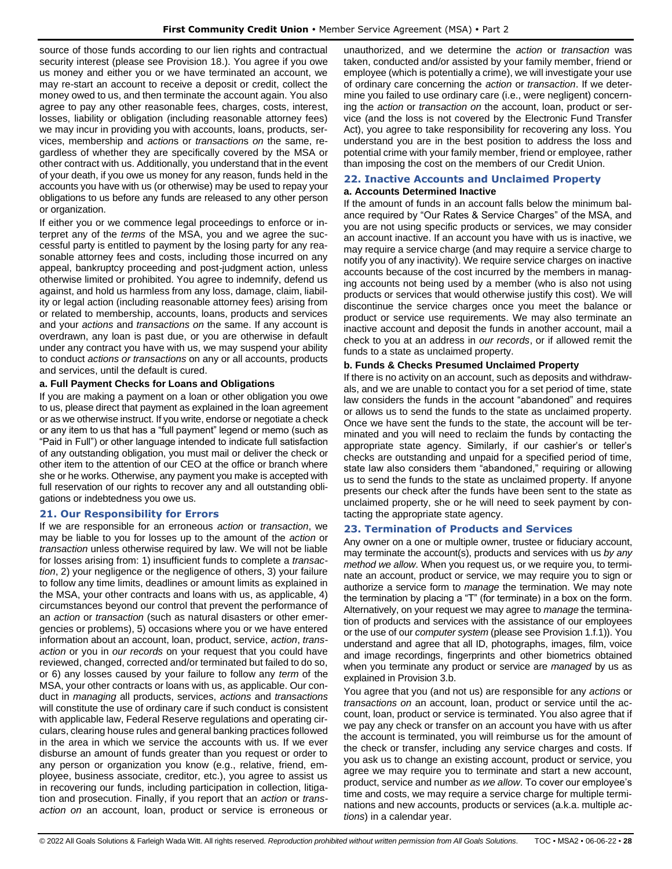source of those funds according to our lien rights and contractual security interest (please see Provision 18.). You agree if you owe us money and either you or we have terminated an account, we may re-start an account to receive a deposit or credit, collect the money owed to us, and then terminate the account again. You also agree to pay any other reasonable fees, charges, costs, interest, losses, liability or obligation (including reasonable attorney fees) we may incur in providing you with accounts, loans, products, services, membership and *action*s or *transaction*s *on* the same, regardless of whether they are specifically covered by the MSA or other contract with us. Additionally, you understand that in the event of your death, if you owe us money for any reason, funds held in the accounts you have with us (or otherwise) may be used to repay your obligations to us before any funds are released to any other person or organization.

If either you or we commence legal proceedings to enforce or interpret any of the *terms* of the MSA, you and we agree the successful party is entitled to payment by the losing party for any reasonable attorney fees and costs, including those incurred on any appeal, bankruptcy proceeding and post-judgment action, unless otherwise limited or prohibited. You agree to indemnify, defend us against, and hold us harmless from any loss, damage, claim, liability or legal action (including reasonable attorney fees) arising from or related to membership, accounts, loans, products and services and your *actions* and *transactions on* the same. If any account is overdrawn, any loan is past due, or you are otherwise in default under any contract you have with us, we may suspend your ability to conduct *actions or transactions* on any or all accounts, products and services, until the default is cured.

# **a. Full Payment Checks for Loans and Obligations**

If you are making a payment on a loan or other obligation you owe to us, please direct that payment as explained in the loan agreement or as we otherwise instruct. If you write, endorse or negotiate a check or any item to us that has a "full payment" legend or memo (such as "Paid in Full") or other language intended to indicate full satisfaction of any outstanding obligation, you must mail or deliver the check or other item to the attention of our CEO at the office or branch where she or he works. Otherwise, any payment you make is accepted with full reservation of our rights to recover any and all outstanding obligations or indebtedness you owe us.

# <span id="page-27-0"></span>**21. Our Responsibility for Errors**

If we are responsible for an erroneous *action* or *transaction*, we may be liable to you for losses up to the amount of the *action* or *transaction* unless otherwise required by law. We will not be liable for losses arising from: 1) insufficient funds to complete a *transaction*, 2) your negligence or the negligence of others, 3) your failure to follow any time limits, deadlines or amount limits as explained in the MSA, your other contracts and loans with us, as applicable, 4) circumstances beyond our control that prevent the performance of an *action* or *transaction* (such as natural disasters or other emergencies or problems), 5) occasions where you or we have entered information about an account, loan, product, service, *action*, *transaction* or you in *our records* on your request that you could have reviewed, changed, corrected and/or terminated but failed to do so, or 6) any losses caused by your failure to follow any *term* of the MSA, your other contracts or loans with us, as applicable. Our conduct in *managing* all products, services, *actions* and *transactions* will constitute the use of ordinary care if such conduct is consistent with applicable law, Federal Reserve regulations and operating circulars, clearing house rules and general banking practices followed in the area in which we service the accounts with us. If we ever disburse an amount of funds greater than you request or order to any person or organization you know (e.g., relative, friend, employee, business associate, creditor, etc.), you agree to assist us in recovering our funds, including participation in collection, litigation and prosecution. Finally, if you report that an *action* or *transaction on* an account, loan, product or service is erroneous or

unauthorized, and we determine the *action* or *transaction* was taken, conducted and/or assisted by your family member, friend or employee (which is potentially a crime), we will investigate your use of ordinary care concerning the *action* or *transaction*. If we determine you failed to use ordinary care (i.e., were negligent) concerning the *action* or *transaction on* the account, loan, product or service (and the loss is not covered by the Electronic Fund Transfer Act), you agree to take responsibility for recovering any loss. You understand you are in the best position to address the loss and potential crime with your family member, friend or employee, rather than imposing the cost on the members of our Credit Union.

# <span id="page-27-1"></span>**22. Inactive Accounts and Unclaimed Property**

# **a. Accounts Determined Inactive**

If the amount of funds in an account falls below the minimum balance required by "Our Rates & Service Charges" of the MSA, and you are not using specific products or services, we may consider an account inactive. If an account you have with us is inactive, we may require a service charge (and may require a service charge to notify you of any inactivity). We require service charges on inactive accounts because of the cost incurred by the members in managing accounts not being used by a member (who is also not using products or services that would otherwise justify this cost). We will discontinue the service charges once you meet the balance or product or service use requirements. We may also terminate an inactive account and deposit the funds in another account, mail a check to you at an address in *our records*, or if allowed remit the funds to a state as unclaimed property.

# **b. Funds & Checks Presumed Unclaimed Property**

If there is no activity on an account, such as deposits and withdrawals, and we are unable to contact you for a set period of time, state law considers the funds in the account "abandoned" and requires or allows us to send the funds to the state as unclaimed property. Once we have sent the funds to the state, the account will be terminated and you will need to reclaim the funds by contacting the appropriate state agency. Similarly, if our cashier's or teller's checks are outstanding and unpaid for a specified period of time, state law also considers them "abandoned," requiring or allowing us to send the funds to the state as unclaimed property. If anyone presents our check after the funds have been sent to the state as unclaimed property, she or he will need to seek payment by contacting the appropriate state agency.

# <span id="page-27-2"></span>**23. Termination of Products and Services**

Any owner on a one or multiple owner, trustee or fiduciary account, may terminate the account(s), products and services with us *by any method we allow*. When you request us, or we require you, to terminate an account, product or service, we may require you to sign or authorize a service form to *manage* the termination. We may note the termination by placing a "T" (for terminate) in a box on the form. Alternatively, on your request we may agree to *manage* the termination of products and services with the assistance of our employees or the use of our *computer system* (please see Provision 1.f.1)). You understand and agree that all ID, photographs, images, film, voice and image recordings, fingerprints and other biometrics obtained when you terminate any product or service are *managed* by us as explained in Provision 3.b.

You agree that you (and not us) are responsible for any *actions* or *transactions on* an account, loan, product or service until the account, loan, product or service is terminated. You also agree that if we pay any check or transfer on an account you have with us after the account is terminated, you will reimburse us for the amount of the check or transfer, including any service charges and costs. If you ask us to change an existing account, product or service, you agree we may require you to terminate and start a new account, product, service and number *as we allow*. To cover our employee's time and costs, we may require a service charge for multiple terminations and new accounts, products or services (a.k.a. multiple *actions*) in a calendar year.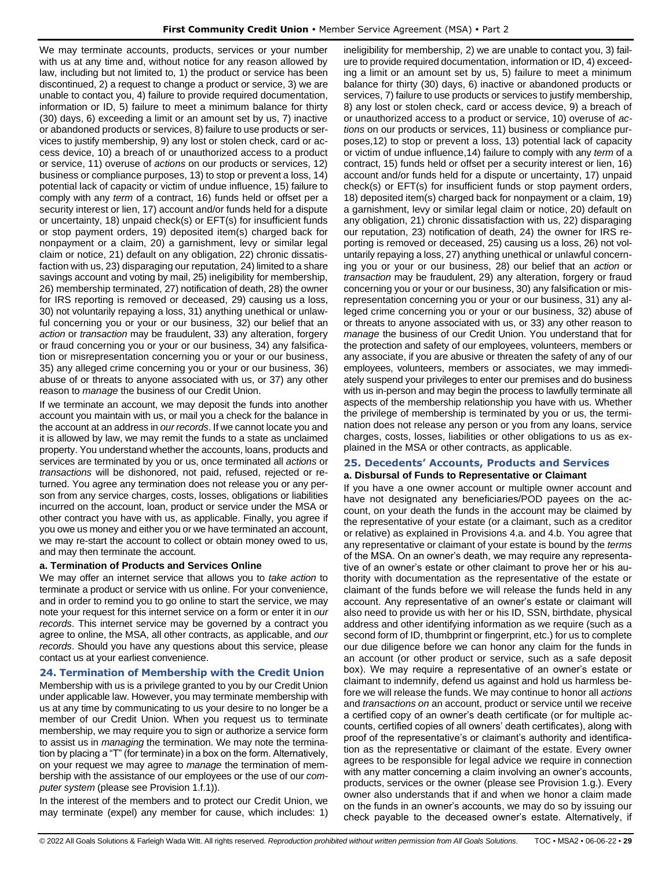We may terminate accounts, products, services or your number with us at any time and, without notice for any reason allowed by law, including but not limited to, 1) the product or service has been discontinued, 2) a request to change a product or service, 3) we are unable to contact you, 4) failure to provide required documentation, information or ID, 5) failure to meet a minimum balance for thirty (30) days, 6) exceeding a limit or an amount set by us, 7) inactive or abandoned products or services, 8) failure to use products or services to justify membership, 9) any lost or stolen check, card or access device, 10) a breach of or unauthorized access to a product or service, 11) overuse of *actions* on our products or services, 12) business or compliance purposes, 13) to stop or prevent a loss, 14) potential lack of capacity or victim of undue influence, 15) failure to comply with any *term* of a contract, 16) funds held or offset per a security interest or lien, 17) account and/or funds held for a dispute or uncertainty, 18) unpaid check(s) or EFT(s) for insufficient funds or stop payment orders, 19) deposited item(s) charged back for nonpayment or a claim, 20) a garnishment, levy or similar legal claim or notice, 21) default on any obligation, 22) chronic dissatisfaction with us, 23) disparaging our reputation, 24) limited to a share savings account and voting by mail, 25) ineligibility for membership, 26) membership terminated, 27) notification of death, 28) the owner for IRS reporting is removed or deceased, 29) causing us a loss, 30) not voluntarily repaying a loss, 31) anything unethical or unlawful concerning you or your or our business, 32) our belief that an *action* or *transaction* may be fraudulent, 33) any alteration, forgery or fraud concerning you or your or our business, 34) any falsification or misrepresentation concerning you or your or our business, 35) any alleged crime concerning you or your or our business, 36) abuse of or threats to anyone associated with us, or 37) any other reason to *manage* the business of our Credit Union.

If we terminate an account, we may deposit the funds into another account you maintain with us, or mail you a check for the balance in the account at an address in *our records*. If we cannot locate you and it is allowed by law, we may remit the funds to a state as unclaimed property. You understand whether the accounts, loans, products and services are terminated by you or us, once terminated all *actions* or *transactions* will be dishonored, not paid, refused, rejected or returned. You agree any termination does not release you or any person from any service charges, costs, losses, obligations or liabilities incurred on the account, loan, product or service under the MSA or other contract you have with us, as applicable. Finally, you agree if you owe us money and either you or we have terminated an account, we may re-start the account to collect or obtain money owed to us, and may then terminate the account.

# **a. Termination of Products and Services Online**

We may offer an internet service that allows you to *take action* to terminate a product or service with us online. For your convenience, and in order to remind you to go online to start the service, we may note your request for this internet service on a form or enter it in *our records*. This internet service may be governed by a contract you agree to online, the MSA, all other contracts, as applicable, and *our records*. Should you have any questions about this service, please contact us at your earliest convenience.

# <span id="page-28-0"></span>**24. Termination of Membership with the Credit Union**

Membership with us is a privilege granted to you by our Credit Union under applicable law. However, you may terminate membership with us at any time by communicating to us your desire to no longer be a member of our Credit Union. When you request us to terminate membership, we may require you to sign or authorize a service form to assist us in *managing* the termination. We may note the termination by placing a "T" (for terminate) in a box on the form. Alternatively, on your request we may agree to *manage* the termination of membership with the assistance of our employees or the use of our *computer system* (please see Provision 1.f.1)).

In the interest of the members and to protect our Credit Union, we may terminate (expel) any member for cause, which includes: 1) ineligibility for membership, 2) we are unable to contact you, 3) failure to provide required documentation, information or ID, 4) exceeding a limit or an amount set by us, 5) failure to meet a minimum balance for thirty (30) days, 6) inactive or abandoned products or services, 7) failure to use products or services to justify membership, 8) any lost or stolen check, card or access device, 9) a breach of or unauthorized access to a product or service, 10) overuse of *actions* on our products or services, 11) business or compliance purposes,12) to stop or prevent a loss, 13) potential lack of capacity or victim of undue influence,14) failure to comply with any *term* of a contract, 15) funds held or offset per a security interest or lien, 16) account and/or funds held for a dispute or uncertainty, 17) unpaid check(s) or EFT(s) for insufficient funds or stop payment orders, 18) deposited item(s) charged back for nonpayment or a claim, 19) a garnishment, levy or similar legal claim or notice, 20) default on any obligation, 21) chronic dissatisfaction with us, 22) disparaging our reputation, 23) notification of death, 24) the owner for IRS reporting is removed or deceased, 25) causing us a loss, 26) not voluntarily repaying a loss, 27) anything unethical or unlawful concerning you or your or our business, 28) our belief that an *action* or *transaction* may be fraudulent, 29) any alteration, forgery or fraud concerning you or your or our business, 30) any falsification or misrepresentation concerning you or your or our business, 31) any alleged crime concerning you or your or our business, 32) abuse of or threats to anyone associated with us, or 33) any other reason to *manage* the business of our Credit Union. You understand that for the protection and safety of our employees, volunteers, members or any associate, if you are abusive or threaten the safety of any of our employees, volunteers, members or associates, we may immediately suspend your privileges to enter our premises and do business with us in-person and may begin the process to lawfully terminate all aspects of the membership relationship you have with us. Whether the privilege of membership is terminated by you or us, the termination does not release any person or you from any loans, service charges, costs, losses, liabilities or other obligations to us as explained in the MSA or other contracts, as applicable.

# <span id="page-28-1"></span>**25. Decedents' Accounts, Products and Services**

# **a. Disbursal of Funds to Representative or Claimant**

If you have a one owner account or multiple owner account and have not designated any beneficiaries/POD payees on the account, on your death the funds in the account may be claimed by the representative of your estate (or a claimant, such as a creditor or relative) as explained in Provisions 4.a. and 4.b. You agree that any representative or claimant of your estate is bound by the *terms* of the MSA. On an owner's death, we may require any representative of an owner's estate or other claimant to prove her or his authority with documentation as the representative of the estate or claimant of the funds before we will release the funds held in any account. Any representative of an owner's estate or claimant will also need to provide us with her or his ID, SSN, birthdate, physical address and other identifying information as we require (such as a second form of ID, thumbprint or fingerprint, etc.) for us to complete our due diligence before we can honor any claim for the funds in an account (or other product or service, such as a safe deposit box). We may require a representative of an owner's estate or claimant to indemnify, defend us against and hold us harmless before we will release the funds. We may continue to honor all *actions* and *transactions on* an account, product or service until we receive a certified copy of an owner's death certificate (or for multiple accounts, certified copies of all owners' death certificates), along with proof of the representative's or claimant's authority and identification as the representative or claimant of the estate. Every owner agrees to be responsible for legal advice we require in connection with any matter concerning a claim involving an owner's accounts, products, services or the owner (please see Provision 1.g.). Every owner also understands that if and when we honor a claim made on the funds in an owner's accounts, we may do so by issuing our check payable to the deceased owner's estate. Alternatively, if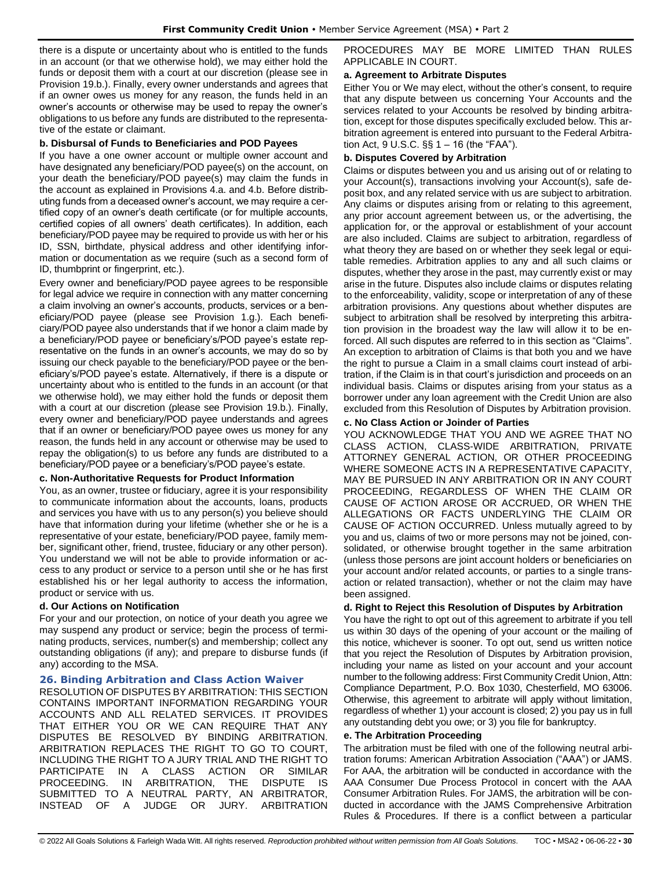there is a dispute or uncertainty about who is entitled to the funds in an account (or that we otherwise hold), we may either hold the funds or deposit them with a court at our discretion (please see in Provision 19.b.). Finally, every owner understands and agrees that if an owner owes us money for any reason, the funds held in an owner's accounts or otherwise may be used to repay the owner's obligations to us before any funds are distributed to the representative of the estate or claimant.

# **b. Disbursal of Funds to Beneficiaries and POD Payees**

If you have a one owner account or multiple owner account and have designated any beneficiary/POD payee(s) on the account, on your death the beneficiary/POD payee(s) may claim the funds in the account as explained in Provisions 4.a. and 4.b. Before distributing funds from a deceased owner's account, we may require a certified copy of an owner's death certificate (or for multiple accounts, certified copies of all owners' death certificates). In addition, each beneficiary/POD payee may be required to provide us with her or his ID, SSN, birthdate, physical address and other identifying information or documentation as we require (such as a second form of ID, thumbprint or fingerprint, etc.).

Every owner and beneficiary/POD payee agrees to be responsible for legal advice we require in connection with any matter concerning a claim involving an owner's accounts, products, services or a beneficiary/POD payee (please see Provision 1.g.). Each beneficiary/POD payee also understands that if we honor a claim made by a beneficiary/POD payee or beneficiary's/POD payee's estate representative on the funds in an owner's accounts, we may do so by issuing our check payable to the beneficiary/POD payee or the beneficiary's/POD payee's estate. Alternatively, if there is a dispute or uncertainty about who is entitled to the funds in an account (or that we otherwise hold), we may either hold the funds or deposit them with a court at our discretion (please see Provision 19.b.). Finally, every owner and beneficiary/POD payee understands and agrees that if an owner or beneficiary/POD payee owes us money for any reason, the funds held in any account or otherwise may be used to repay the obligation(s) to us before any funds are distributed to a beneficiary/POD payee or a beneficiary's/POD payee's estate.

# **c. Non-Authoritative Requests for Product Information**

You, as an owner, trustee or fiduciary, agree it is your responsibility to communicate information about the accounts, loans, products and services you have with us to any person(s) you believe should have that information during your lifetime (whether she or he is a representative of your estate, beneficiary/POD payee, family member, significant other, friend, trustee, fiduciary or any other person). You understand we will not be able to provide information or access to any product or service to a person until she or he has first established his or her legal authority to access the information, product or service with us.

# **d. Our Actions on Notification**

For your and our protection, on notice of your death you agree we may suspend any product or service; begin the process of terminating products, services, number(s) and membership; collect any outstanding obligations (if any); and prepare to disburse funds (if any) according to the MSA.

# <span id="page-29-0"></span>**26. Binding Arbitration and Class Action Waiver**

RESOLUTION OF DISPUTES BY ARBITRATION: THIS SECTION CONTAINS IMPORTANT INFORMATION REGARDING YOUR ACCOUNTS AND ALL RELATED SERVICES. IT PROVIDES THAT EITHER YOU OR WE CAN REQUIRE THAT ANY DISPUTES BE RESOLVED BY BINDING ARBITRATION. ARBITRATION REPLACES THE RIGHT TO GO TO COURT, INCLUDING THE RIGHT TO A JURY TRIAL AND THE RIGHT TO PARTICIPATE IN A CLASS ACTION OR SIMILAR PROCEEDING. IN ARBITRATION, THE DISPUTE IS SUBMITTED TO A NEUTRAL PARTY, AN ARBITRATOR, INSTEAD OF A JUDGE OR JURY. ARBITRATION

PROCEDURES MAY BE MORE LIMITED THAN RULES APPLICABLE IN COURT.

### **a. Agreement to Arbitrate Disputes**

Either You or We may elect, without the other's consent, to require that any dispute between us concerning Your Accounts and the services related to your Accounts be resolved by binding arbitration, except for those disputes specifically excluded below. This arbitration agreement is entered into pursuant to the Federal Arbitration Act, 9 U.S.C. §§ 1 – 16 (the "FAA").

# **b. Disputes Covered by Arbitration**

Claims or disputes between you and us arising out of or relating to your Account(s), transactions involving your Account(s), safe deposit box, and any related service with us are subject to arbitration. Any claims or disputes arising from or relating to this agreement, any prior account agreement between us, or the advertising, the application for, or the approval or establishment of your account are also included. Claims are subject to arbitration, regardless of what theory they are based on or whether they seek legal or equitable remedies. Arbitration applies to any and all such claims or disputes, whether they arose in the past, may currently exist or may arise in the future. Disputes also include claims or disputes relating to the enforceability, validity, scope or interpretation of any of these arbitration provisions. Any questions about whether disputes are subject to arbitration shall be resolved by interpreting this arbitration provision in the broadest way the law will allow it to be enforced. All such disputes are referred to in this section as "Claims". An exception to arbitration of Claims is that both you and we have the right to pursue a Claim in a small claims court instead of arbitration, if the Claim is in that court's jurisdiction and proceeds on an individual basis. Claims or disputes arising from your status as a borrower under any loan agreement with the Credit Union are also excluded from this Resolution of Disputes by Arbitration provision.

# **c. No Class Action or Joinder of Parties**

YOU ACKNOWLEDGE THAT YOU AND WE AGREE THAT NO CLASS ACTION, CLASS-WIDE ARBITRATION, PRIVATE ATTORNEY GENERAL ACTION, OR OTHER PROCEEDING WHERE SOMEONE ACTS IN A REPRESENTATIVE CAPACITY, MAY BE PURSUED IN ANY ARBITRATION OR IN ANY COURT PROCEEDING, REGARDLESS OF WHEN THE CLAIM OR CAUSE OF ACTION AROSE OR ACCRUED, OR WHEN THE ALLEGATIONS OR FACTS UNDERLYING THE CLAIM OR CAUSE OF ACTION OCCURRED. Unless mutually agreed to by you and us, claims of two or more persons may not be joined, consolidated, or otherwise brought together in the same arbitration (unless those persons are joint account holders or beneficiaries on your account and/or related accounts, or parties to a single transaction or related transaction), whether or not the claim may have been assigned.

# **d. Right to Reject this Resolution of Disputes by Arbitration**

You have the right to opt out of this agreement to arbitrate if you tell us within 30 days of the opening of your account or the mailing of this notice, whichever is sooner. To opt out, send us written notice that you reject the Resolution of Disputes by Arbitration provision, including your name as listed on your account and your account number to the following address: First Community Credit Union, Attn: Compliance Department, P.O. Box 1030, Chesterfield, MO 63006. Otherwise, this agreement to arbitrate will apply without limitation, regardless of whether 1) your account is closed; 2) you pay us in full any outstanding debt you owe; or 3) you file for bankruptcy.

# **e. The Arbitration Proceeding**

The arbitration must be filed with one of the following neutral arbitration forums: American Arbitration Association ("AAA") or JAMS. For AAA, the arbitration will be conducted in accordance with the AAA Consumer Due Process Protocol in concert with the AAA Consumer Arbitration Rules. For JAMS, the arbitration will be conducted in accordance with the JAMS Comprehensive Arbitration Rules & Procedures. If there is a conflict between a particular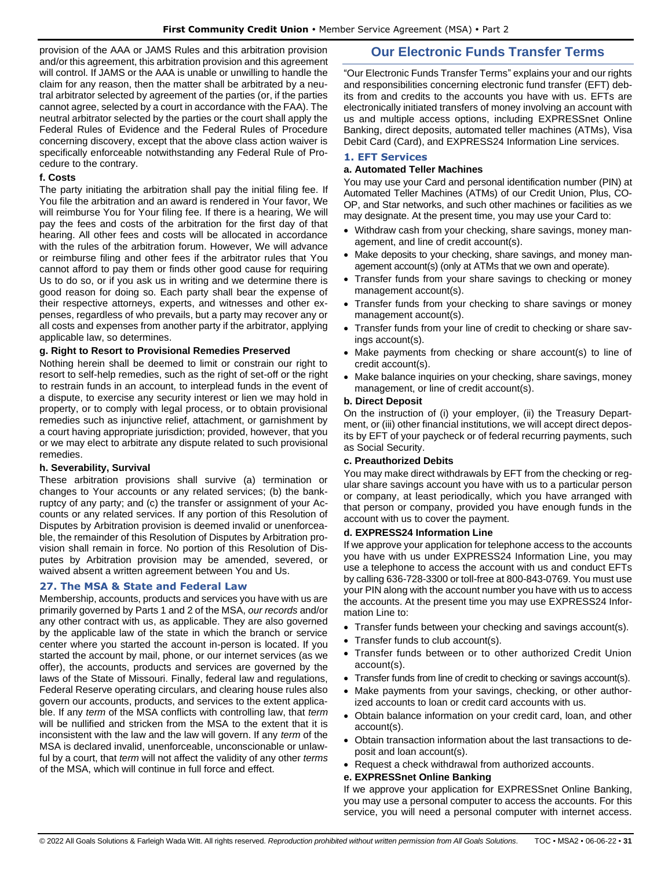provision of the AAA or JAMS Rules and this arbitration provision and/or this agreement, this arbitration provision and this agreement will control. If JAMS or the AAA is unable or unwilling to handle the claim for any reason, then the matter shall be arbitrated by a neutral arbitrator selected by agreement of the parties (or, if the parties cannot agree, selected by a court in accordance with the FAA). The neutral arbitrator selected by the parties or the court shall apply the Federal Rules of Evidence and the Federal Rules of Procedure concerning discovery, except that the above class action waiver is specifically enforceable notwithstanding any Federal Rule of Procedure to the contrary.

# **f. Costs**

The party initiating the arbitration shall pay the initial filing fee. If You file the arbitration and an award is rendered in Your favor, We will reimburse You for Your filing fee. If there is a hearing, We will pay the fees and costs of the arbitration for the first day of that hearing. All other fees and costs will be allocated in accordance with the rules of the arbitration forum. However, We will advance or reimburse filing and other fees if the arbitrator rules that You cannot afford to pay them or finds other good cause for requiring Us to do so, or if you ask us in writing and we determine there is good reason for doing so. Each party shall bear the expense of their respective attorneys, experts, and witnesses and other expenses, regardless of who prevails, but a party may recover any or all costs and expenses from another party if the arbitrator, applying applicable law, so determines.

# **g. Right to Resort to Provisional Remedies Preserved**

Nothing herein shall be deemed to limit or constrain our right to resort to self-help remedies, such as the right of set-off or the right to restrain funds in an account, to interplead funds in the event of a dispute, to exercise any security interest or lien we may hold in property, or to comply with legal process, or to obtain provisional remedies such as injunctive relief, attachment, or garnishment by a court having appropriate jurisdiction; provided, however, that you or we may elect to arbitrate any dispute related to such provisional remedies.

# **h. Severability, Survival**

These arbitration provisions shall survive (a) termination or changes to Your accounts or any related services; (b) the bankruptcy of any party; and (c) the transfer or assignment of your Accounts or any related services. If any portion of this Resolution of Disputes by Arbitration provision is deemed invalid or unenforceable, the remainder of this Resolution of Disputes by Arbitration provision shall remain in force. No portion of this Resolution of Disputes by Arbitration provision may be amended, severed, or waived absent a written agreement between You and Us.

# <span id="page-30-0"></span>**27. The MSA & State and Federal Law**

Membership, accounts, products and services you have with us are primarily governed by Parts 1 and 2 of the MSA, *our records* and/or any other contract with us, as applicable. They are also governed by the applicable law of the state in which the branch or service center where you started the account in-person is located. If you started the account by mail, phone, or our internet services (as we offer), the accounts, products and services are governed by the laws of the State of Missouri. Finally, federal law and regulations, Federal Reserve operating circulars, and clearing house rules also govern our accounts, products, and services to the extent applicable. If any *term* of the MSA conflicts with controlling law, that *term* will be nullified and stricken from the MSA to the extent that it is inconsistent with the law and the law will govern. If any *term* of the MSA is declared invalid, unenforceable, unconscionable or unlawful by a court, that *term* will not affect the validity of any other *terms* of the MSA, which will continue in full force and effect.

# **Our Electronic Funds Transfer Terms**

<span id="page-30-1"></span>"Our Electronic Funds Transfer Terms" explains your and our rights and responsibilities concerning electronic fund transfer (EFT) debits from and credits to the accounts you have with us. EFTs are electronically initiated transfers of money involving an account with us and multiple access options, including EXPRESSnet Online Banking, direct deposits, automated teller machines (ATMs), Visa Debit Card (Card), and EXPRESS24 Information Line services.

# <span id="page-30-2"></span>**1. EFT Services**

# **a. Automated Teller Machines**

You may use your Card and personal identification number (PIN) at Automated Teller Machines (ATMs) of our Credit Union, Plus, CO-OP, and Star networks, and such other machines or facilities as we may designate. At the present time, you may use your Card to:

- Withdraw cash from your checking, share savings, money management, and line of credit account(s).
- Make deposits to your checking, share savings, and money management account(s) (only at ATMs that we own and operate).
- Transfer funds from your share savings to checking or money management account(s).
- Transfer funds from your checking to share savings or money management account(s).
- Transfer funds from your line of credit to checking or share savings account(s).
- Make payments from checking or share account(s) to line of credit account(s).
- Make balance inquiries on your checking, share savings, money management, or line of credit account(s).

# **b. Direct Deposit**

On the instruction of (i) your employer, (ii) the Treasury Department, or (iii) other financial institutions, we will accept direct deposits by EFT of your paycheck or of federal recurring payments, such as Social Security.

# **c. Preauthorized Debits**

You may make direct withdrawals by EFT from the checking or regular share savings account you have with us to a particular person or company, at least periodically, which you have arranged with that person or company, provided you have enough funds in the account with us to cover the payment.

# **d. EXPRESS24 Information Line**

If we approve your application for telephone access to the accounts you have with us under EXPRESS24 Information Line, you may use a telephone to access the account with us and conduct EFTs by calling 636-728-3300 or toll-free at 800-843-0769. You must use your PIN along with the account number you have with us to access the accounts. At the present time you may use EXPRESS24 Information Line to:

- Transfer funds between your checking and savings account(s).
- Transfer funds to club account(s).
- Transfer funds between or to other authorized Credit Union account(s).
- Transfer funds from line of credit to checking or savings account(s).
- Make payments from your savings, checking, or other authorized accounts to loan or credit card accounts with us.
- Obtain balance information on your credit card, loan, and other account(s).
- Obtain transaction information about the last transactions to deposit and loan account(s).
- Request a check withdrawal from authorized accounts.

# **e. EXPRESSnet Online Banking**

If we approve your application for EXPRESSnet Online Banking, you may use a personal computer to access the accounts. For this service, you will need a personal computer with internet access.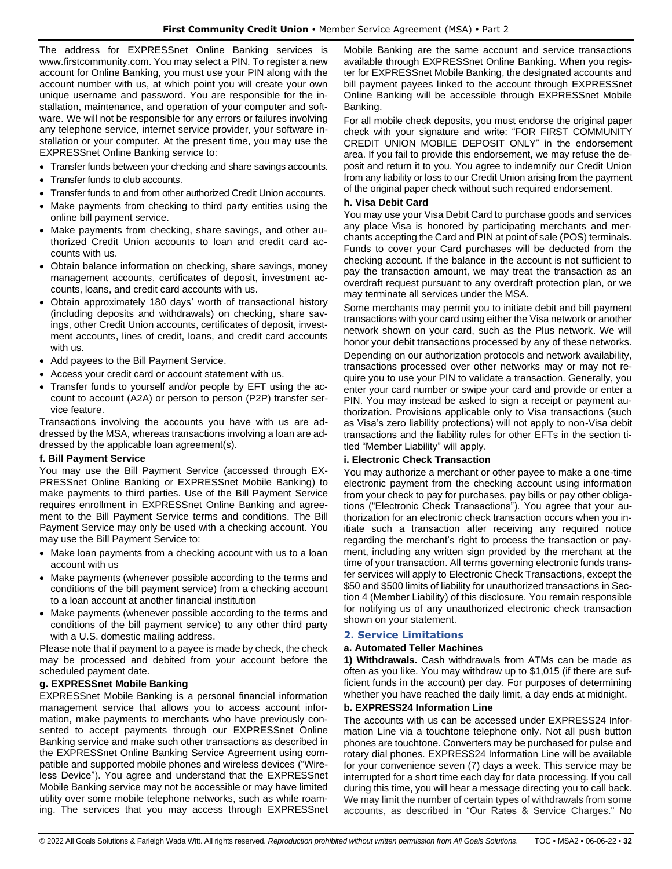The address for EXPRESSnet Online Banking services is www.firstcommunity.com. You may select a PIN. To register a new account for Online Banking, you must use your PIN along with the account number with us, at which point you will create your own unique username and password. You are responsible for the installation, maintenance, and operation of your computer and software. We will not be responsible for any errors or failures involving any telephone service, internet service provider, your software installation or your computer. At the present time, you may use the EXPRESSnet Online Banking service to:

- Transfer funds between your checking and share savings accounts.
- Transfer funds to club accounts.
- Transfer funds to and from other authorized Credit Union accounts.
- Make payments from checking to third party entities using the online bill payment service.
- Make payments from checking, share savings, and other authorized Credit Union accounts to loan and credit card accounts with us.
- Obtain balance information on checking, share savings, money management accounts, certificates of deposit, investment accounts, loans, and credit card accounts with us.
- Obtain approximately 180 days' worth of transactional history (including deposits and withdrawals) on checking, share savings, other Credit Union accounts, certificates of deposit, investment accounts, lines of credit, loans, and credit card accounts with us.
- Add payees to the Bill Payment Service.
- Access your credit card or account statement with us.
- Transfer funds to yourself and/or people by EFT using the account to account (A2A) or person to person (P2P) transfer service feature.

Transactions involving the accounts you have with us are addressed by the MSA, whereas transactions involving a loan are addressed by the applicable loan agreement(s).

# **f. Bill Payment Service**

You may use the Bill Payment Service (accessed through EX-PRESSnet Online Banking or EXPRESSnet Mobile Banking) to make payments to third parties. Use of the Bill Payment Service requires enrollment in EXPRESSnet Online Banking and agreement to the Bill Payment Service terms and conditions. The Bill Payment Service may only be used with a checking account. You may use the Bill Payment Service to:

- Make loan payments from a checking account with us to a loan account with us
- Make payments (whenever possible according to the terms and conditions of the bill payment service) from a checking account to a loan account at another financial institution
- Make payments (whenever possible according to the terms and conditions of the bill payment service) to any other third party with a U.S. domestic mailing address.

Please note that if payment to a payee is made by check, the check may be processed and debited from your account before the scheduled payment date.

# **g. EXPRESSnet Mobile Banking**

EXPRESSnet Mobile Banking is a personal financial information management service that allows you to access account information, make payments to merchants who have previously consented to accept payments through our EXPRESSnet Online Banking service and make such other transactions as described in the EXPRESSnet Online Banking Service Agreement using compatible and supported mobile phones and wireless devices ("Wireless Device"). You agree and understand that the EXPRESSnet Mobile Banking service may not be accessible or may have limited utility over some mobile telephone networks, such as while roaming. The services that you may access through EXPRESSnet Mobile Banking are the same account and service transactions available through EXPRESSnet Online Banking. When you register for EXPRESSnet Mobile Banking, the designated accounts and bill payment payees linked to the account through EXPRESSnet Online Banking will be accessible through EXPRESSnet Mobile Banking.

For all mobile check deposits, you must endorse the original paper check with your signature and write: "FOR FIRST COMMUNITY CREDIT UNION MOBILE DEPOSIT ONLY" in the endorsement area. If you fail to provide this endorsement, we may refuse the deposit and return it to you. You agree to indemnify our Credit Union from any liability or loss to our Credit Union arising from the payment of the original paper check without such required endorsement.

## **h. Visa Debit Card**

You may use your Visa Debit Card to purchase goods and services any place Visa is honored by participating merchants and merchants accepting the Card and PIN at point of sale (POS) terminals. Funds to cover your Card purchases will be deducted from the checking account. If the balance in the account is not sufficient to pay the transaction amount, we may treat the transaction as an overdraft request pursuant to any overdraft protection plan, or we may terminate all services under the MSA.

Some merchants may permit you to initiate debit and bill payment transactions with your card using either the Visa network or another network shown on your card, such as the Plus network. We will honor your debit transactions processed by any of these networks. Depending on our authorization protocols and network availability, transactions processed over other networks may or may not require you to use your PIN to validate a transaction. Generally, you enter your card number or swipe your card and provide or enter a PIN. You may instead be asked to sign a receipt or payment authorization. Provisions applicable only to Visa transactions (such as Visa's zero liability protections) will not apply to non-Visa debit transactions and the liability rules for other EFTs in the section titled "Member Liability" will apply.

# **i. Electronic Check Transaction**

You may authorize a merchant or other payee to make a one-time electronic payment from the checking account using information from your check to pay for purchases, pay bills or pay other obligations ("Electronic Check Transactions"). You agree that your authorization for an electronic check transaction occurs when you initiate such a transaction after receiving any required notice regarding the merchant's right to process the transaction or payment, including any written sign provided by the merchant at the time of your transaction. All terms governing electronic funds transfer services will apply to Electronic Check Transactions, except the \$50 and \$500 limits of liability for unauthorized transactions in Section 4 (Member Liability) of this disclosure. You remain responsible for notifying us of any unauthorized electronic check transaction shown on your statement.

# <span id="page-31-0"></span>**2. Service Limitations**

### **a. Automated Teller Machines**

**1) Withdrawals.** Cash withdrawals from ATMs can be made as often as you like. You may withdraw up to \$1,015 (if there are sufficient funds in the account) per day. For purposes of determining whether you have reached the daily limit, a day ends at midnight.

# **b. EXPRESS24 Information Line**

The accounts with us can be accessed under EXPRESS24 Information Line via a touchtone telephone only. Not all push button phones are touchtone. Converters may be purchased for pulse and rotary dial phones. EXPRESS24 Information Line will be available for your convenience seven (7) days a week. This service may be interrupted for a short time each day for data processing. If you call during this time, you will hear a message directing you to call back. We may limit the number of certain types of withdrawals from some accounts, as described in "Our Rates & Service Charges." No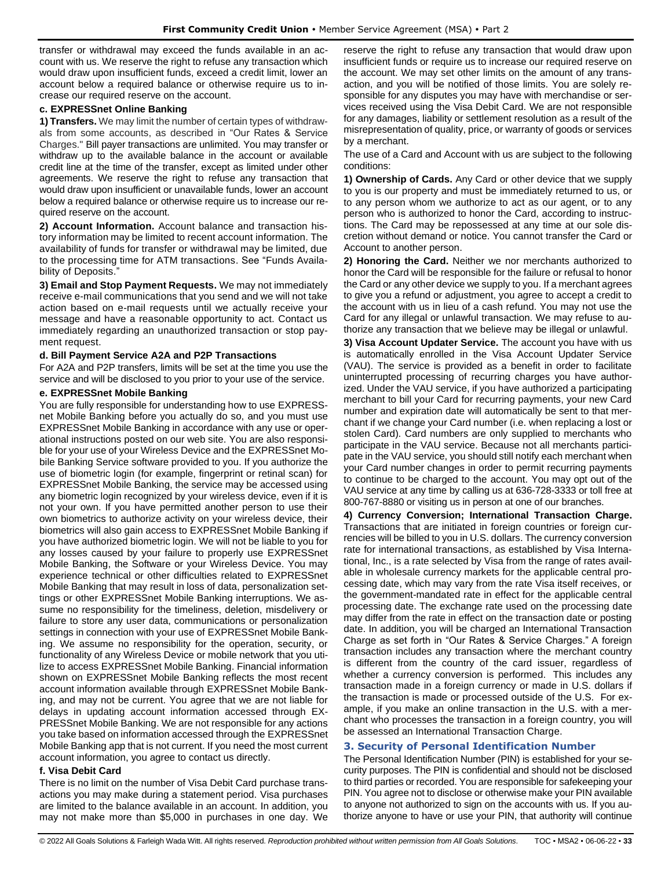transfer or withdrawal may exceed the funds available in an account with us. We reserve the right to refuse any transaction which would draw upon insufficient funds, exceed a credit limit, lower an account below a required balance or otherwise require us to increase our required reserve on the account.

# **c. EXPRESSnet Online Banking**

**1) Transfers.** We may limit the number of certain types of withdrawals from some accounts, as described in "Our Rates & Service Charges." Bill payer transactions are unlimited. You may transfer or withdraw up to the available balance in the account or available credit line at the time of the transfer, except as limited under other agreements. We reserve the right to refuse any transaction that would draw upon insufficient or unavailable funds, lower an account below a required balance or otherwise require us to increase our required reserve on the account.

**2) Account Information.** Account balance and transaction history information may be limited to recent account information. The availability of funds for transfer or withdrawal may be limited, due to the processing time for ATM transactions. See "Funds Availability of Deposits.'

**3) Email and Stop Payment Requests.** We may not immediately receive e-mail communications that you send and we will not take action based on e-mail requests until we actually receive your message and have a reasonable opportunity to act. Contact us immediately regarding an unauthorized transaction or stop payment request.

# **d. Bill Payment Service A2A and P2P Transactions**

For A2A and P2P transfers, limits will be set at the time you use the service and will be disclosed to you prior to your use of the service.

## **e. EXPRESSnet Mobile Banking**

You are fully responsible for understanding how to use EXPRESSnet Mobile Banking before you actually do so, and you must use EXPRESSnet Mobile Banking in accordance with any use or operational instructions posted on our web site. You are also responsible for your use of your Wireless Device and the EXPRESSnet Mobile Banking Service software provided to you. If you authorize the use of biometric login (for example, fingerprint or retinal scan) for EXPRESSnet Mobile Banking, the service may be accessed using any biometric login recognized by your wireless device, even if it is not your own. If you have permitted another person to use their own biometrics to authorize activity on your wireless device, their biometrics will also gain access to EXPRESSnet Mobile Banking if you have authorized biometric login. We will not be liable to you for any losses caused by your failure to properly use EXPRESSnet Mobile Banking, the Software or your Wireless Device. You may experience technical or other difficulties related to EXPRESSnet Mobile Banking that may result in loss of data, personalization settings or other EXPRESSnet Mobile Banking interruptions. We assume no responsibility for the timeliness, deletion, misdelivery or failure to store any user data, communications or personalization settings in connection with your use of EXPRESSnet Mobile Banking. We assume no responsibility for the operation, security, or functionality of any Wireless Device or mobile network that you utilize to access EXPRESSnet Mobile Banking. Financial information shown on EXPRESSnet Mobile Banking reflects the most recent account information available through EXPRESSnet Mobile Banking, and may not be current. You agree that we are not liable for delays in updating account information accessed through EX-PRESSnet Mobile Banking. We are not responsible for any actions you take based on information accessed through the EXPRESSnet Mobile Banking app that is not current. If you need the most current account information, you agree to contact us directly.

### **f. Visa Debit Card**

There is no limit on the number of Visa Debit Card purchase transactions you may make during a statement period. Visa purchases are limited to the balance available in an account. In addition, you may not make more than \$5,000 in purchases in one day. We reserve the right to refuse any transaction that would draw upon insufficient funds or require us to increase our required reserve on the account. We may set other limits on the amount of any transaction, and you will be notified of those limits. You are solely responsible for any disputes you may have with merchandise or services received using the Visa Debit Card. We are not responsible for any damages, liability or settlement resolution as a result of the misrepresentation of quality, price, or warranty of goods or services by a merchant.

The use of a Card and Account with us are subject to the following conditions:

**1) Ownership of Cards.** Any Card or other device that we supply to you is our property and must be immediately returned to us, or to any person whom we authorize to act as our agent, or to any person who is authorized to honor the Card, according to instructions. The Card may be repossessed at any time at our sole discretion without demand or notice. You cannot transfer the Card or Account to another person.

**2) Honoring the Card.** Neither we nor merchants authorized to honor the Card will be responsible for the failure or refusal to honor the Card or any other device we supply to you. If a merchant agrees to give you a refund or adjustment, you agree to accept a credit to the account with us in lieu of a cash refund. You may not use the Card for any illegal or unlawful transaction. We may refuse to authorize any transaction that we believe may be illegal or unlawful.

**3) Visa Account Updater Service.** The account you have with us is automatically enrolled in the Visa Account Updater Service (VAU). The service is provided as a benefit in order to facilitate uninterrupted processing of recurring charges you have authorized. Under the VAU service, if you have authorized a participating merchant to bill your Card for recurring payments, your new Card number and expiration date will automatically be sent to that merchant if we change your Card number (i.e. when replacing a lost or stolen Card). Card numbers are only supplied to merchants who participate in the VAU service. Because not all merchants participate in the VAU service, you should still notify each merchant when your Card number changes in order to permit recurring payments to continue to be charged to the account. You may opt out of the VAU service at any time by calling us at 636-728-3333 or toll free at 800-767-8880 or visiting us in person at one of our branches.

**4) Currency Conversion; International Transaction Charge.** Transactions that are initiated in foreign countries or foreign currencies will be billed to you in U.S. dollars. The currency conversion rate for international transactions, as established by Visa International, Inc., is a rate selected by Visa from the range of rates available in wholesale currency markets for the applicable central processing date, which may vary from the rate Visa itself receives, or the government-mandated rate in effect for the applicable central processing date. The exchange rate used on the processing date may differ from the rate in effect on the transaction date or posting date. In addition, you will be charged an International Transaction Charge as set forth in "Our Rates & Service Charges." A foreign transaction includes any transaction where the merchant country is different from the country of the card issuer, regardless of whether a currency conversion is performed. This includes any transaction made in a foreign currency or made in U.S. dollars if the transaction is made or processed outside of the U.S. For example, if you make an online transaction in the U.S. with a merchant who processes the transaction in a foreign country, you will be assessed an International Transaction Charge.

# <span id="page-32-0"></span>**3. Security of Personal Identification Number**

The Personal Identification Number (PIN) is established for your security purposes. The PIN is confidential and should not be disclosed to third parties or recorded. You are responsible for safekeeping your PIN. You agree not to disclose or otherwise make your PIN available to anyone not authorized to sign on the accounts with us. If you authorize anyone to have or use your PIN, that authority will continue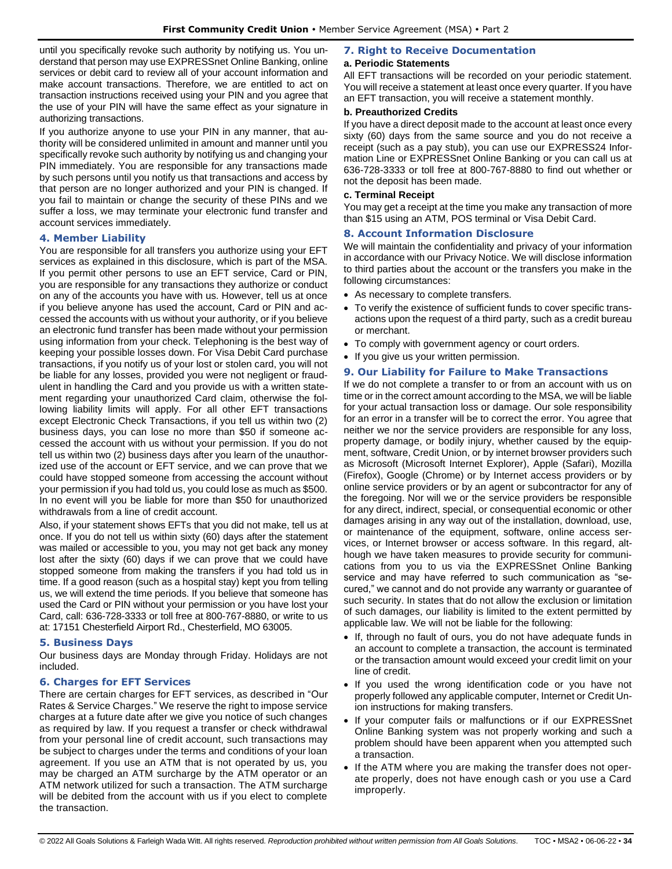until you specifically revoke such authority by notifying us. You understand that person may use EXPRESSnet Online Banking, online services or debit card to review all of your account information and make account transactions. Therefore, we are entitled to act on transaction instructions received using your PIN and you agree that the use of your PIN will have the same effect as your signature in authorizing transactions.

If you authorize anyone to use your PIN in any manner, that authority will be considered unlimited in amount and manner until you specifically revoke such authority by notifying us and changing your PIN immediately. You are responsible for any transactions made by such persons until you notify us that transactions and access by that person are no longer authorized and your PIN is changed. If you fail to maintain or change the security of these PINs and we suffer a loss, we may terminate your electronic fund transfer and account services immediately.

# <span id="page-33-0"></span>**4. Member Liability**

You are responsible for all transfers you authorize using your EFT services as explained in this disclosure, which is part of the MSA. If you permit other persons to use an EFT service, Card or PIN, you are responsible for any transactions they authorize or conduct on any of the accounts you have with us. However, tell us at once if you believe anyone has used the account, Card or PIN and accessed the accounts with us without your authority, or if you believe an electronic fund transfer has been made without your permission using information from your check. Telephoning is the best way of keeping your possible losses down. For Visa Debit Card purchase transactions, if you notify us of your lost or stolen card, you will not be liable for any losses, provided you were not negligent or fraudulent in handling the Card and you provide us with a written statement regarding your unauthorized Card claim, otherwise the following liability limits will apply. For all other EFT transactions except Electronic Check Transactions, if you tell us within two (2) business days, you can lose no more than \$50 if someone accessed the account with us without your permission. If you do not tell us within two (2) business days after you learn of the unauthorized use of the account or EFT service, and we can prove that we could have stopped someone from accessing the account without your permission if you had told us, you could lose as much as \$500. In no event will you be liable for more than \$50 for unauthorized withdrawals from a line of credit account.

Also, if your statement shows EFTs that you did not make, tell us at once. If you do not tell us within sixty (60) days after the statement was mailed or accessible to you, you may not get back any money lost after the sixty (60) days if we can prove that we could have stopped someone from making the transfers if you had told us in time. If a good reason (such as a hospital stay) kept you from telling us, we will extend the time periods. If you believe that someone has used the Card or PIN without your permission or you have lost your Card, call: 636-728-3333 or toll free at 800-767-8880, or write to us at: 17151 Chesterfield Airport Rd., Chesterfield, MO 63005.

# <span id="page-33-1"></span>**5. Business Days**

Our business days are Monday through Friday. Holidays are not included.

# <span id="page-33-2"></span>**6. Charges for EFT Services**

There are certain charges for EFT services, as described in "Our Rates & Service Charges." We reserve the right to impose service charges at a future date after we give you notice of such changes as required by law. If you request a transfer or check withdrawal from your personal line of credit account, such transactions may be subject to charges under the terms and conditions of your loan agreement. If you use an ATM that is not operated by us, you may be charged an ATM surcharge by the ATM operator or an ATM network utilized for such a transaction. The ATM surcharge will be debited from the account with us if you elect to complete the transaction.

# <span id="page-33-3"></span>**7. Right to Receive Documentation**

# **a. Periodic Statements**

All EFT transactions will be recorded on your periodic statement. You will receive a statement at least once every quarter. If you have an EFT transaction, you will receive a statement monthly.

# **b. Preauthorized Credits**

If you have a direct deposit made to the account at least once every sixty (60) days from the same source and you do not receive a receipt (such as a pay stub), you can use our EXPRESS24 Information Line or EXPRESSnet Online Banking or you can call us at 636-728-3333 or toll free at 800-767-8880 to find out whether or not the deposit has been made.

# **c. Terminal Receipt**

You may get a receipt at the time you make any transaction of more than \$15 using an ATM, POS terminal or Visa Debit Card.

# <span id="page-33-4"></span>**8. Account Information Disclosure**

We will maintain the confidentiality and privacy of your information in accordance with our Privacy Notice. We will disclose information to third parties about the account or the transfers you make in the following circumstances:

- As necessary to complete transfers.
- To verify the existence of sufficient funds to cover specific transactions upon the request of a third party, such as a credit bureau or merchant.
- To comply with government agency or court orders.
- If you give us your written permission.

# <span id="page-33-5"></span>**9. Our Liability for Failure to Make Transactions**

If we do not complete a transfer to or from an account with us on time or in the correct amount according to the MSA, we will be liable for your actual transaction loss or damage. Our sole responsibility for an error in a transfer will be to correct the error. You agree that neither we nor the service providers are responsible for any loss, property damage, or bodily injury, whether caused by the equipment, software, Credit Union, or by internet browser providers such as Microsoft (Microsoft Internet Explorer), Apple (Safari), Mozilla (Firefox), Google (Chrome) or by Internet access providers or by online service providers or by an agent or subcontractor for any of the foregoing. Nor will we or the service providers be responsible for any direct, indirect, special, or consequential economic or other damages arising in any way out of the installation, download, use, or maintenance of the equipment, software, online access services, or Internet browser or access software. In this regard, although we have taken measures to provide security for communications from you to us via the EXPRESSnet Online Banking service and may have referred to such communication as "secured," we cannot and do not provide any warranty or guarantee of such security. In states that do not allow the exclusion or limitation of such damages, our liability is limited to the extent permitted by applicable law. We will not be liable for the following:

- If, through no fault of ours, you do not have adequate funds in an account to complete a transaction, the account is terminated or the transaction amount would exceed your credit limit on your line of credit.
- If you used the wrong identification code or you have not properly followed any applicable computer, Internet or Credit Union instructions for making transfers.
- If your computer fails or malfunctions or if our EXPRESSnet Online Banking system was not properly working and such a problem should have been apparent when you attempted such a transaction.
- If the ATM where you are making the transfer does not operate properly, does not have enough cash or you use a Card improperly.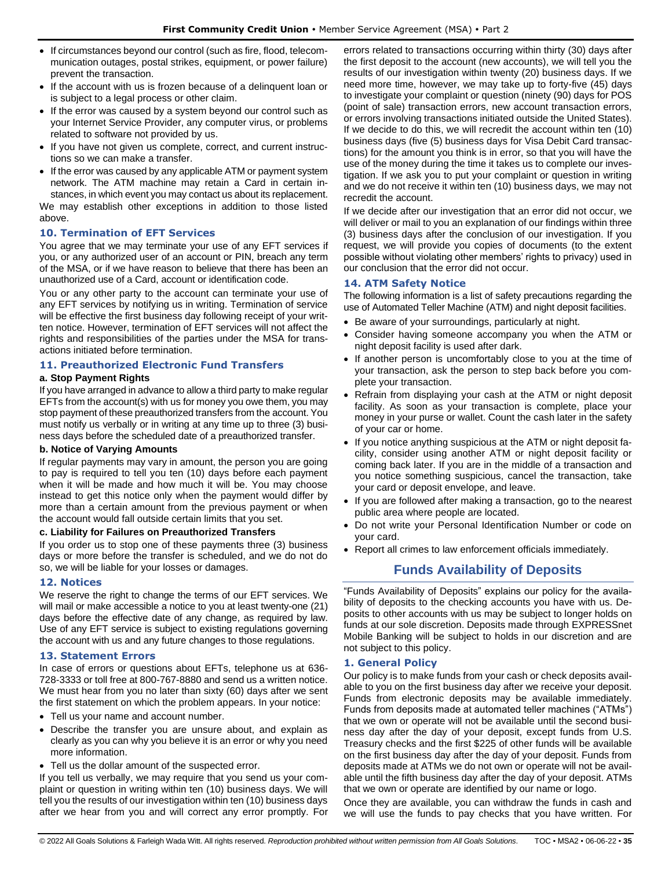- If circumstances beyond our control (such as fire, flood, telecommunication outages, postal strikes, equipment, or power failure) prevent the transaction.
- If the account with us is frozen because of a delinquent loan or is subject to a legal process or other claim.
- If the error was caused by a system beyond our control such as your Internet Service Provider, any computer virus, or problems related to software not provided by us.
- If you have not given us complete, correct, and current instructions so we can make a transfer.
- If the error was caused by any applicable ATM or payment system network. The ATM machine may retain a Card in certain instances, in which event you may contact us about its replacement.

We may establish other exceptions in addition to those listed above.

# <span id="page-34-0"></span>**10. Termination of EFT Services**

You agree that we may terminate your use of any EFT services if you, or any authorized user of an account or PIN, breach any term of the MSA, or if we have reason to believe that there has been an unauthorized use of a Card, account or identification code.

You or any other party to the account can terminate your use of any EFT services by notifying us in writing. Termination of service will be effective the first business day following receipt of your written notice. However, termination of EFT services will not affect the rights and responsibilities of the parties under the MSA for transactions initiated before termination.

# <span id="page-34-1"></span>**11. Preauthorized Electronic Fund Transfers**

# **a. Stop Payment Rights**

If you have arranged in advance to allow a third party to make regular EFTs from the account(s) with us for money you owe them, you may stop payment of these preauthorized transfers from the account. You must notify us verbally or in writing at any time up to three (3) business days before the scheduled date of a preauthorized transfer.

# **b. Notice of Varying Amounts**

If regular payments may vary in amount, the person you are going to pay is required to tell you ten (10) days before each payment when it will be made and how much it will be. You may choose instead to get this notice only when the payment would differ by more than a certain amount from the previous payment or when the account would fall outside certain limits that you set.

# **c. Liability for Failures on Preauthorized Transfers**

If you order us to stop one of these payments three (3) business days or more before the transfer is scheduled, and we do not do so, we will be liable for your losses or damages.

# <span id="page-34-2"></span>**12. Notices**

We reserve the right to change the terms of our EFT services. We will mail or make accessible a notice to you at least twenty-one (21) days before the effective date of any change, as required by law. Use of any EFT service is subject to existing regulations governing the account with us and any future changes to those regulations.

# <span id="page-34-3"></span>**13. Statement Errors**

In case of errors or questions about EFTs, telephone us at 636- 728-3333 or toll free at 800-767-8880 and send us a written notice. We must hear from you no later than sixty (60) days after we sent the first statement on which the problem appears. In your notice:

- Tell us your name and account number.
- Describe the transfer you are unsure about, and explain as clearly as you can why you believe it is an error or why you need more information.
- Tell us the dollar amount of the suspected error.

If you tell us verbally, we may require that you send us your complaint or question in writing within ten (10) business days. We will tell you the results of our investigation within ten (10) business days after we hear from you and will correct any error promptly. For errors related to transactions occurring within thirty (30) days after the first deposit to the account (new accounts), we will tell you the results of our investigation within twenty (20) business days. If we need more time, however, we may take up to forty-five (45) days to investigate your complaint or question (ninety (90) days for POS (point of sale) transaction errors, new account transaction errors, or errors involving transactions initiated outside the United States). If we decide to do this, we will recredit the account within ten (10) business days (five (5) business days for Visa Debit Card transactions) for the amount you think is in error, so that you will have the use of the money during the time it takes us to complete our investigation. If we ask you to put your complaint or question in writing and we do not receive it within ten (10) business days, we may not recredit the account.

If we decide after our investigation that an error did not occur, we will deliver or mail to you an explanation of our findings within three (3) business days after the conclusion of our investigation. If you request, we will provide you copies of documents (to the extent possible without violating other members' rights to privacy) used in our conclusion that the error did not occur.

# <span id="page-34-4"></span>**14. ATM Safety Notice**

The following information is a list of safety precautions regarding the use of Automated Teller Machine (ATM) and night deposit facilities.

- Be aware of your surroundings, particularly at night.
- Consider having someone accompany you when the ATM or night deposit facility is used after dark.
- If another person is uncomfortably close to you at the time of your transaction, ask the person to step back before you complete your transaction.
- Refrain from displaying your cash at the ATM or night deposit facility. As soon as your transaction is complete, place your money in your purse or wallet. Count the cash later in the safety of your car or home.
- If you notice anything suspicious at the ATM or night deposit facility, consider using another ATM or night deposit facility or coming back later. If you are in the middle of a transaction and you notice something suspicious, cancel the transaction, take your card or deposit envelope, and leave.
- If you are followed after making a transaction, go to the nearest public area where people are located.
- Do not write your Personal Identification Number or code on your card.
- <span id="page-34-5"></span>• Report all crimes to law enforcement officials immediately.

# **Funds Availability of Deposits**

"Funds Availability of Deposits" explains our policy for the availability of deposits to the checking accounts you have with us. Deposits to other accounts with us may be subject to longer holds on funds at our sole discretion. Deposits made through EXPRESSnet Mobile Banking will be subject to holds in our discretion and are not subject to this policy.

# <span id="page-34-6"></span>**1. General Policy**

Our policy is to make funds from your cash or check deposits available to you on the first business day after we receive your deposit. Funds from electronic deposits may be available immediately. Funds from deposits made at automated teller machines ("ATMs") that we own or operate will not be available until the second business day after the day of your deposit, except funds from U.S. Treasury checks and the first \$225 of other funds will be available on the first business day after the day of your deposit. Funds from deposits made at ATMs we do not own or operate will not be available until the fifth business day after the day of your deposit. ATMs that we own or operate are identified by our name or logo.

Once they are available, you can withdraw the funds in cash and we will use the funds to pay checks that you have written. For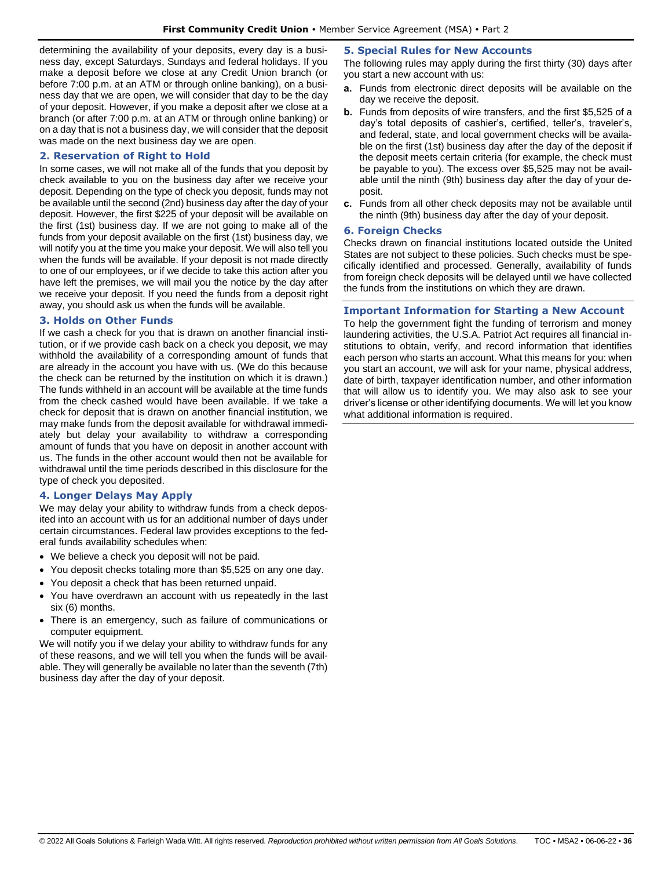determining the availability of your deposits, every day is a business day, except Saturdays, Sundays and federal holidays. If you make a deposit before we close at any Credit Union branch (or before 7:00 p.m. at an ATM or through online banking), on a business day that we are open, we will consider that day to be the day of your deposit. However, if you make a deposit after we close at a branch (or after 7:00 p.m. at an ATM or through online banking) or on a day that is not a business day, we will consider that the deposit was made on the next business day we are open.

# <span id="page-35-0"></span>**2. Reservation of Right to Hold**

In some cases, we will not make all of the funds that you deposit by check available to you on the business day after we receive your deposit. Depending on the type of check you deposit, funds may not be available until the second (2nd) business day after the day of your deposit. However, the first \$225 of your deposit will be available on the first (1st) business day. If we are not going to make all of the funds from your deposit available on the first (1st) business day, we will notify you at the time you make your deposit. We will also tell you when the funds will be available. If your deposit is not made directly to one of our employees, or if we decide to take this action after you have left the premises, we will mail you the notice by the day after we receive your deposit. If you need the funds from a deposit right away, you should ask us when the funds will be available.

## <span id="page-35-1"></span>**3. Holds on Other Funds**

If we cash a check for you that is drawn on another financial institution, or if we provide cash back on a check you deposit, we may withhold the availability of a corresponding amount of funds that are already in the account you have with us. (We do this because the check can be returned by the institution on which it is drawn.) The funds withheld in an account will be available at the time funds from the check cashed would have been available. If we take a check for deposit that is drawn on another financial institution, we may make funds from the deposit available for withdrawal immediately but delay your availability to withdraw a corresponding amount of funds that you have on deposit in another account with us. The funds in the other account would then not be available for withdrawal until the time periods described in this disclosure for the type of check you deposited.

# <span id="page-35-2"></span>**4. Longer Delays May Apply**

We may delay your ability to withdraw funds from a check deposited into an account with us for an additional number of days under certain circumstances. Federal law provides exceptions to the federal funds availability schedules when:

- We believe a check you deposit will not be paid.
- You deposit checks totaling more than \$5,525 on any one day.
- You deposit a check that has been returned unpaid.
- You have overdrawn an account with us repeatedly in the last six (6) months.
- There is an emergency, such as failure of communications or computer equipment.

We will notify you if we delay your ability to withdraw funds for any of these reasons, and we will tell you when the funds will be available. They will generally be available no later than the seventh (7th) business day after the day of your deposit.

# <span id="page-35-3"></span>**5. Special Rules for New Accounts**

The following rules may apply during the first thirty (30) days after you start a new account with us:

- **a.** Funds from electronic direct deposits will be available on the day we receive the deposit.
- **b.** Funds from deposits of wire transfers, and the first \$5,525 of a day's total deposits of cashier's, certified, teller's, traveler's, and federal, state, and local government checks will be available on the first (1st) business day after the day of the deposit if the deposit meets certain criteria (for example, the check must be payable to you). The excess over \$5,525 may not be available until the ninth (9th) business day after the day of your deposit.
- **c.** Funds from all other check deposits may not be available until the ninth (9th) business day after the day of your deposit.

## <span id="page-35-4"></span>**6. Foreign Checks**

Checks drawn on financial institutions located outside the United States are not subject to these policies. Such checks must be specifically identified and processed. Generally, availability of funds from foreign check deposits will be delayed until we have collected the funds from the institutions on which they are drawn.

# <span id="page-35-5"></span>**Important Information for Starting a New Account**

To help the government fight the funding of terrorism and money laundering activities, the U.S.A. Patriot Act requires all financial institutions to obtain, verify, and record information that identifies each person who starts an account. What this means for you: when you start an account, we will ask for your name, physical address, date of birth, taxpayer identification number, and other information that will allow us to identify you. We may also ask to see your driver's license or other identifying documents. We will let you know what additional information is required.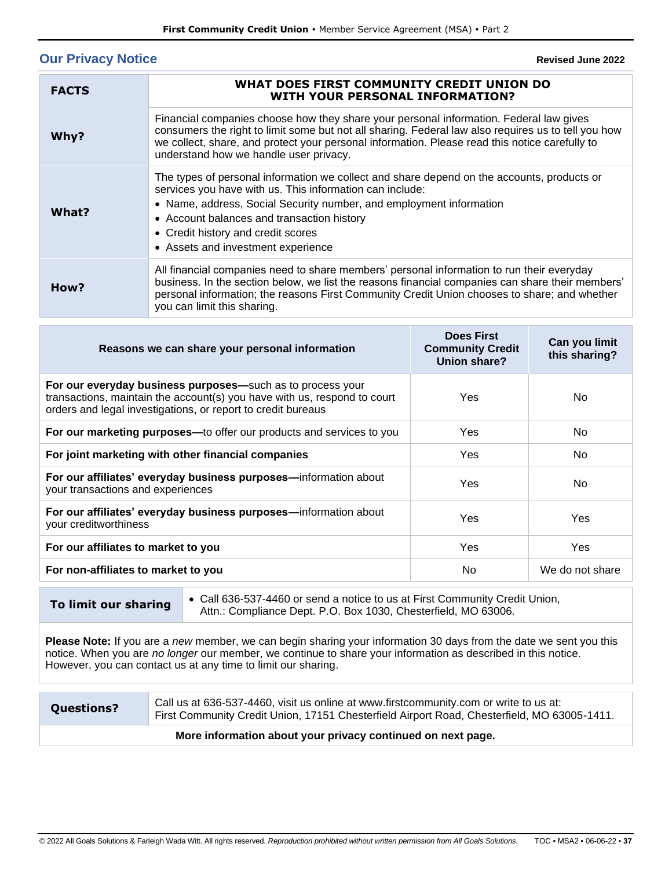# <span id="page-36-0"></span>**Our Privacy Notice**

**Revised June 2022**

| <b>FACTS</b> | WHAT DOES FIRST COMMUNITY CREDIT UNION DO<br>WITH YOUR PERSONAL INFORMATION?                                                                                                                                                                                                                                                                            |
|--------------|---------------------------------------------------------------------------------------------------------------------------------------------------------------------------------------------------------------------------------------------------------------------------------------------------------------------------------------------------------|
| Why?         | Financial companies choose how they share your personal information. Federal law gives<br>consumers the right to limit some but not all sharing. Federal law also requires us to tell you how<br>we collect, share, and protect your personal information. Please read this notice carefully to<br>understand how we handle user privacy.               |
| What?        | The types of personal information we collect and share depend on the accounts, products or<br>services you have with us. This information can include:<br>• Name, address, Social Security number, and employment information<br>• Account balances and transaction history<br>• Credit history and credit scores<br>• Assets and investment experience |
| How?         | All financial companies need to share members' personal information to run their everyday<br>business. In the section below, we list the reasons financial companies can share their members'<br>personal information; the reasons First Community Credit Union chooses to share; and whether<br>you can limit this sharing.                            |

| Reasons we can share your personal information                                                                                                                                                         | <b>Does First</b><br><b>Community Credit</b><br>Union share? | Can you limit<br>this sharing? |
|--------------------------------------------------------------------------------------------------------------------------------------------------------------------------------------------------------|--------------------------------------------------------------|--------------------------------|
| For our everyday business purposes—such as to process your<br>transactions, maintain the account(s) you have with us, respond to court<br>orders and legal investigations, or report to credit bureaus | Yes                                                          | No.                            |
| For our marketing purposes—to offer our products and services to you                                                                                                                                   | Yes                                                          | No.                            |
| For joint marketing with other financial companies                                                                                                                                                     | Yes                                                          | No                             |
| For our affiliates' everyday business purposes-information about<br>your transactions and experiences                                                                                                  | Yes                                                          | No.                            |
| For our affiliates' everyday business purposes-information about<br>your creditworthiness                                                                                                              | Yes                                                          | Yes                            |
| For our affiliates to market to you                                                                                                                                                                    | Yes                                                          | <b>Yes</b>                     |
| For non-affiliates to market to you                                                                                                                                                                    | No                                                           | We do not share                |

**To limit our sharing** • Call 636-537-4460 or send a notice to us at First Community Credit Union, Attn.: Compliance Dept. P.O. Box 1030, Chesterfield, MO 63006.

**Please Note:** If you are a *new* member, we can begin sharing your information 30 days from the date we sent you this notice. When you are *no longer* our member, we continue to share your information as described in this notice. However, you can contact us at any time to limit our sharing.

**Questions?** Call us at 636-537-4460, visit us online at www.firstcommunity.com or write to us at: First Community Credit Union, 17151 Chesterfield Airport Road, Chesterfield, MO 63005-1411.

# **More information about your privacy continued on next page.**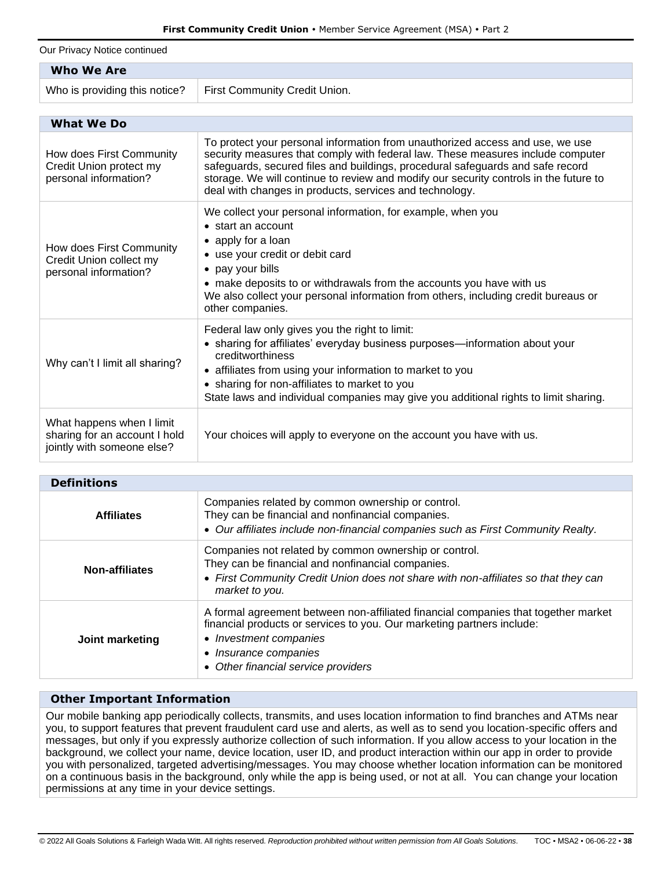Our Privacy Notice continued

| <b>Who We Are</b>                                                                        |                                                                                                                                                                                                                                                                                                                                                                                                        |  |  |  |
|------------------------------------------------------------------------------------------|--------------------------------------------------------------------------------------------------------------------------------------------------------------------------------------------------------------------------------------------------------------------------------------------------------------------------------------------------------------------------------------------------------|--|--|--|
| Who is providing this notice?                                                            | First Community Credit Union.                                                                                                                                                                                                                                                                                                                                                                          |  |  |  |
|                                                                                          |                                                                                                                                                                                                                                                                                                                                                                                                        |  |  |  |
| <b>What We Do</b>                                                                        |                                                                                                                                                                                                                                                                                                                                                                                                        |  |  |  |
| How does First Community<br>Credit Union protect my<br>personal information?             | To protect your personal information from unauthorized access and use, we use<br>security measures that comply with federal law. These measures include computer<br>safeguards, secured files and buildings, procedural safeguards and safe record<br>storage. We will continue to review and modify our security controls in the future to<br>deal with changes in products, services and technology. |  |  |  |
| How does First Community<br>Credit Union collect my<br>personal information?             | We collect your personal information, for example, when you<br>$\bullet$ start an account<br>• apply for a loan<br>• use your credit or debit card<br>• pay your bills<br>• make deposits to or withdrawals from the accounts you have with us<br>We also collect your personal information from others, including credit bureaus or<br>other companies.                                               |  |  |  |
| Why can't I limit all sharing?                                                           | Federal law only gives you the right to limit:<br>• sharing for affiliates' everyday business purposes—information about your<br>creditworthiness<br>• affiliates from using your information to market to you<br>• sharing for non-affiliates to market to you<br>State laws and individual companies may give you additional rights to limit sharing.                                                |  |  |  |
| What happens when I limit<br>sharing for an account I hold<br>jointly with someone else? | Your choices will apply to everyone on the account you have with us.                                                                                                                                                                                                                                                                                                                                   |  |  |  |

| <b>Definitions</b>    |                                                                                                                                                                                                                                                    |  |
|-----------------------|----------------------------------------------------------------------------------------------------------------------------------------------------------------------------------------------------------------------------------------------------|--|
| <b>Affiliates</b>     | Companies related by common ownership or control.<br>They can be financial and nonfinancial companies.<br>• Our affiliates include non-financial companies such as First Community Realty.                                                         |  |
| <b>Non-affiliates</b> | Companies not related by common ownership or control.<br>They can be financial and nonfinancial companies.<br>• First Community Credit Union does not share with non-affiliates so that they can<br>market to you.                                 |  |
| Joint marketing       | A formal agreement between non-affiliated financial companies that together market<br>financial products or services to you. Our marketing partners include:<br>Investment companies<br>Insurance companies<br>• Other financial service providers |  |

# **Other Important Information**

Our mobile banking app periodically collects, transmits, and uses location information to find branches and ATMs near you, to support features that prevent fraudulent card use and alerts, as well as to send you location-specific offers and messages, but only if you expressly authorize collection of such information. If you allow access to your location in the background, we collect your name, device location, user ID, and product interaction within our app in order to provide you with personalized, targeted advertising/messages. You may choose whether location information can be monitored on a continuous basis in the background, only while the app is being used, or not at all. You can change your location permissions at any time in your device settings.